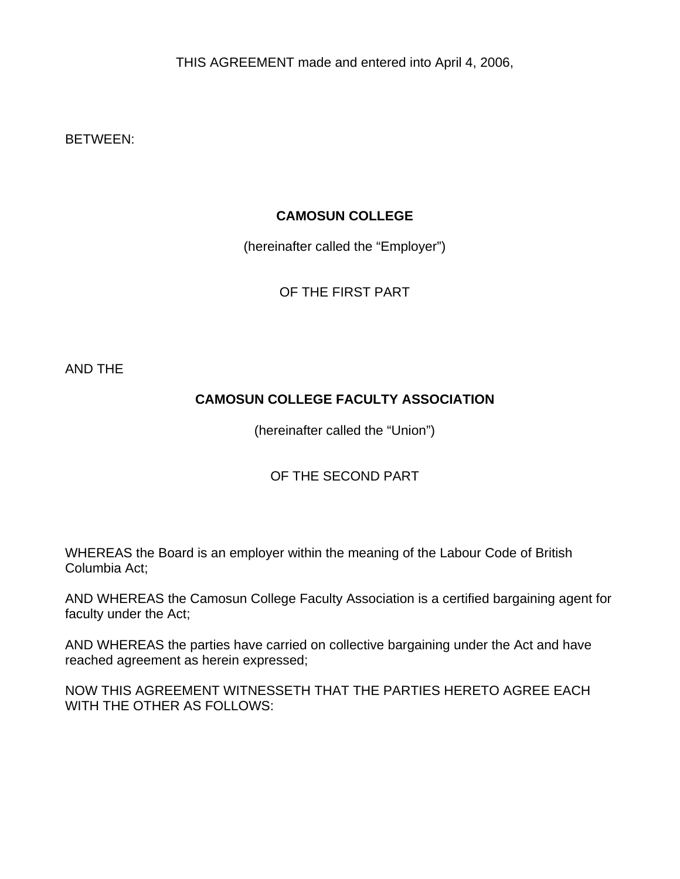THIS AGREEMENT made and entered into April 4, 2006,

BETWEEN:

## **CAMOSUN COLLEGE**

(hereinafter called the "Employer")

OF THE FIRST PART

AND THE

# **CAMOSUN COLLEGE FACULTY ASSOCIATION**

(hereinafter called the "Union")

# OF THE SECOND PART

WHEREAS the Board is an employer within the meaning of the Labour Code of British Columbia Act;

AND WHEREAS the Camosun College Faculty Association is a certified bargaining agent for faculty under the Act;

AND WHEREAS the parties have carried on collective bargaining under the Act and have reached agreement as herein expressed;

NOW THIS AGREEMENT WITNESSETH THAT THE PARTIES HERETO AGREE EACH WITH THE OTHER AS FOLLOWS: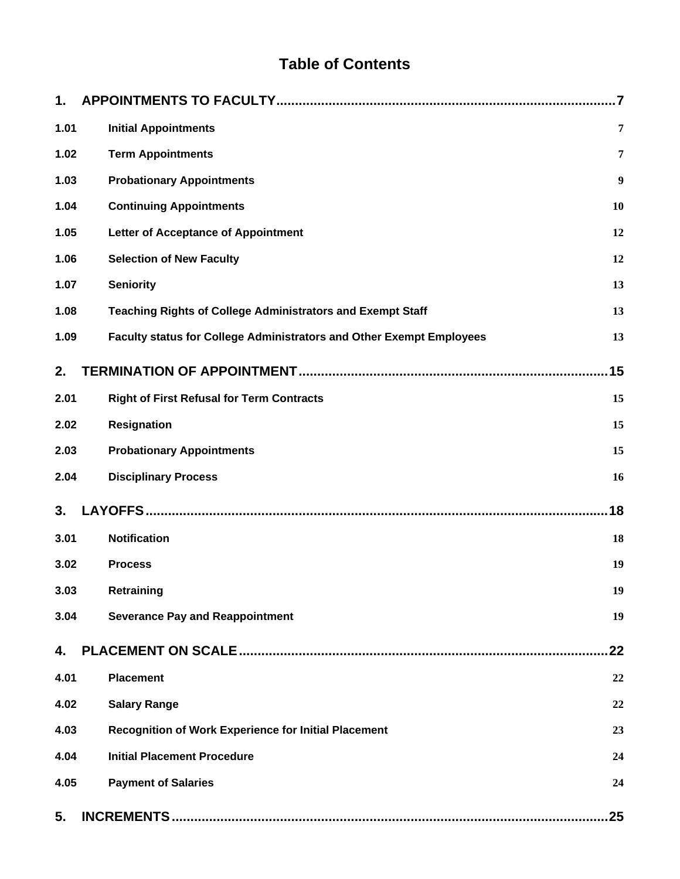# **Table of Contents**

| 1.   |                                                                      | $\overline{7}$   |
|------|----------------------------------------------------------------------|------------------|
| 1.01 | <b>Initial Appointments</b>                                          | 7                |
| 1.02 | <b>Term Appointments</b>                                             | 7                |
| 1.03 | <b>Probationary Appointments</b>                                     | $\boldsymbol{9}$ |
| 1.04 | <b>Continuing Appointments</b>                                       | 10               |
| 1.05 | <b>Letter of Acceptance of Appointment</b>                           | 12               |
| 1.06 | <b>Selection of New Faculty</b>                                      | 12               |
| 1.07 | <b>Seniority</b>                                                     | 13               |
| 1.08 | <b>Teaching Rights of College Administrators and Exempt Staff</b>    | 13               |
| 1.09 | Faculty status for College Administrators and Other Exempt Employees | 13               |
| 2.   |                                                                      | 15               |
| 2.01 | <b>Right of First Refusal for Term Contracts</b>                     | 15               |
| 2.02 | <b>Resignation</b>                                                   | 15               |
| 2.03 | <b>Probationary Appointments</b>                                     | 15               |
| 2.04 | <b>Disciplinary Process</b>                                          | 16               |
| 3.   |                                                                      | 18               |
| 3.01 | <b>Notification</b>                                                  | 18               |
| 3.02 | <b>Process</b>                                                       | 19               |
| 3.03 | Retraining                                                           | 19               |
| 3.04 | <b>Severance Pay and Reappointment</b>                               | 19               |
| 4.   |                                                                      | 22               |
| 4.01 | <b>Placement</b>                                                     | 22               |
| 4.02 | <b>Salary Range</b>                                                  | 22               |
| 4.03 | <b>Recognition of Work Experience for Initial Placement</b>          | 23               |
| 4.04 | <b>Initial Placement Procedure</b>                                   | 24               |
| 4.05 | <b>Payment of Salaries</b>                                           | 24               |
| 5.   |                                                                      | 25               |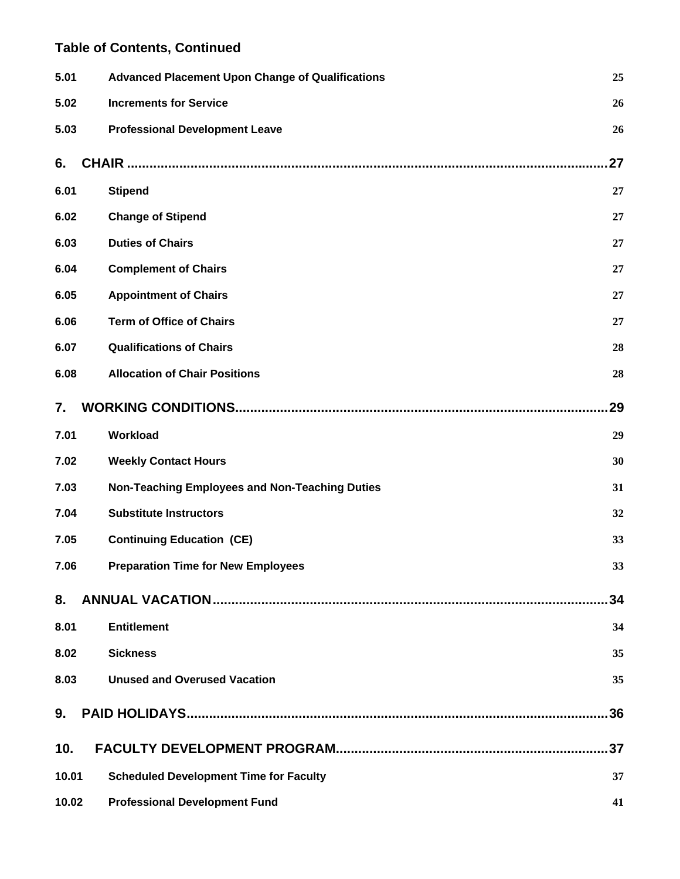| 5.01  | <b>Advanced Placement Upon Change of Qualifications</b> | 25  |
|-------|---------------------------------------------------------|-----|
| 5.02  | <b>Increments for Service</b>                           | 26  |
| 5.03  | <b>Professional Development Leave</b>                   | 26  |
| 6.    | CHAIR ……………………………………………………………………………………                  | 27  |
| 6.01  | <b>Stipend</b>                                          | 27  |
| 6.02  | <b>Change of Stipend</b>                                | 27  |
| 6.03  | <b>Duties of Chairs</b>                                 | 27  |
| 6.04  | <b>Complement of Chairs</b>                             | 27  |
| 6.05  | <b>Appointment of Chairs</b>                            | 27  |
| 6.06  | <b>Term of Office of Chairs</b>                         | 27  |
| 6.07  | <b>Qualifications of Chairs</b>                         | 28  |
| 6.08  | <b>Allocation of Chair Positions</b>                    | 28  |
| 7.    |                                                         | 29  |
| 7.01  | Workload                                                | 29  |
| 7.02  | <b>Weekly Contact Hours</b>                             | 30  |
| 7.03  | Non-Teaching Employees and Non-Teaching Duties          | 31  |
| 7.04  | <b>Substitute Instructors</b>                           | 32  |
| 7.05  | <b>Continuing Education (CE)</b>                        | 33  |
| 7.06  | <b>Preparation Time for New Employees</b>               | 33  |
| 8.    |                                                         | 34  |
| 8.01  | <b>Entitlement</b>                                      | 34  |
| 8.02  | <b>Sickness</b>                                         | 35  |
| 8.03  | <b>Unused and Overused Vacation</b>                     | 35  |
| 9.    |                                                         | 36  |
| 10.   |                                                         | .37 |
| 10.01 | <b>Scheduled Development Time for Faculty</b>           | 37  |
| 10.02 | <b>Professional Development Fund</b>                    | 41  |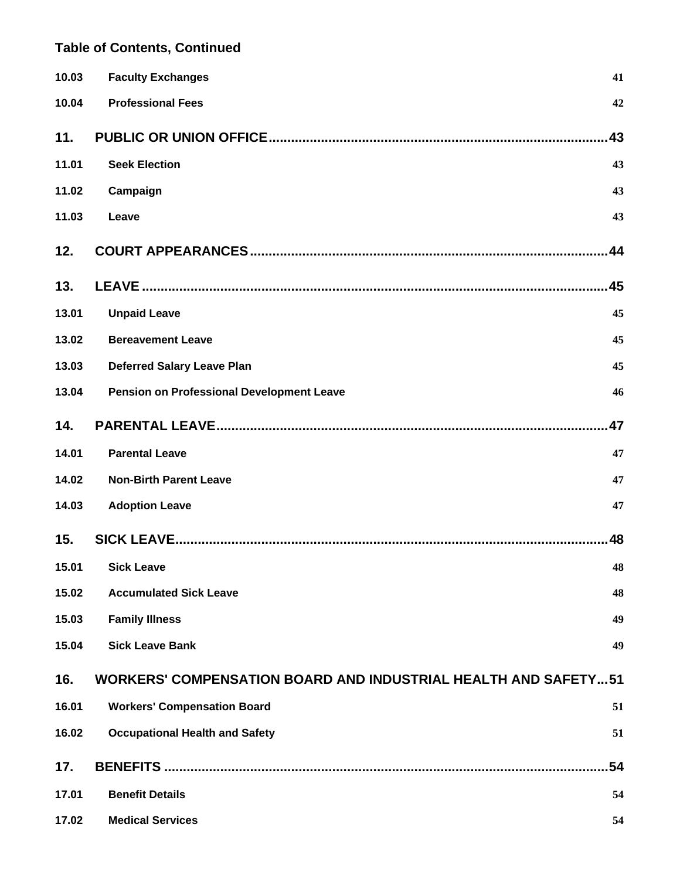| 10.03 | <b>Faculty Exchanges</b>                                              | 41  |
|-------|-----------------------------------------------------------------------|-----|
| 10.04 | <b>Professional Fees</b>                                              | 42  |
| 11.   |                                                                       | .43 |
| 11.01 | <b>Seek Election</b>                                                  | 43  |
| 11.02 | Campaign                                                              | 43  |
| 11.03 | Leave                                                                 | 43  |
| 12.   |                                                                       | .44 |
| 13.   |                                                                       | .45 |
| 13.01 | <b>Unpaid Leave</b>                                                   | 45  |
| 13.02 | <b>Bereavement Leave</b>                                              | 45  |
| 13.03 | <b>Deferred Salary Leave Plan</b>                                     | 45  |
| 13.04 | <b>Pension on Professional Development Leave</b>                      | 46  |
| 14.   |                                                                       | .47 |
| 14.01 | <b>Parental Leave</b>                                                 | 47  |
| 14.02 | <b>Non-Birth Parent Leave</b>                                         | 47  |
| 14.03 | <b>Adoption Leave</b>                                                 | 47  |
| 15.   |                                                                       | 48  |
|       | 15.01 Sick Leave                                                      | 48  |
| 15.02 | <b>Accumulated Sick Leave</b>                                         | 48  |
| 15.03 | <b>Family Illness</b>                                                 | 49  |
| 15.04 | <b>Sick Leave Bank</b>                                                | 49  |
| 16.   | <b>WORKERS' COMPENSATION BOARD AND INDUSTRIAL HEALTH AND SAFETY51</b> |     |
| 16.01 | <b>Workers' Compensation Board</b>                                    | 51  |
| 16.02 | <b>Occupational Health and Safety</b>                                 | 51  |
| 17.   |                                                                       | 54  |
| 17.01 | <b>Benefit Details</b>                                                | 54  |
| 17.02 | <b>Medical Services</b>                                               | 54  |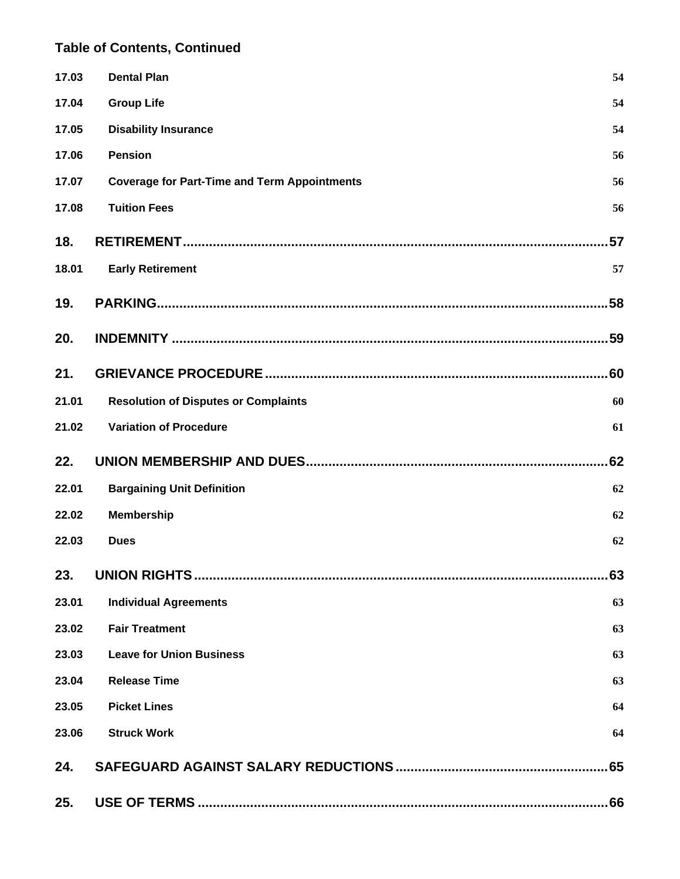| 17.03 | <b>Dental Plan</b>                                  | 54  |
|-------|-----------------------------------------------------|-----|
| 17.04 | <b>Group Life</b>                                   | 54  |
| 17.05 | <b>Disability Insurance</b>                         | 54  |
| 17.06 | <b>Pension</b>                                      | 56  |
| 17.07 | <b>Coverage for Part-Time and Term Appointments</b> | 56  |
| 17.08 | <b>Tuition Fees</b>                                 | 56  |
| 18.   |                                                     | 57  |
| 18.01 | <b>Early Retirement</b>                             | 57  |
| 19.   |                                                     |     |
| 20.   |                                                     |     |
| 21.   |                                                     | 60  |
| 21.01 | <b>Resolution of Disputes or Complaints</b>         | 60  |
| 21.02 | <b>Variation of Procedure</b>                       | 61  |
| 22.   |                                                     | 62  |
| 22.01 | <b>Bargaining Unit Definition</b>                   | 62  |
|       |                                                     |     |
| 22.02 | <b>Membership</b>                                   | 62  |
| 22.03 | <b>Dues</b>                                         | 62  |
| 23.   |                                                     | 63  |
| 23.01 | <b>Individual Agreements</b>                        | 63  |
| 23.02 | <b>Fair Treatment</b>                               | 63  |
| 23.03 | <b>Leave for Union Business</b>                     | 63  |
| 23.04 | <b>Release Time</b>                                 | 63  |
| 23.05 | <b>Picket Lines</b>                                 | 64  |
| 23.06 | <b>Struck Work</b>                                  | 64  |
| 24.   |                                                     | .65 |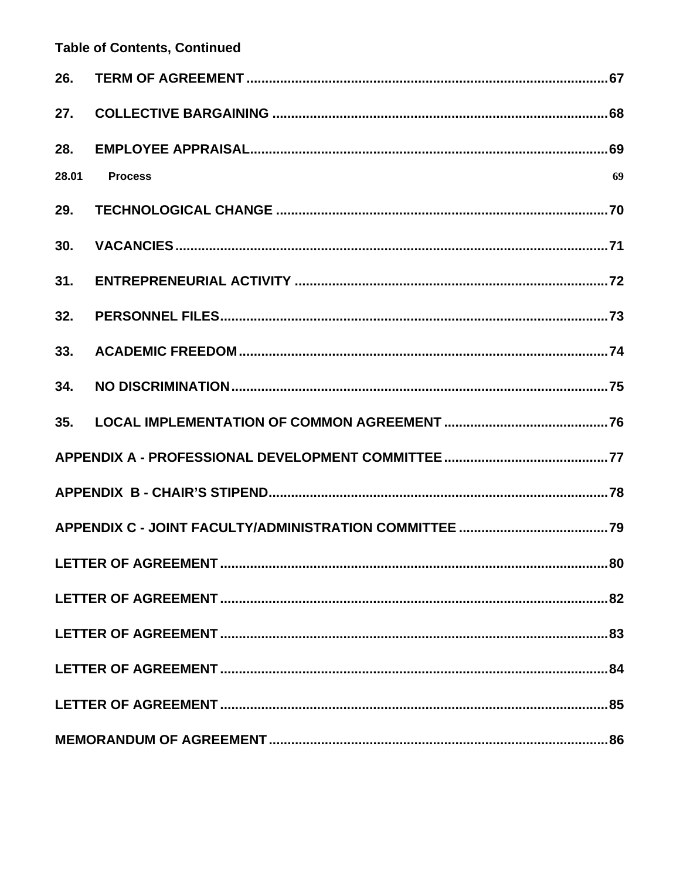| 26.   |                |    |
|-------|----------------|----|
| 27.   |                |    |
| 28.   |                |    |
| 28.01 | <b>Process</b> | 69 |
| 29.   |                |    |
| 30.   |                |    |
| 31.   |                |    |
| 32.   |                |    |
| 33.   |                |    |
| 34.   |                |    |
| 35.   |                |    |
|       |                |    |
|       |                |    |
|       |                |    |
|       |                |    |
|       |                |    |
|       |                |    |
|       |                |    |
|       |                |    |
|       |                |    |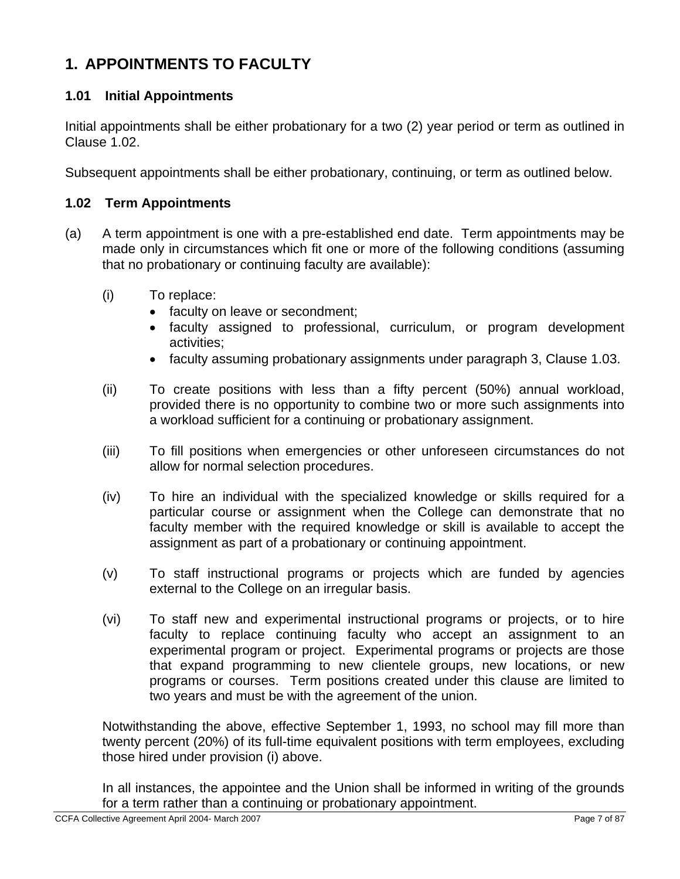# **1. APPOINTMENTS TO FACULTY**

## **1.01 Initial Appointments**

Initial appointments shall be either probationary for a two (2) year period or term as outlined in Clause 1.02.

Subsequent appointments shall be either probationary, continuing, or term as outlined below.

#### **1.02 Term Appointments**

- (a) A term appointment is one with a pre-established end date. Term appointments may be made only in circumstances which fit one or more of the following conditions (assuming that no probationary or continuing faculty are available):
	- (i) To replace:
		- faculty on leave or secondment;
		- faculty assigned to professional, curriculum, or program development activities;
		- faculty assuming probationary assignments under paragraph 3, Clause 1.03.
	- (ii) To create positions with less than a fifty percent (50%) annual workload, provided there is no opportunity to combine two or more such assignments into a workload sufficient for a continuing or probationary assignment.
	- (iii) To fill positions when emergencies or other unforeseen circumstances do not allow for normal selection procedures.
	- (iv) To hire an individual with the specialized knowledge or skills required for a particular course or assignment when the College can demonstrate that no faculty member with the required knowledge or skill is available to accept the assignment as part of a probationary or continuing appointment.
	- (v) To staff instructional programs or projects which are funded by agencies external to the College on an irregular basis.
	- (vi) To staff new and experimental instructional programs or projects, or to hire faculty to replace continuing faculty who accept an assignment to an experimental program or project. Experimental programs or projects are those that expand programming to new clientele groups, new locations, or new programs or courses. Term positions created under this clause are limited to two years and must be with the agreement of the union.

Notwithstanding the above, effective September 1, 1993, no school may fill more than twenty percent (20%) of its full-time equivalent positions with term employees, excluding those hired under provision (i) above.

In all instances, the appointee and the Union shall be informed in writing of the grounds for a term rather than a continuing or probationary appointment.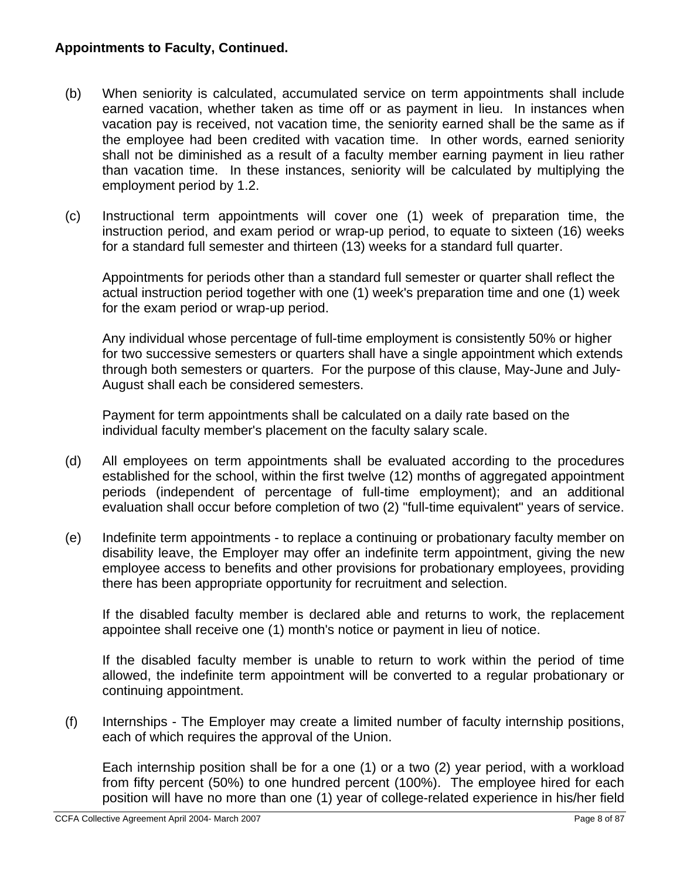- (b) When seniority is calculated, accumulated service on term appointments shall include earned vacation, whether taken as time off or as payment in lieu. In instances when vacation pay is received, not vacation time, the seniority earned shall be the same as if the employee had been credited with vacation time. In other words, earned seniority shall not be diminished as a result of a faculty member earning payment in lieu rather than vacation time. In these instances, seniority will be calculated by multiplying the employment period by 1.2.
- (c) Instructional term appointments will cover one (1) week of preparation time, the instruction period, and exam period or wrap-up period, to equate to sixteen (16) weeks for a standard full semester and thirteen (13) weeks for a standard full quarter.

Appointments for periods other than a standard full semester or quarter shall reflect the actual instruction period together with one (1) week's preparation time and one (1) week for the exam period or wrap-up period.

Any individual whose percentage of full-time employment is consistently 50% or higher for two successive semesters or quarters shall have a single appointment which extends through both semesters or quarters. For the purpose of this clause, May-June and July-August shall each be considered semesters.

Payment for term appointments shall be calculated on a daily rate based on the individual faculty member's placement on the faculty salary scale.

- (d) All employees on term appointments shall be evaluated according to the procedures established for the school, within the first twelve (12) months of aggregated appointment periods (independent of percentage of full-time employment); and an additional evaluation shall occur before completion of two (2) "full-time equivalent" years of service.
- (e) Indefinite term appointments to replace a continuing or probationary faculty member on disability leave, the Employer may offer an indefinite term appointment, giving the new employee access to benefits and other provisions for probationary employees, providing there has been appropriate opportunity for recruitment and selection.

If the disabled faculty member is declared able and returns to work, the replacement appointee shall receive one (1) month's notice or payment in lieu of notice.

If the disabled faculty member is unable to return to work within the period of time allowed, the indefinite term appointment will be converted to a regular probationary or continuing appointment.

(f) Internships - The Employer may create a limited number of faculty internship positions, each of which requires the approval of the Union.

Each internship position shall be for a one (1) or a two (2) year period, with a workload from fifty percent (50%) to one hundred percent (100%). The employee hired for each position will have no more than one (1) year of college-related experience in his/her field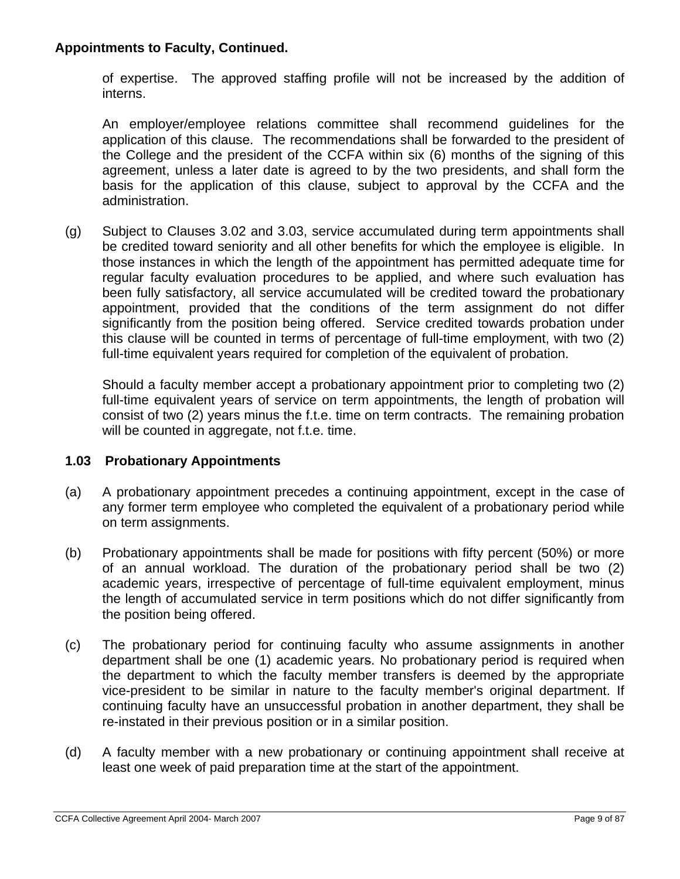of expertise. The approved staffing profile will not be increased by the addition of interns.

An employer/employee relations committee shall recommend guidelines for the application of this clause. The recommendations shall be forwarded to the president of the College and the president of the CCFA within six (6) months of the signing of this agreement, unless a later date is agreed to by the two presidents, and shall form the basis for the application of this clause, subject to approval by the CCFA and the administration.

(g) Subject to Clauses 3.02 and 3.03, service accumulated during term appointments shall be credited toward seniority and all other benefits for which the employee is eligible. In those instances in which the length of the appointment has permitted adequate time for regular faculty evaluation procedures to be applied, and where such evaluation has been fully satisfactory, all service accumulated will be credited toward the probationary appointment, provided that the conditions of the term assignment do not differ significantly from the position being offered. Service credited towards probation under this clause will be counted in terms of percentage of full-time employment, with two (2) full-time equivalent years required for completion of the equivalent of probation.

Should a faculty member accept a probationary appointment prior to completing two (2) full-time equivalent years of service on term appointments, the length of probation will consist of two (2) years minus the f.t.e. time on term contracts. The remaining probation will be counted in aggregate, not f.t.e. time.

## **1.03 Probationary Appointments**

- (a) A probationary appointment precedes a continuing appointment, except in the case of any former term employee who completed the equivalent of a probationary period while on term assignments.
- (b) Probationary appointments shall be made for positions with fifty percent (50%) or more of an annual workload. The duration of the probationary period shall be two (2) academic years, irrespective of percentage of full-time equivalent employment, minus the length of accumulated service in term positions which do not differ significantly from the position being offered.
- (c) The probationary period for continuing faculty who assume assignments in another department shall be one (1) academic years. No probationary period is required when the department to which the faculty member transfers is deemed by the appropriate vice-president to be similar in nature to the faculty member's original department. If continuing faculty have an unsuccessful probation in another department, they shall be re-instated in their previous position or in a similar position.
- (d) A faculty member with a new probationary or continuing appointment shall receive at least one week of paid preparation time at the start of the appointment.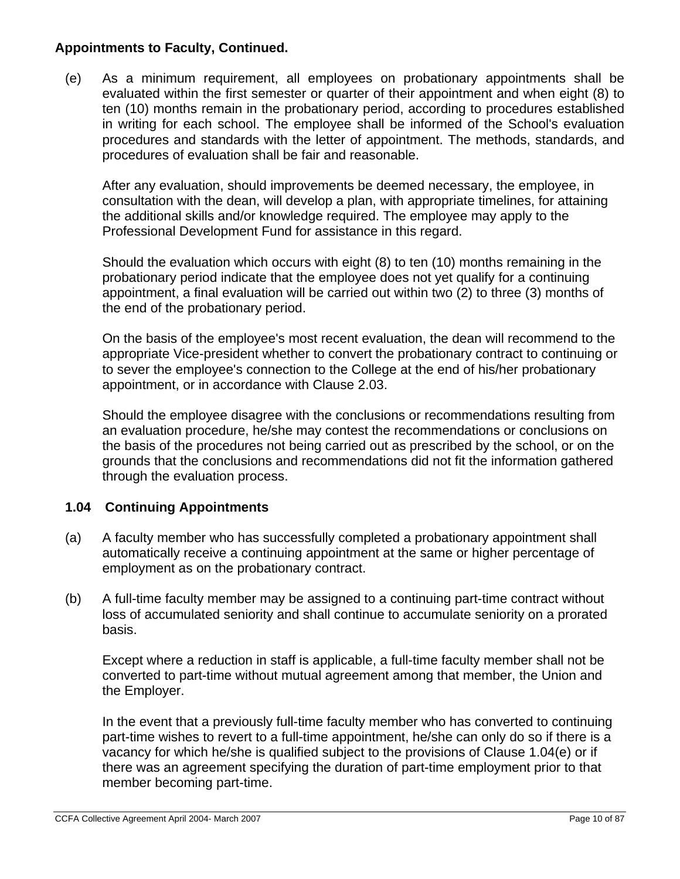(e) As a minimum requirement, all employees on probationary appointments shall be evaluated within the first semester or quarter of their appointment and when eight (8) to ten (10) months remain in the probationary period, according to procedures established in writing for each school. The employee shall be informed of the School's evaluation procedures and standards with the letter of appointment. The methods, standards, and procedures of evaluation shall be fair and reasonable.

After any evaluation, should improvements be deemed necessary, the employee, in consultation with the dean, will develop a plan, with appropriate timelines, for attaining the additional skills and/or knowledge required. The employee may apply to the Professional Development Fund for assistance in this regard.

Should the evaluation which occurs with eight (8) to ten (10) months remaining in the probationary period indicate that the employee does not yet qualify for a continuing appointment, a final evaluation will be carried out within two (2) to three (3) months of the end of the probationary period.

On the basis of the employee's most recent evaluation, the dean will recommend to the appropriate Vice-president whether to convert the probationary contract to continuing or to sever the employee's connection to the College at the end of his/her probationary appointment, or in accordance with Clause 2.03.

Should the employee disagree with the conclusions or recommendations resulting from an evaluation procedure, he/she may contest the recommendations or conclusions on the basis of the procedures not being carried out as prescribed by the school, or on the grounds that the conclusions and recommendations did not fit the information gathered through the evaluation process.

## **1.04 Continuing Appointments**

- (a) A faculty member who has successfully completed a probationary appointment shall automatically receive a continuing appointment at the same or higher percentage of employment as on the probationary contract.
- (b) A full-time faculty member may be assigned to a continuing part-time contract without loss of accumulated seniority and shall continue to accumulate seniority on a prorated basis.

Except where a reduction in staff is applicable, a full-time faculty member shall not be converted to part-time without mutual agreement among that member, the Union and the Employer.

In the event that a previously full-time faculty member who has converted to continuing part-time wishes to revert to a full-time appointment, he/she can only do so if there is a vacancy for which he/she is qualified subject to the provisions of Clause 1.04(e) or if there was an agreement specifying the duration of part-time employment prior to that member becoming part-time.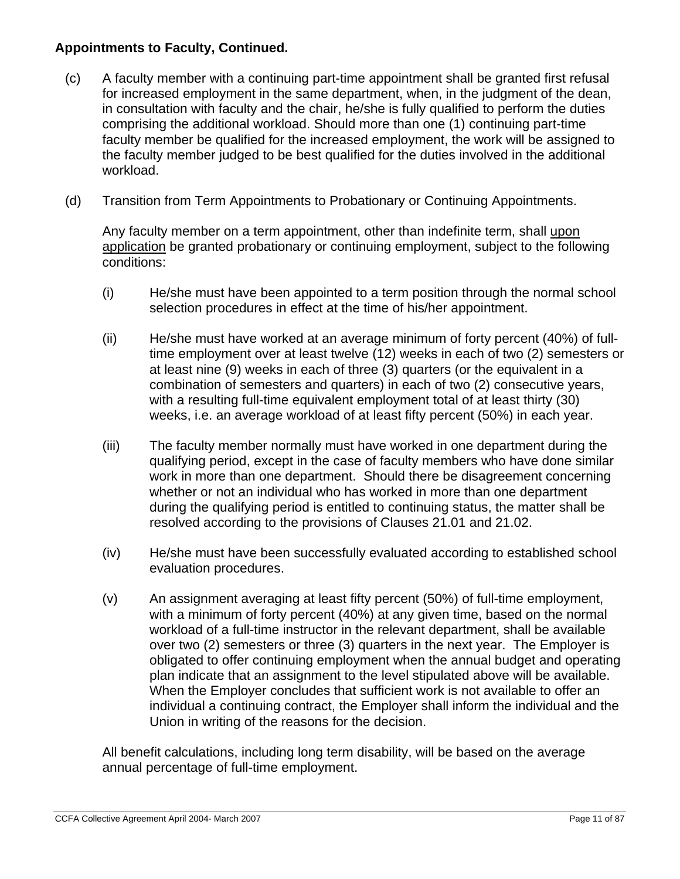- (c) A faculty member with a continuing part-time appointment shall be granted first refusal for increased employment in the same department, when, in the judgment of the dean, in consultation with faculty and the chair, he/she is fully qualified to perform the duties comprising the additional workload. Should more than one (1) continuing part-time faculty member be qualified for the increased employment, the work will be assigned to the faculty member judged to be best qualified for the duties involved in the additional workload.
- (d) Transition from Term Appointments to Probationary or Continuing Appointments.

Any faculty member on a term appointment, other than indefinite term, shall upon application be granted probationary or continuing employment, subject to the following conditions:

- (i) He/she must have been appointed to a term position through the normal school selection procedures in effect at the time of his/her appointment.
- (ii) He/she must have worked at an average minimum of forty percent (40%) of fulltime employment over at least twelve (12) weeks in each of two (2) semesters or at least nine (9) weeks in each of three (3) quarters (or the equivalent in a combination of semesters and quarters) in each of two (2) consecutive years, with a resulting full-time equivalent employment total of at least thirty (30) weeks, i.e. an average workload of at least fifty percent (50%) in each year.
- (iii) The faculty member normally must have worked in one department during the qualifying period, except in the case of faculty members who have done similar work in more than one department. Should there be disagreement concerning whether or not an individual who has worked in more than one department during the qualifying period is entitled to continuing status, the matter shall be resolved according to the provisions of Clauses 21.01 and 21.02.
- (iv) He/she must have been successfully evaluated according to established school evaluation procedures.
- (v) An assignment averaging at least fifty percent (50%) of full-time employment, with a minimum of forty percent (40%) at any given time, based on the normal workload of a full-time instructor in the relevant department, shall be available over two (2) semesters or three (3) quarters in the next year. The Employer is obligated to offer continuing employment when the annual budget and operating plan indicate that an assignment to the level stipulated above will be available. When the Employer concludes that sufficient work is not available to offer an individual a continuing contract, the Employer shall inform the individual and the Union in writing of the reasons for the decision.

All benefit calculations, including long term disability, will be based on the average annual percentage of full-time employment.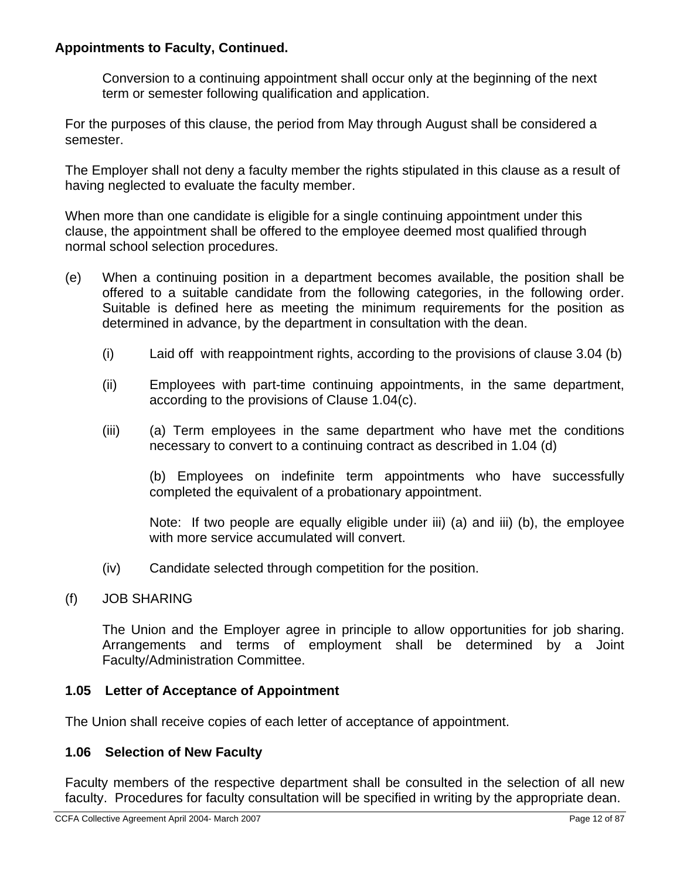Conversion to a continuing appointment shall occur only at the beginning of the next term or semester following qualification and application.

For the purposes of this clause, the period from May through August shall be considered a semester.

The Employer shall not deny a faculty member the rights stipulated in this clause as a result of having neglected to evaluate the faculty member.

When more than one candidate is eligible for a single continuing appointment under this clause, the appointment shall be offered to the employee deemed most qualified through normal school selection procedures.

- (e) When a continuing position in a department becomes available, the position shall be offered to a suitable candidate from the following categories, in the following order. Suitable is defined here as meeting the minimum requirements for the position as determined in advance, by the department in consultation with the dean.
	- (i) Laid off with reappointment rights, according to the provisions of clause 3.04 (b)
	- (ii) Employees with part-time continuing appointments, in the same department, according to the provisions of Clause 1.04(c).
	- (iii) (a) Term employees in the same department who have met the conditions necessary to convert to a continuing contract as described in 1.04 (d)

(b) Employees on indefinite term appointments who have successfully completed the equivalent of a probationary appointment.

Note: If two people are equally eligible under iii) (a) and iii) (b), the employee with more service accumulated will convert.

(iv) Candidate selected through competition for the position.

## (f) JOB SHARING

The Union and the Employer agree in principle to allow opportunities for job sharing. Arrangements and terms of employment shall be determined by a Joint Faculty/Administration Committee.

## **1.05 Letter of Acceptance of Appointment**

The Union shall receive copies of each letter of acceptance of appointment.

#### **1.06 Selection of New Faculty**

Faculty members of the respective department shall be consulted in the selection of all new faculty. Procedures for faculty consultation will be specified in writing by the appropriate dean.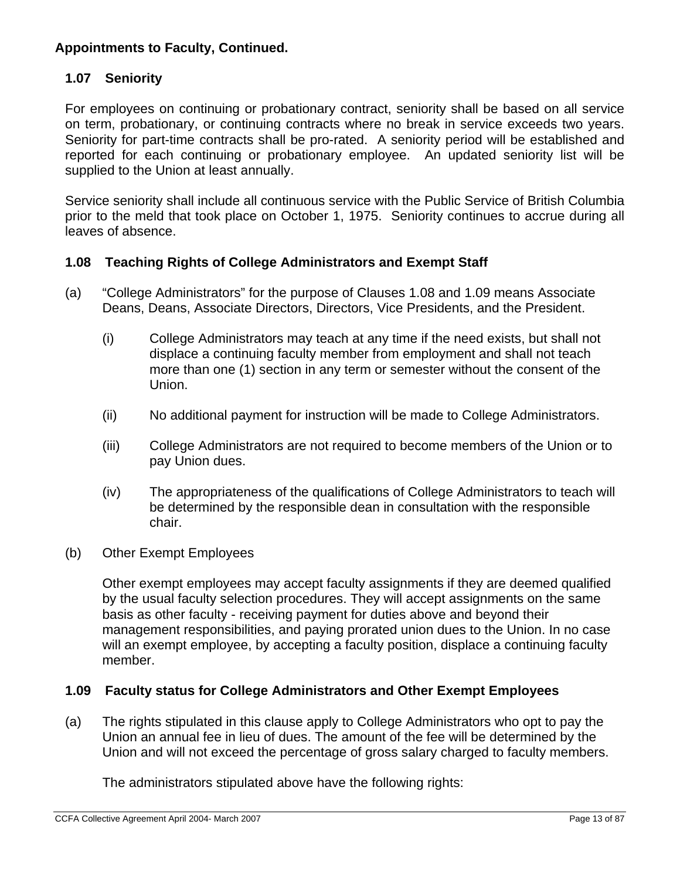## **1.07 Seniority**

For employees on continuing or probationary contract, seniority shall be based on all service on term, probationary, or continuing contracts where no break in service exceeds two years. Seniority for part-time contracts shall be pro-rated. A seniority period will be established and reported for each continuing or probationary employee. An updated seniority list will be supplied to the Union at least annually.

Service seniority shall include all continuous service with the Public Service of British Columbia prior to the meld that took place on October 1, 1975. Seniority continues to accrue during all leaves of absence.

#### **1.08 Teaching Rights of College Administrators and Exempt Staff**

- (a) "College Administrators" for the purpose of Clauses 1.08 and 1.09 means Associate Deans, Deans, Associate Directors, Directors, Vice Presidents, and the President.
	- (i) College Administrators may teach at any time if the need exists, but shall not displace a continuing faculty member from employment and shall not teach more than one (1) section in any term or semester without the consent of the Union.
	- (ii) No additional payment for instruction will be made to College Administrators.
	- (iii) College Administrators are not required to become members of the Union or to pay Union dues.
	- (iv) The appropriateness of the qualifications of College Administrators to teach will be determined by the responsible dean in consultation with the responsible chair.
- (b) Other Exempt Employees

Other exempt employees may accept faculty assignments if they are deemed qualified by the usual faculty selection procedures. They will accept assignments on the same basis as other faculty - receiving payment for duties above and beyond their management responsibilities, and paying prorated union dues to the Union. In no case will an exempt employee, by accepting a faculty position, displace a continuing faculty member.

## **1.09 Faculty status for College Administrators and Other Exempt Employees**

(a) The rights stipulated in this clause apply to College Administrators who opt to pay the Union an annual fee in lieu of dues. The amount of the fee will be determined by the Union and will not exceed the percentage of gross salary charged to faculty members.

The administrators stipulated above have the following rights: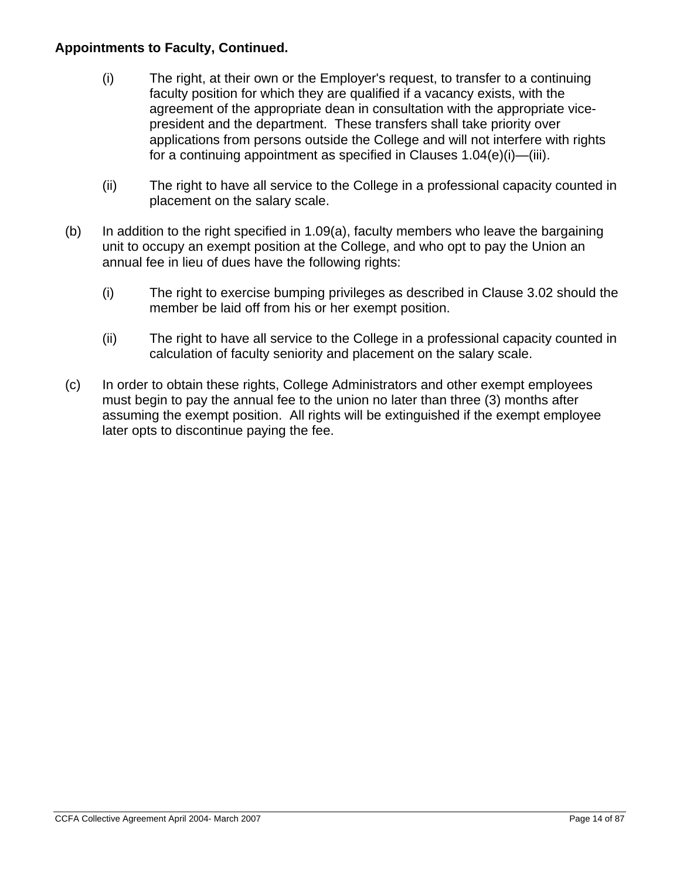- (i) The right, at their own or the Employer's request, to transfer to a continuing faculty position for which they are qualified if a vacancy exists, with the agreement of the appropriate dean in consultation with the appropriate vicepresident and the department. These transfers shall take priority over applications from persons outside the College and will not interfere with rights for a continuing appointment as specified in Clauses 1.04(e)(i)—(iii).
- (ii) The right to have all service to the College in a professional capacity counted in placement on the salary scale.
- (b) In addition to the right specified in 1.09(a), faculty members who leave the bargaining unit to occupy an exempt position at the College, and who opt to pay the Union an annual fee in lieu of dues have the following rights:
	- (i) The right to exercise bumping privileges as described in Clause 3.02 should the member be laid off from his or her exempt position.
	- (ii) The right to have all service to the College in a professional capacity counted in calculation of faculty seniority and placement on the salary scale.
- (c) In order to obtain these rights, College Administrators and other exempt employees must begin to pay the annual fee to the union no later than three (3) months after assuming the exempt position. All rights will be extinguished if the exempt employee later opts to discontinue paying the fee.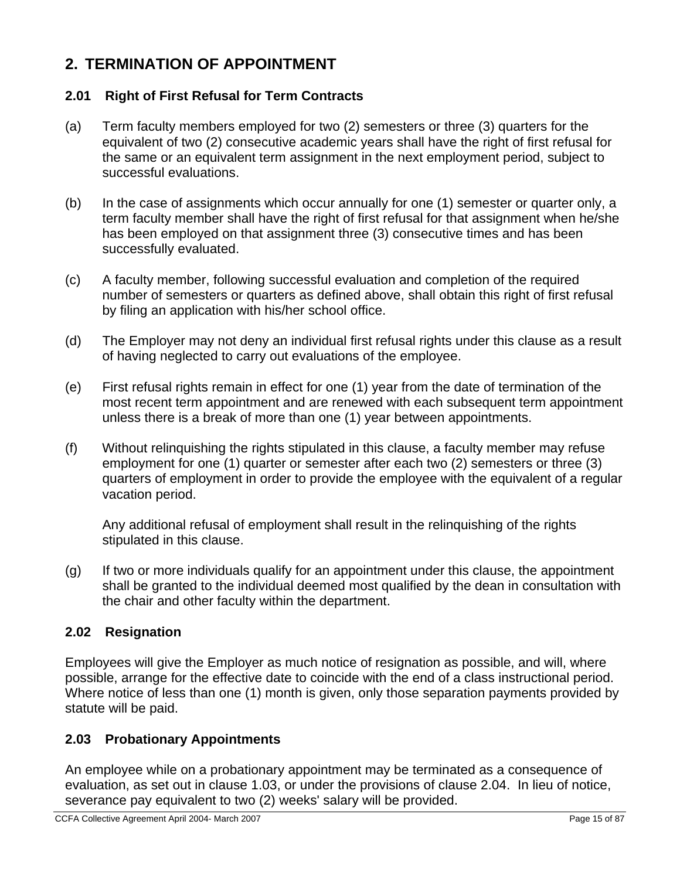# **2. TERMINATION OF APPOINTMENT**

## **2.01 Right of First Refusal for Term Contracts**

- (a) Term faculty members employed for two (2) semesters or three (3) quarters for the equivalent of two (2) consecutive academic years shall have the right of first refusal for the same or an equivalent term assignment in the next employment period, subject to successful evaluations.
- (b) In the case of assignments which occur annually for one (1) semester or quarter only, a term faculty member shall have the right of first refusal for that assignment when he/she has been employed on that assignment three (3) consecutive times and has been successfully evaluated.
- (c) A faculty member, following successful evaluation and completion of the required number of semesters or quarters as defined above, shall obtain this right of first refusal by filing an application with his/her school office.
- (d) The Employer may not deny an individual first refusal rights under this clause as a result of having neglected to carry out evaluations of the employee.
- (e) First refusal rights remain in effect for one (1) year from the date of termination of the most recent term appointment and are renewed with each subsequent term appointment unless there is a break of more than one (1) year between appointments.
- (f) Without relinquishing the rights stipulated in this clause, a faculty member may refuse employment for one (1) quarter or semester after each two (2) semesters or three (3) quarters of employment in order to provide the employee with the equivalent of a regular vacation period.

Any additional refusal of employment shall result in the relinquishing of the rights stipulated in this clause.

(g) If two or more individuals qualify for an appointment under this clause, the appointment shall be granted to the individual deemed most qualified by the dean in consultation with the chair and other faculty within the department.

## **2.02 Resignation**

Employees will give the Employer as much notice of resignation as possible, and will, where possible, arrange for the effective date to coincide with the end of a class instructional period. Where notice of less than one (1) month is given, only those separation payments provided by statute will be paid.

## **2.03 Probationary Appointments**

An employee while on a probationary appointment may be terminated as a consequence of evaluation, as set out in clause 1.03, or under the provisions of clause 2.04. In lieu of notice, severance pay equivalent to two (2) weeks' salary will be provided.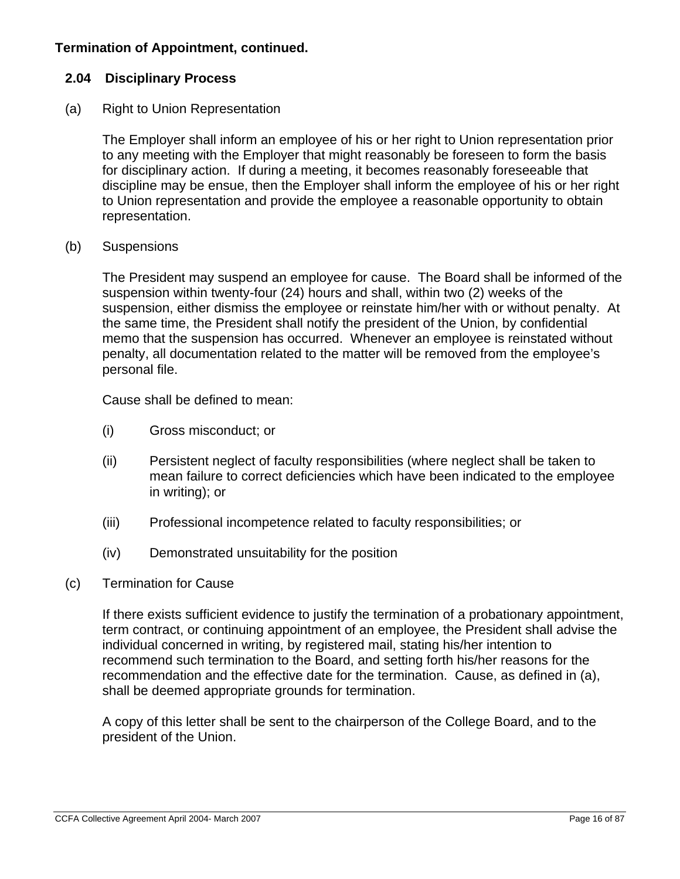## **Termination of Appointment, continued.**

### **2.04 Disciplinary Process**

#### (a) Right to Union Representation

The Employer shall inform an employee of his or her right to Union representation prior to any meeting with the Employer that might reasonably be foreseen to form the basis for disciplinary action. If during a meeting, it becomes reasonably foreseeable that discipline may be ensue, then the Employer shall inform the employee of his or her right to Union representation and provide the employee a reasonable opportunity to obtain representation.

#### (b) Suspensions

The President may suspend an employee for cause. The Board shall be informed of the suspension within twenty-four (24) hours and shall, within two (2) weeks of the suspension, either dismiss the employee or reinstate him/her with or without penalty. At the same time, the President shall notify the president of the Union, by confidential memo that the suspension has occurred. Whenever an employee is reinstated without penalty, all documentation related to the matter will be removed from the employee's personal file.

Cause shall be defined to mean:

- (i) Gross misconduct; or
- (ii) Persistent neglect of faculty responsibilities (where neglect shall be taken to mean failure to correct deficiencies which have been indicated to the employee in writing); or
- (iii) Professional incompetence related to faculty responsibilities; or
- (iv) Demonstrated unsuitability for the position

#### (c) Termination for Cause

If there exists sufficient evidence to justify the termination of a probationary appointment, term contract, or continuing appointment of an employee, the President shall advise the individual concerned in writing, by registered mail, stating his/her intention to recommend such termination to the Board, and setting forth his/her reasons for the recommendation and the effective date for the termination. Cause, as defined in (a), shall be deemed appropriate grounds for termination.

A copy of this letter shall be sent to the chairperson of the College Board, and to the president of the Union.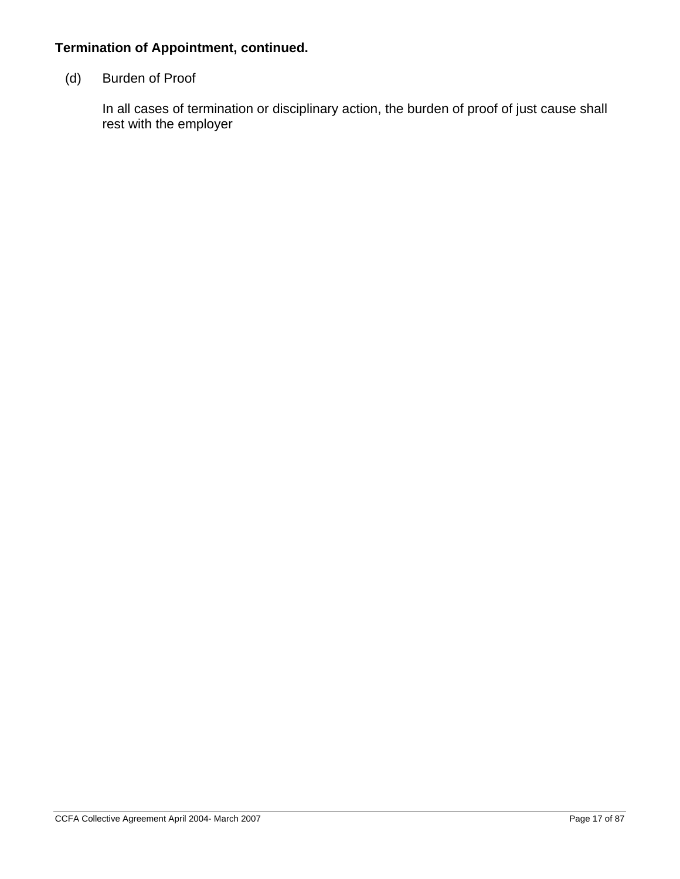## **Termination of Appointment, continued.**

## (d) Burden of Proof

In all cases of termination or disciplinary action, the burden of proof of just cause shall rest with the employer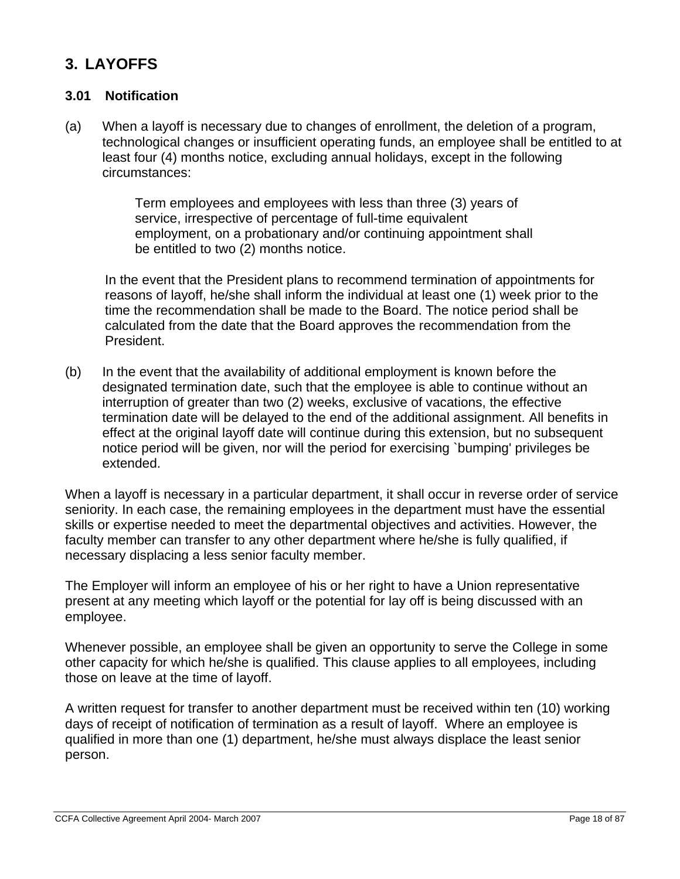# **3. LAYOFFS**

## **3.01 Notification**

(a) When a layoff is necessary due to changes of enrollment, the deletion of a program, technological changes or insufficient operating funds, an employee shall be entitled to at least four (4) months notice, excluding annual holidays, except in the following circumstances:

> Term employees and employees with less than three (3) years of service, irrespective of percentage of full-time equivalent employment, on a probationary and/or continuing appointment shall be entitled to two (2) months notice.

In the event that the President plans to recommend termination of appointments for reasons of layoff, he/she shall inform the individual at least one (1) week prior to the time the recommendation shall be made to the Board. The notice period shall be calculated from the date that the Board approves the recommendation from the President.

(b) In the event that the availability of additional employment is known before the designated termination date, such that the employee is able to continue without an interruption of greater than two (2) weeks, exclusive of vacations, the effective termination date will be delayed to the end of the additional assignment. All benefits in effect at the original layoff date will continue during this extension, but no subsequent notice period will be given, nor will the period for exercising `bumping' privileges be extended.

When a layoff is necessary in a particular department, it shall occur in reverse order of service seniority. In each case, the remaining employees in the department must have the essential skills or expertise needed to meet the departmental objectives and activities. However, the faculty member can transfer to any other department where he/she is fully qualified, if necessary displacing a less senior faculty member.

The Employer will inform an employee of his or her right to have a Union representative present at any meeting which layoff or the potential for lay off is being discussed with an employee.

Whenever possible, an employee shall be given an opportunity to serve the College in some other capacity for which he/she is qualified. This clause applies to all employees, including those on leave at the time of layoff.

A written request for transfer to another department must be received within ten (10) working days of receipt of notification of termination as a result of layoff. Where an employee is qualified in more than one (1) department, he/she must always displace the least senior person.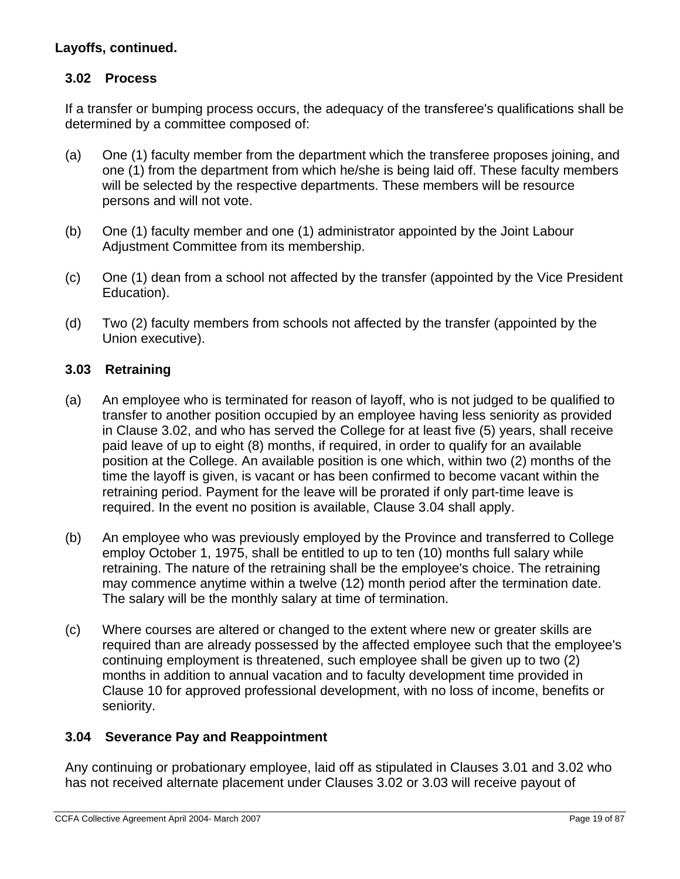## **Layoffs, continued.**

## **3.02 Process**

If a transfer or bumping process occurs, the adequacy of the transferee's qualifications shall be determined by a committee composed of:

- (a) One (1) faculty member from the department which the transferee proposes joining, and one (1) from the department from which he/she is being laid off. These faculty members will be selected by the respective departments. These members will be resource persons and will not vote.
- (b) One (1) faculty member and one (1) administrator appointed by the Joint Labour Adjustment Committee from its membership.
- (c) One (1) dean from a school not affected by the transfer (appointed by the Vice President Education).
- (d) Two (2) faculty members from schools not affected by the transfer (appointed by the Union executive).

## **3.03 Retraining**

- (a) An employee who is terminated for reason of layoff, who is not judged to be qualified to transfer to another position occupied by an employee having less seniority as provided in Clause 3.02, and who has served the College for at least five (5) years, shall receive paid leave of up to eight (8) months, if required, in order to qualify for an available position at the College. An available position is one which, within two (2) months of the time the layoff is given, is vacant or has been confirmed to become vacant within the retraining period. Payment for the leave will be prorated if only part-time leave is required. In the event no position is available, Clause 3.04 shall apply.
- (b) An employee who was previously employed by the Province and transferred to College employ October 1, 1975, shall be entitled to up to ten (10) months full salary while retraining. The nature of the retraining shall be the employee's choice. The retraining may commence anytime within a twelve (12) month period after the termination date. The salary will be the monthly salary at time of termination.
- (c) Where courses are altered or changed to the extent where new or greater skills are required than are already possessed by the affected employee such that the employee's continuing employment is threatened, such employee shall be given up to two (2) months in addition to annual vacation and to faculty development time provided in Clause 10 for approved professional development, with no loss of income, benefits or seniority.

## **3.04 Severance Pay and Reappointment**

Any continuing or probationary employee, laid off as stipulated in Clauses 3.01 and 3.02 who has not received alternate placement under Clauses 3.02 or 3.03 will receive payout of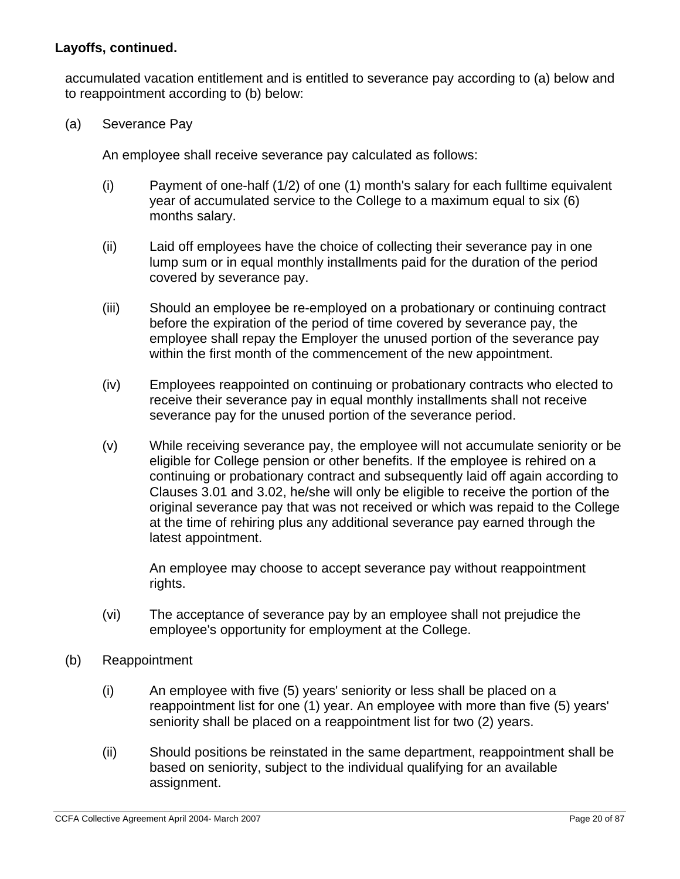## **Layoffs, continued.**

accumulated vacation entitlement and is entitled to severance pay according to (a) below and to reappointment according to (b) below:

(a) Severance Pay

An employee shall receive severance pay calculated as follows:

- (i) Payment of one-half (1/2) of one (1) month's salary for each fulltime equivalent year of accumulated service to the College to a maximum equal to six (6) months salary.
- (ii) Laid off employees have the choice of collecting their severance pay in one lump sum or in equal monthly installments paid for the duration of the period covered by severance pay.
- (iii) Should an employee be re-employed on a probationary or continuing contract before the expiration of the period of time covered by severance pay, the employee shall repay the Employer the unused portion of the severance pay within the first month of the commencement of the new appointment.
- (iv) Employees reappointed on continuing or probationary contracts who elected to receive their severance pay in equal monthly installments shall not receive severance pay for the unused portion of the severance period.
- (v) While receiving severance pay, the employee will not accumulate seniority or be eligible for College pension or other benefits. If the employee is rehired on a continuing or probationary contract and subsequently laid off again according to Clauses 3.01 and 3.02, he/she will only be eligible to receive the portion of the original severance pay that was not received or which was repaid to the College at the time of rehiring plus any additional severance pay earned through the latest appointment.

An employee may choose to accept severance pay without reappointment rights.

- (vi) The acceptance of severance pay by an employee shall not prejudice the employee's opportunity for employment at the College.
- (b) Reappointment
	- (i) An employee with five (5) years' seniority or less shall be placed on a reappointment list for one (1) year. An employee with more than five (5) years' seniority shall be placed on a reappointment list for two (2) years.
	- (ii) Should positions be reinstated in the same department, reappointment shall be based on seniority, subject to the individual qualifying for an available assignment.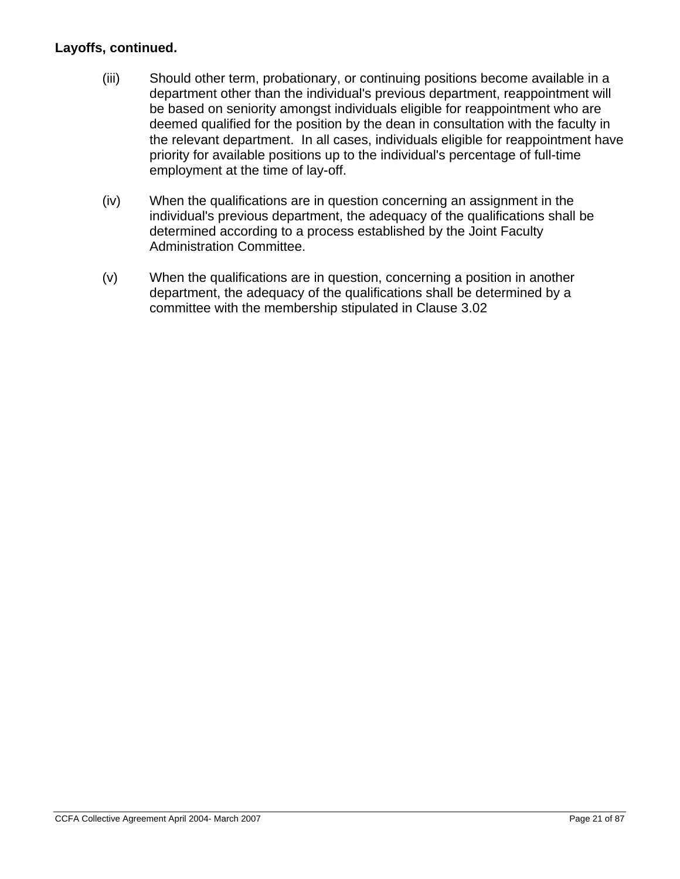## **Layoffs, continued.**

- (iii) Should other term, probationary, or continuing positions become available in a department other than the individual's previous department, reappointment will be based on seniority amongst individuals eligible for reappointment who are deemed qualified for the position by the dean in consultation with the faculty in the relevant department.In all cases, individuals eligible for reappointment have priority for available positions up to the individual's percentage of full-time employment at the time of lay-off.
- (iv) When the qualifications are in question concerning an assignment in the individual's previous department, the adequacy of the qualifications shall be determined according to a process established by the Joint Faculty Administration Committee.
- (v) When the qualifications are in question, concerning a position in another department, the adequacy of the qualifications shall be determined by a committee with the membership stipulated in Clause 3.02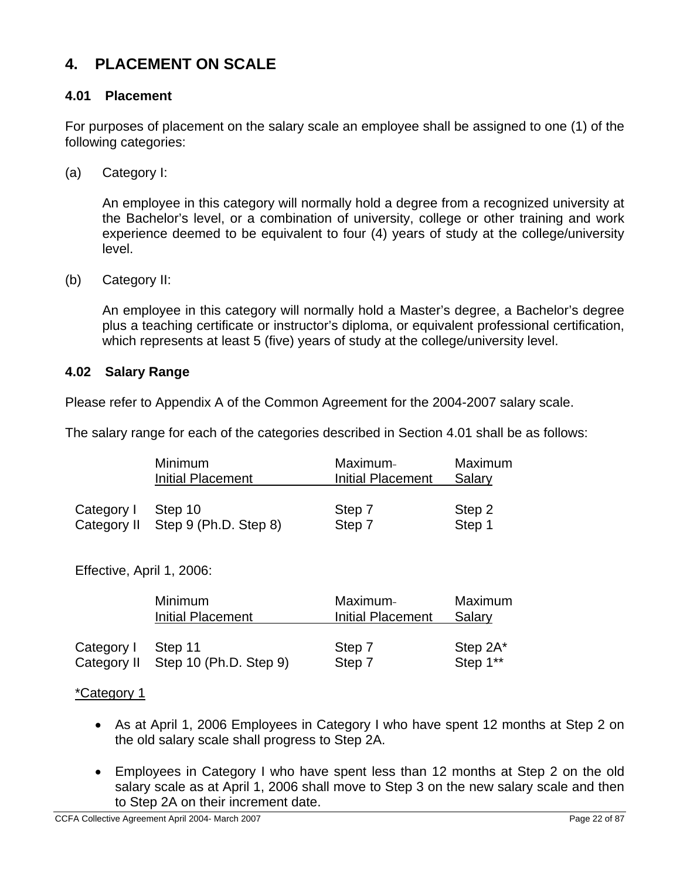# **4. PLACEMENT ON SCALE**

## **4.01 Placement**

For purposes of placement on the salary scale an employee shall be assigned to one (1) of the following categories:

(a) Category I:

An employee in this category will normally hold a degree from a recognized university at the Bachelor's level, or a combination of university, college or other training and work experience deemed to be equivalent to four (4) years of study at the college/university level.

(b) Category II:

An employee in this category will normally hold a Master's degree, a Bachelor's degree plus a teaching certificate or instructor's diploma, or equivalent professional certification, which represents at least 5 (five) years of study at the college/university level.

#### **4.02 Salary Range**

Please refer to Appendix A of the Common Agreement for the 2004-2007 salary scale.

The salary range for each of the categories described in Section 4.01 shall be as follows:

|             | Minimum                  | Maximum-                 | Maximum |
|-------------|--------------------------|--------------------------|---------|
|             | <b>Initial Placement</b> | <b>Initial Placement</b> | Salary  |
| Category I  | Step 10                  | Step 7                   | Step 2  |
| Category II | Step 9 (Ph.D. Step 8)    | Step 7                   | Step 1  |

Effective, April 1, 2006:

|             | Minimum                | Maximum-          | Maximum  |
|-------------|------------------------|-------------------|----------|
|             | Initial Placement      | Initial Placement | Salary   |
| Category I  | Step 11                | Step 7            | Step 2A* |
| Category II | Step 10 (Ph.D. Step 9) | Step 7            | Step 1** |

#### \*Category 1

- As at April 1, 2006 Employees in Category I who have spent 12 months at Step 2 on the old salary scale shall progress to Step 2A.
- Employees in Category I who have spent less than 12 months at Step 2 on the old salary scale as at April 1, 2006 shall move to Step 3 on the new salary scale and then to Step 2A on their increment date.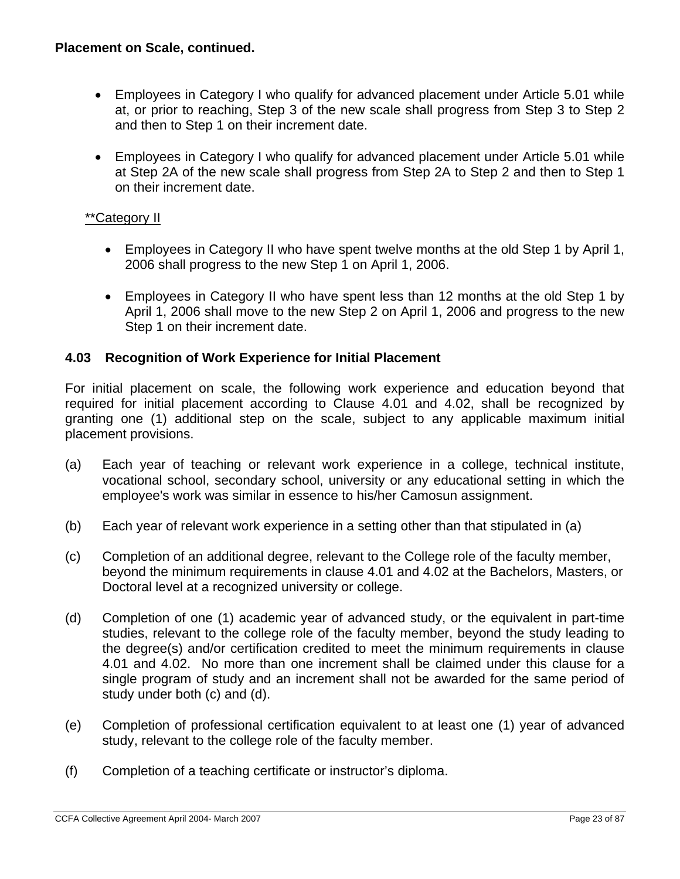## **Placement on Scale, continued.**

- Employees in Category I who qualify for advanced placement under Article 5.01 while at, or prior to reaching, Step 3 of the new scale shall progress from Step 3 to Step 2 and then to Step 1 on their increment date.
- Employees in Category I who qualify for advanced placement under Article 5.01 while at Step 2A of the new scale shall progress from Step 2A to Step 2 and then to Step 1 on their increment date.

## \*\*Category II

- Employees in Category II who have spent twelve months at the old Step 1 by April 1, 2006 shall progress to the new Step 1 on April 1, 2006.
- Employees in Category II who have spent less than 12 months at the old Step 1 by April 1, 2006 shall move to the new Step 2 on April 1, 2006 and progress to the new Step 1 on their increment date.

## **4.03 Recognition of Work Experience for Initial Placement**

For initial placement on scale, the following work experience and education beyond that required for initial placement according to Clause 4.01 and 4.02, shall be recognized by granting one (1) additional step on the scale, subject to any applicable maximum initial placement provisions.

- (a) Each year of teaching or relevant work experience in a college, technical institute, vocational school, secondary school, university or any educational setting in which the employee's work was similar in essence to his/her Camosun assignment.
- (b) Each year of relevant work experience in a setting other than that stipulated in (a)
- (c) Completion of an additional degree, relevant to the College role of the faculty member, beyond the minimum requirements in clause 4.01 and 4.02 at the Bachelors, Masters, or Doctoral level at a recognized university or college.
- (d) Completion of one (1) academic year of advanced study, or the equivalent in part-time studies, relevant to the college role of the faculty member, beyond the study leading to the degree(s) and/or certification credited to meet the minimum requirements in clause 4.01 and 4.02. No more than one increment shall be claimed under this clause for a single program of study and an increment shall not be awarded for the same period of study under both (c) and (d).
- (e) Completion of professional certification equivalent to at least one (1) year of advanced study, relevant to the college role of the faculty member.
- (f) Completion of a teaching certificate or instructor's diploma.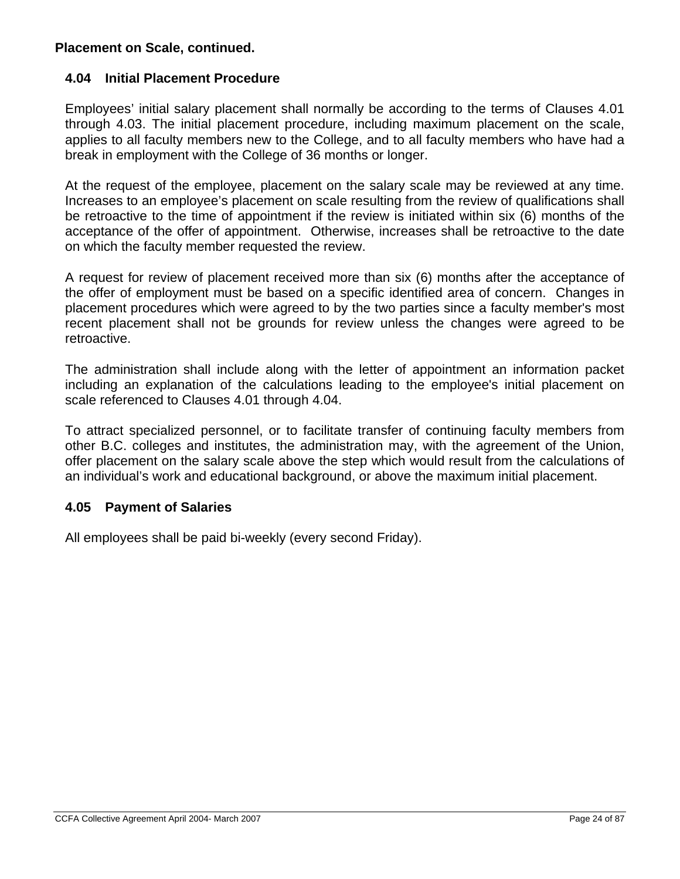## **Placement on Scale, continued.**

## **4.04 Initial Placement Procedure**

Employees' initial salary placement shall normally be according to the terms of Clauses 4.01 through 4.03. The initial placement procedure, including maximum placement on the scale, applies to all faculty members new to the College, and to all faculty members who have had a break in employment with the College of 36 months or longer.

At the request of the employee, placement on the salary scale may be reviewed at any time. Increases to an employee's placement on scale resulting from the review of qualifications shall be retroactive to the time of appointment if the review is initiated within six (6) months of the acceptance of the offer of appointment. Otherwise, increases shall be retroactive to the date on which the faculty member requested the review.

A request for review of placement received more than six (6) months after the acceptance of the offer of employment must be based on a specific identified area of concern. Changes in placement procedures which were agreed to by the two parties since a faculty member's most recent placement shall not be grounds for review unless the changes were agreed to be retroactive.

The administration shall include along with the letter of appointment an information packet including an explanation of the calculations leading to the employee's initial placement on scale referenced to Clauses 4.01 through 4.04.

To attract specialized personnel, or to facilitate transfer of continuing faculty members from other B.C. colleges and institutes, the administration may, with the agreement of the Union, offer placement on the salary scale above the step which would result from the calculations of an individual's work and educational background, or above the maximum initial placement.

## **4.05 Payment of Salaries**

All employees shall be paid bi-weekly (every second Friday).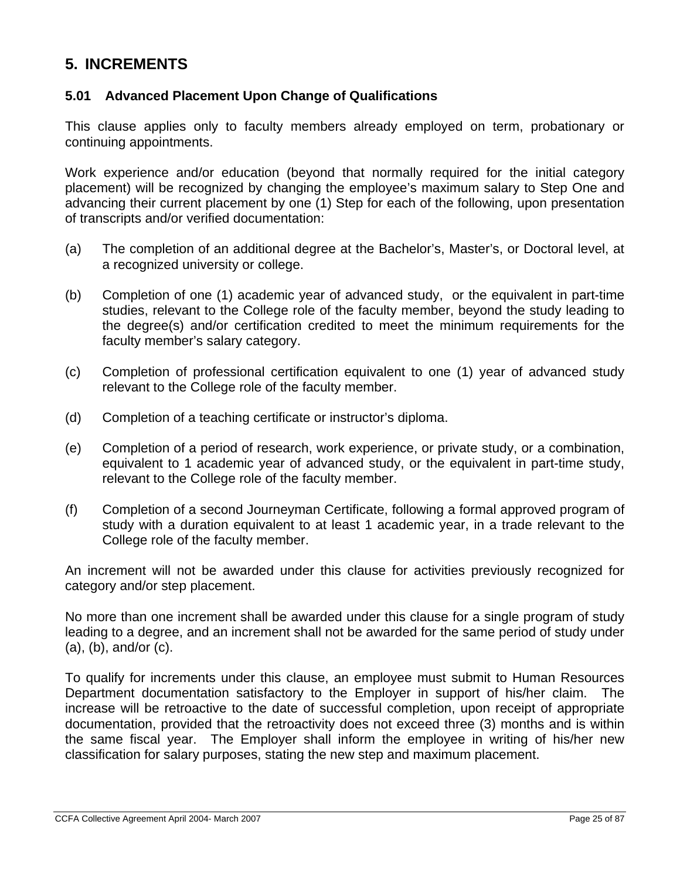# **5. INCREMENTS**

## **5.01 Advanced Placement Upon Change of Qualifications**

This clause applies only to faculty members already employed on term, probationary or continuing appointments.

Work experience and/or education (beyond that normally required for the initial category placement) will be recognized by changing the employee's maximum salary to Step One and advancing their current placement by one (1) Step for each of the following, upon presentation of transcripts and/or verified documentation:

- (a) The completion of an additional degree at the Bachelor's, Master's, or Doctoral level, at a recognized university or college.
- (b) Completion of one (1) academic year of advanced study, or the equivalent in part-time studies, relevant to the College role of the faculty member, beyond the study leading to the degree(s) and/or certification credited to meet the minimum requirements for the faculty member's salary category.
- (c) Completion of professional certification equivalent to one (1) year of advanced study relevant to the College role of the faculty member.
- (d) Completion of a teaching certificate or instructor's diploma.
- (e) Completion of a period of research, work experience, or private study, or a combination, equivalent to 1 academic year of advanced study, or the equivalent in part-time study, relevant to the College role of the faculty member.
- (f) Completion of a second Journeyman Certificate, following a formal approved program of study with a duration equivalent to at least 1 academic year, in a trade relevant to the College role of the faculty member.

An increment will not be awarded under this clause for activities previously recognized for category and/or step placement.

No more than one increment shall be awarded under this clause for a single program of study leading to a degree, and an increment shall not be awarded for the same period of study under (a), (b), and/or (c).

To qualify for increments under this clause, an employee must submit to Human Resources Department documentation satisfactory to the Employer in support of his/her claim. The increase will be retroactive to the date of successful completion, upon receipt of appropriate documentation, provided that the retroactivity does not exceed three (3) months and is within the same fiscal year. The Employer shall inform the employee in writing of his/her new classification for salary purposes, stating the new step and maximum placement.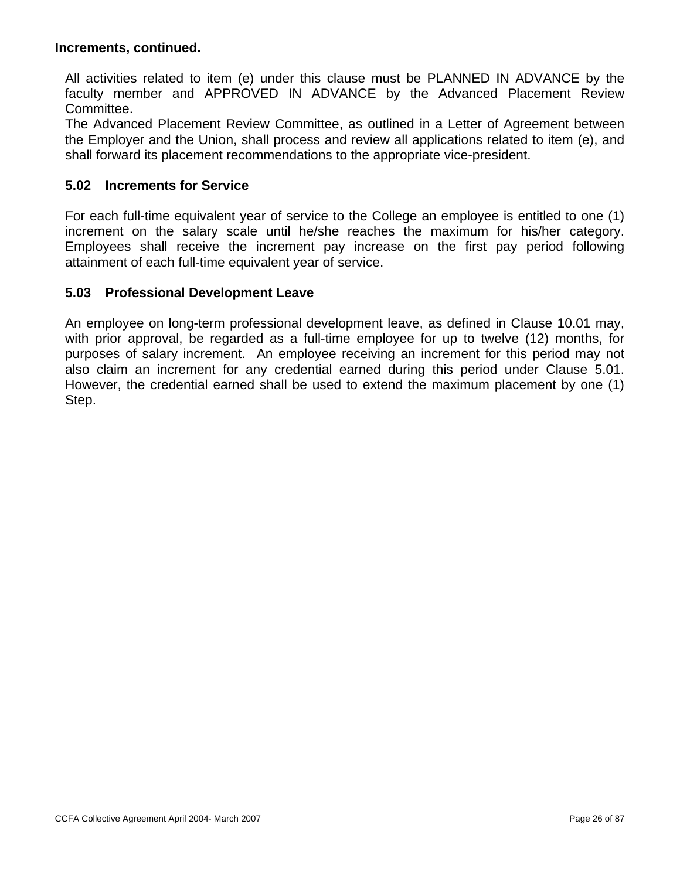#### **Increments, continued.**

All activities related to item (e) under this clause must be PLANNED IN ADVANCE by the faculty member and APPROVED IN ADVANCE by the Advanced Placement Review Committee.

The Advanced Placement Review Committee, as outlined in a Letter of Agreement between the Employer and the Union, shall process and review all applications related to item (e), and shall forward its placement recommendations to the appropriate vice-president.

#### **5.02 Increments for Service**

For each full-time equivalent year of service to the College an employee is entitled to one (1) increment on the salary scale until he/she reaches the maximum for his/her category. Employees shall receive the increment pay increase on the first pay period following attainment of each full-time equivalent year of service.

#### **5.03 Professional Development Leave**

An employee on long-term professional development leave, as defined in Clause 10.01 may, with prior approval, be regarded as a full-time employee for up to twelve (12) months, for purposes of salary increment. An employee receiving an increment for this period may not also claim an increment for any credential earned during this period under Clause 5.01. However, the credential earned shall be used to extend the maximum placement by one (1) Step.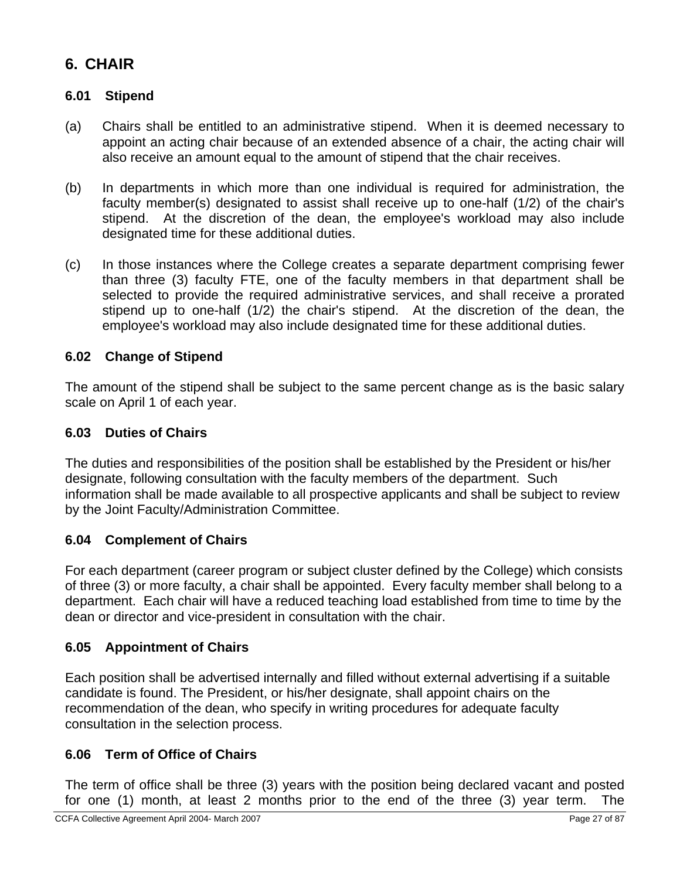# **6. CHAIR**

## **6.01 Stipend**

- (a) Chairs shall be entitled to an administrative stipend. When it is deemed necessary to appoint an acting chair because of an extended absence of a chair, the acting chair will also receive an amount equal to the amount of stipend that the chair receives.
- (b) In departments in which more than one individual is required for administration, the faculty member(s) designated to assist shall receive up to one-half (1/2) of the chair's stipend. At the discretion of the dean, the employee's workload may also include designated time for these additional duties.
- (c) In those instances where the College creates a separate department comprising fewer than three (3) faculty FTE, one of the faculty members in that department shall be selected to provide the required administrative services, and shall receive a prorated stipend up to one-half (1/2) the chair's stipend. At the discretion of the dean, the employee's workload may also include designated time for these additional duties.

## **6.02 Change of Stipend**

The amount of the stipend shall be subject to the same percent change as is the basic salary scale on April 1 of each year.

## **6.03 Duties of Chairs**

The duties and responsibilities of the position shall be established by the President or his/her designate, following consultation with the faculty members of the department. Such information shall be made available to all prospective applicants and shall be subject to review by the Joint Faculty/Administration Committee.

## **6.04 Complement of Chairs**

For each department (career program or subject cluster defined by the College) which consists of three (3) or more faculty, a chair shall be appointed. Every faculty member shall belong to a department. Each chair will have a reduced teaching load established from time to time by the dean or director and vice-president in consultation with the chair.

## **6.05 Appointment of Chairs**

Each position shall be advertised internally and filled without external advertising if a suitable candidate is found. The President, or his/her designate, shall appoint chairs on the recommendation of the dean, who specify in writing procedures for adequate faculty consultation in the selection process.

## **6.06 Term of Office of Chairs**

The term of office shall be three (3) years with the position being declared vacant and posted for one (1) month, at least 2 months prior to the end of the three (3) year term. The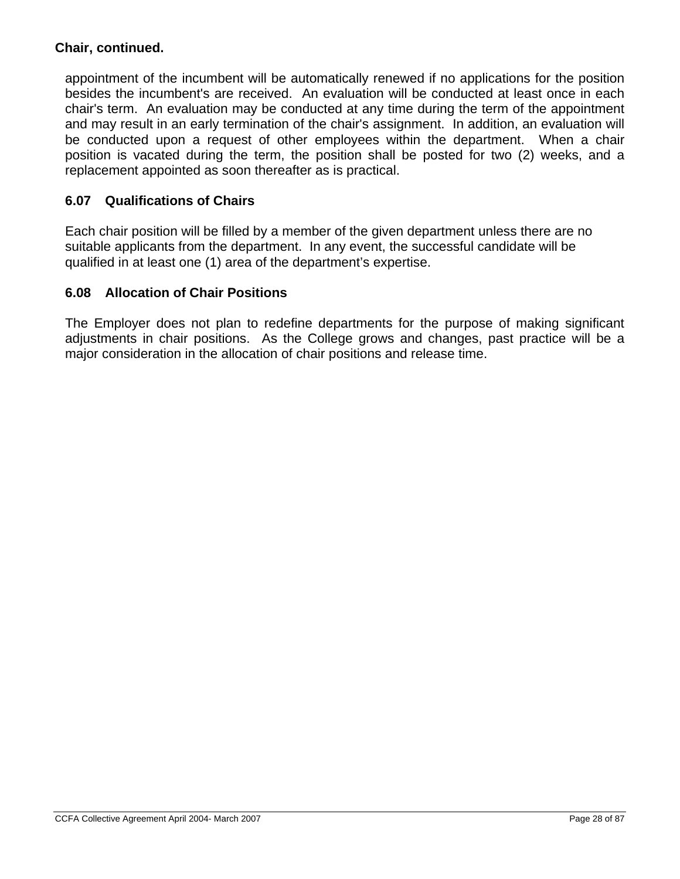## **Chair, continued.**

appointment of the incumbent will be automatically renewed if no applications for the position besides the incumbent's are received. An evaluation will be conducted at least once in each chair's term. An evaluation may be conducted at any time during the term of the appointment and may result in an early termination of the chair's assignment. In addition, an evaluation will be conducted upon a request of other employees within the department. When a chair position is vacated during the term, the position shall be posted for two (2) weeks, and a replacement appointed as soon thereafter as is practical.

## **6.07 Qualifications of Chairs**

Each chair position will be filled by a member of the given department unless there are no suitable applicants from the department. In any event, the successful candidate will be qualified in at least one (1) area of the department's expertise.

## **6.08 Allocation of Chair Positions**

The Employer does not plan to redefine departments for the purpose of making significant adjustments in chair positions. As the College grows and changes, past practice will be a major consideration in the allocation of chair positions and release time.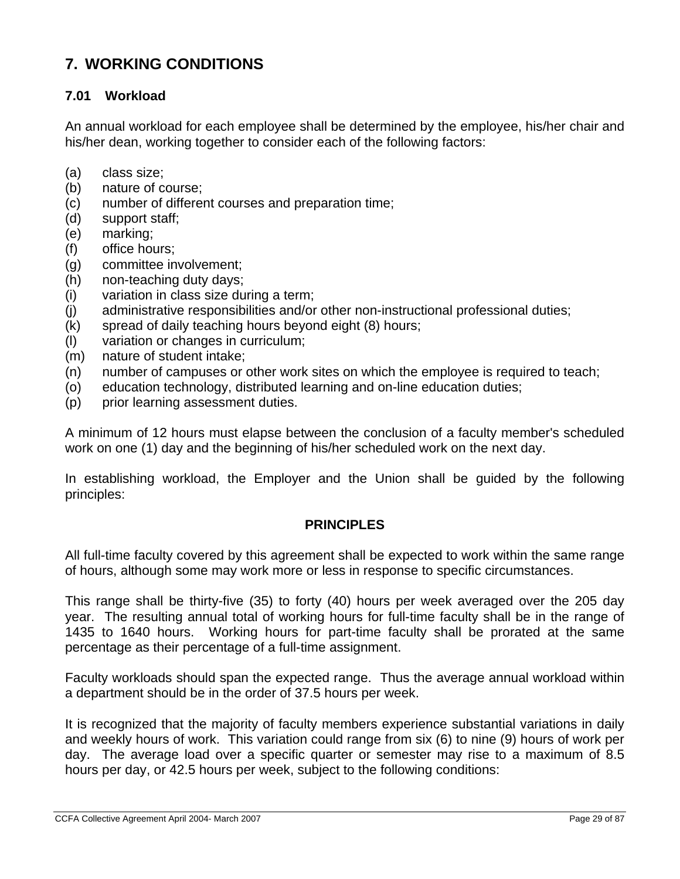# **7. WORKING CONDITIONS**

## **7.01 Workload**

An annual workload for each employee shall be determined by the employee, his/her chair and his/her dean, working together to consider each of the following factors:

- (a) class size;
- (b) nature of course;
- (c) number of different courses and preparation time;
- (d) support staff;
- (e) marking;
- (f) office hours;
- (g) committee involvement;
- (h) non-teaching duty days;
- (i) variation in class size during a term;
- (j) administrative responsibilities and/or other non-instructional professional duties;
- (k) spread of daily teaching hours beyond eight (8) hours;
- (l) variation or changes in curriculum;
- (m) nature of student intake;
- (n) number of campuses or other work sites on which the employee is required to teach;
- (o) education technology, distributed learning and on-line education duties;
- (p) prior learning assessment duties.

A minimum of 12 hours must elapse between the conclusion of a faculty member's scheduled work on one (1) day and the beginning of his/her scheduled work on the next day.

In establishing workload, the Employer and the Union shall be guided by the following principles:

#### **PRINCIPLES**

All full-time faculty covered by this agreement shall be expected to work within the same range of hours, although some may work more or less in response to specific circumstances.

This range shall be thirty-five (35) to forty (40) hours per week averaged over the 205 day year. The resulting annual total of working hours for full-time faculty shall be in the range of 1435 to 1640 hours. Working hours for part-time faculty shall be prorated at the same percentage as their percentage of a full-time assignment.

Faculty workloads should span the expected range. Thus the average annual workload within a department should be in the order of 37.5 hours per week.

It is recognized that the majority of faculty members experience substantial variations in daily and weekly hours of work. This variation could range from six (6) to nine (9) hours of work per day. The average load over a specific quarter or semester may rise to a maximum of 8.5 hours per day, or 42.5 hours per week, subject to the following conditions: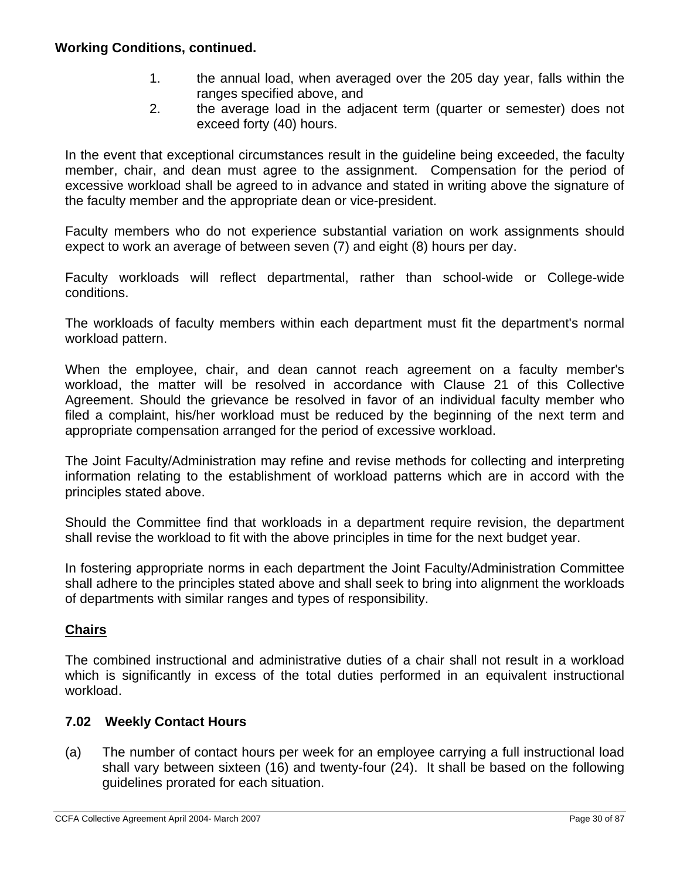- 1. the annual load, when averaged over the 205 day year, falls within the ranges specified above, and
- 2. the average load in the adjacent term (quarter or semester) does not exceed forty (40) hours.

In the event that exceptional circumstances result in the guideline being exceeded, the faculty member, chair, and dean must agree to the assignment. Compensation for the period of excessive workload shall be agreed to in advance and stated in writing above the signature of the faculty member and the appropriate dean or vice-president.

Faculty members who do not experience substantial variation on work assignments should expect to work an average of between seven (7) and eight (8) hours per day.

Faculty workloads will reflect departmental, rather than school-wide or College-wide conditions.

The workloads of faculty members within each department must fit the department's normal workload pattern.

When the employee, chair, and dean cannot reach agreement on a faculty member's workload, the matter will be resolved in accordance with Clause 21 of this Collective Agreement. Should the grievance be resolved in favor of an individual faculty member who filed a complaint, his/her workload must be reduced by the beginning of the next term and appropriate compensation arranged for the period of excessive workload.

The Joint Faculty/Administration may refine and revise methods for collecting and interpreting information relating to the establishment of workload patterns which are in accord with the principles stated above.

Should the Committee find that workloads in a department require revision, the department shall revise the workload to fit with the above principles in time for the next budget year.

In fostering appropriate norms in each department the Joint Faculty/Administration Committee shall adhere to the principles stated above and shall seek to bring into alignment the workloads of departments with similar ranges and types of responsibility.

## **Chairs**

The combined instructional and administrative duties of a chair shall not result in a workload which is significantly in excess of the total duties performed in an equivalent instructional workload.

## **7.02 Weekly Contact Hours**

(a) The number of contact hours per week for an employee carrying a full instructional load shall vary between sixteen (16) and twenty-four (24). It shall be based on the following guidelines prorated for each situation.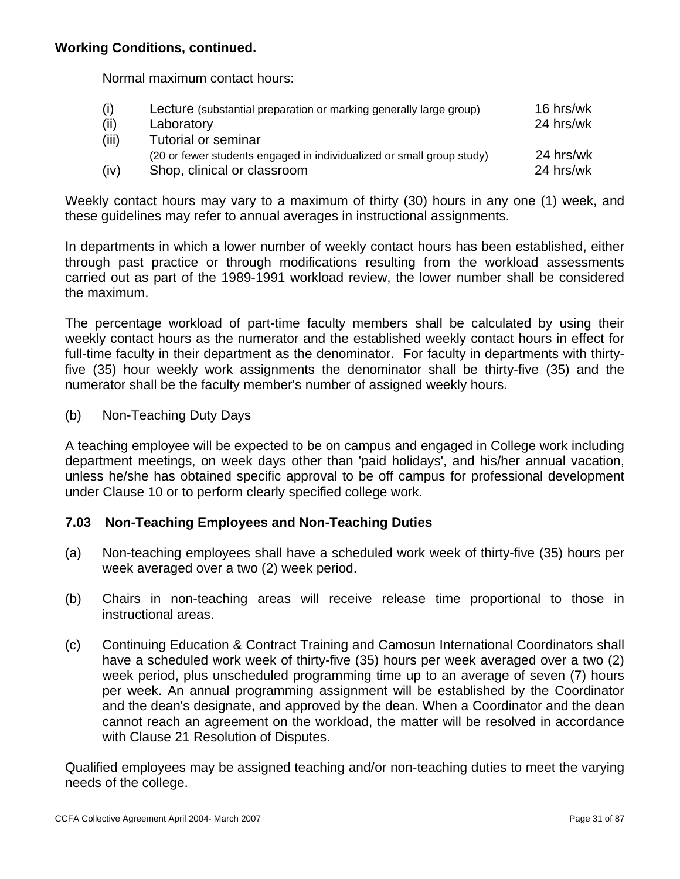Normal maximum contact hours:

| (i)   | Lecture (substantial preparation or marking generally large group)    | 16 hrs/wk |
|-------|-----------------------------------------------------------------------|-----------|
| (ii)  | Laboratory                                                            | 24 hrs/wk |
| (iii) | Tutorial or seminar                                                   |           |
|       | (20 or fewer students engaged in individualized or small group study) | 24 hrs/wk |
| (iv)  | Shop, clinical or classroom                                           | 24 hrs/wk |

Weekly contact hours may vary to a maximum of thirty (30) hours in any one (1) week, and these guidelines may refer to annual averages in instructional assignments.

In departments in which a lower number of weekly contact hours has been established, either through past practice or through modifications resulting from the workload assessments carried out as part of the 1989-1991 workload review, the lower number shall be considered the maximum.

The percentage workload of part-time faculty members shall be calculated by using their weekly contact hours as the numerator and the established weekly contact hours in effect for full-time faculty in their department as the denominator. For faculty in departments with thirtyfive (35) hour weekly work assignments the denominator shall be thirty-five (35) and the numerator shall be the faculty member's number of assigned weekly hours.

(b) Non-Teaching Duty Days

A teaching employee will be expected to be on campus and engaged in College work including department meetings, on week days other than 'paid holidays', and his/her annual vacation, unless he/she has obtained specific approval to be off campus for professional development under Clause 10 or to perform clearly specified college work.

## **7.03 Non-Teaching Employees and Non-Teaching Duties**

- (a) Non-teaching employees shall have a scheduled work week of thirty-five (35) hours per week averaged over a two (2) week period.
- (b) Chairs in non-teaching areas will receive release time proportional to those in instructional areas.
- (c) Continuing Education & Contract Training and Camosun International Coordinators shall have a scheduled work week of thirty-five (35) hours per week averaged over a two (2) week period, plus unscheduled programming time up to an average of seven (7) hours per week. An annual programming assignment will be established by the Coordinator and the dean's designate, and approved by the dean. When a Coordinator and the dean cannot reach an agreement on the workload, the matter will be resolved in accordance with Clause 21 Resolution of Disputes.

Qualified employees may be assigned teaching and/or non-teaching duties to meet the varying needs of the college.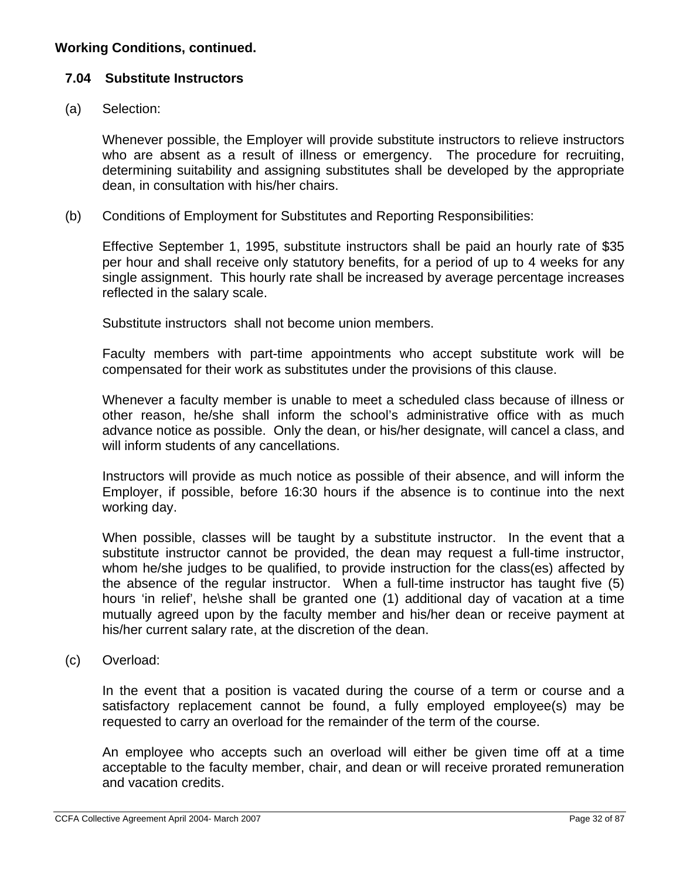## **7.04 Substitute Instructors**

(a) Selection:

Whenever possible, the Employer will provide substitute instructors to relieve instructors who are absent as a result of illness or emergency. The procedure for recruiting, determining suitability and assigning substitutes shall be developed by the appropriate dean, in consultation with his/her chairs.

(b) Conditions of Employment for Substitutes and Reporting Responsibilities:

Effective September 1, 1995, substitute instructors shall be paid an hourly rate of \$35 per hour and shall receive only statutory benefits, for a period of up to 4 weeks for any single assignment. This hourly rate shall be increased by average percentage increases reflected in the salary scale.

Substitute instructors shall not become union members.

Faculty members with part-time appointments who accept substitute work will be compensated for their work as substitutes under the provisions of this clause.

Whenever a faculty member is unable to meet a scheduled class because of illness or other reason, he/she shall inform the school's administrative office with as much advance notice as possible. Only the dean, or his/her designate, will cancel a class, and will inform students of any cancellations.

Instructors will provide as much notice as possible of their absence, and will inform the Employer, if possible, before 16:30 hours if the absence is to continue into the next working day.

When possible, classes will be taught by a substitute instructor. In the event that a substitute instructor cannot be provided, the dean may request a full-time instructor, whom he/she judges to be qualified, to provide instruction for the class(es) affected by the absence of the regular instructor. When a full-time instructor has taught five (5) hours 'in relief', he\she shall be granted one (1) additional day of vacation at a time mutually agreed upon by the faculty member and his/her dean or receive payment at his/her current salary rate, at the discretion of the dean.

(c) Overload:

In the event that a position is vacated during the course of a term or course and a satisfactory replacement cannot be found, a fully employed employee(s) may be requested to carry an overload for the remainder of the term of the course.

An employee who accepts such an overload will either be given time off at a time acceptable to the faculty member, chair, and dean or will receive prorated remuneration and vacation credits.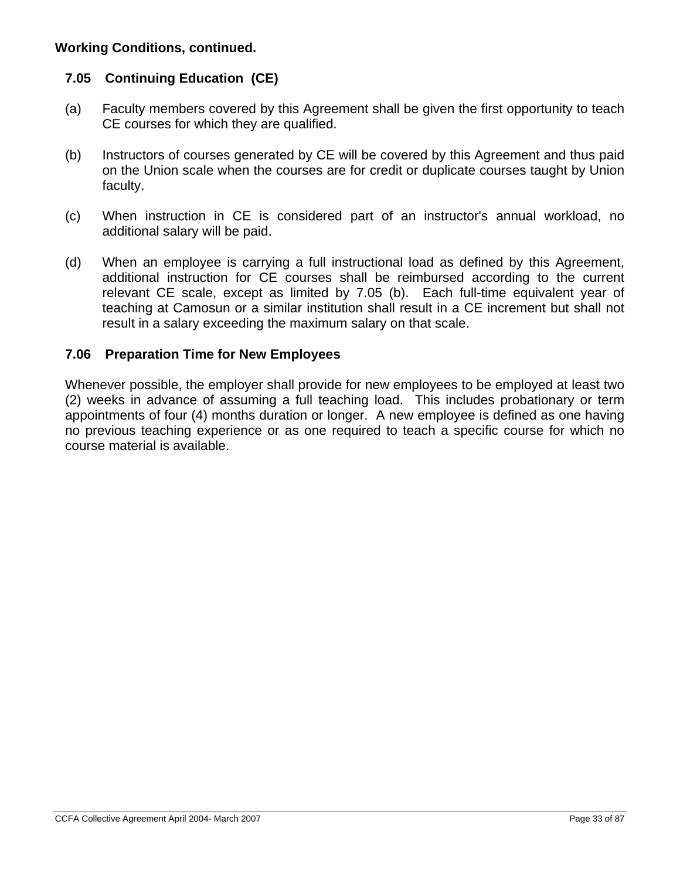## **7.05 Continuing Education (CE)**

- (a) Faculty members covered by this Agreement shall be given the first opportunity to teach CE courses for which they are qualified.
- (b) Instructors of courses generated by CE will be covered by this Agreement and thus paid on the Union scale when the courses are for credit or duplicate courses taught by Union faculty.
- (c) When instruction in CE is considered part of an instructor's annual workload, no additional salary will be paid.
- (d) When an employee is carrying a full instructional load as defined by this Agreement, additional instruction for CE courses shall be reimbursed according to the current relevant CE scale, except as limited by 7.05 (b). Each full-time equivalent year of teaching at Camosun or a similar institution shall result in a CE increment but shall not result in a salary exceeding the maximum salary on that scale.

## **7.06 Preparation Time for New Employees**

Whenever possible, the employer shall provide for new employees to be employed at least two (2) weeks in advance of assuming a full teaching load. This includes probationary or term appointments of four (4) months duration or longer. A new employee is defined as one having no previous teaching experience or as one required to teach a specific course for which no course material is available.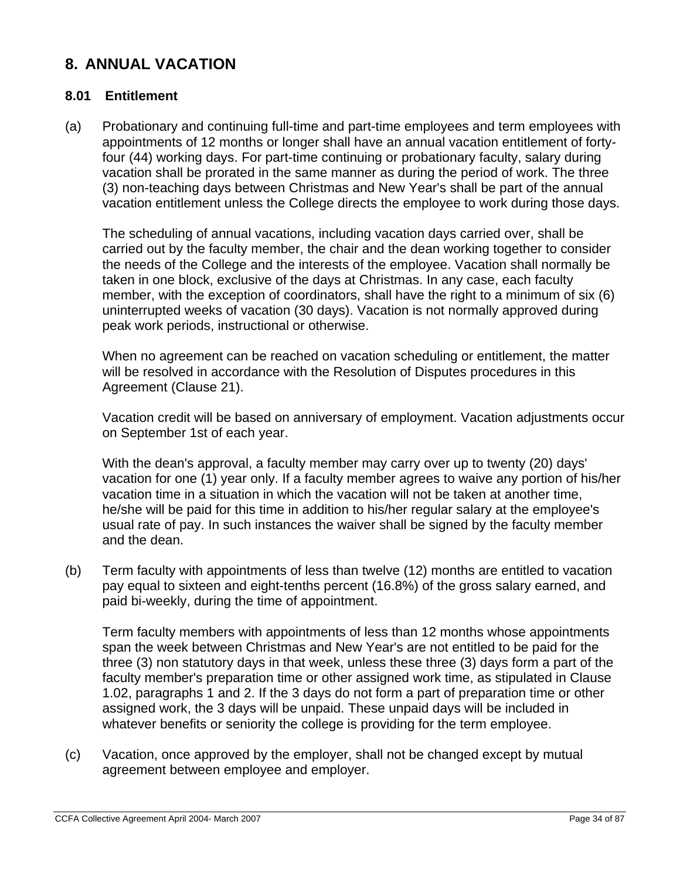# **8. ANNUAL VACATION**

### **8.01 Entitlement**

(a) Probationary and continuing full-time and part-time employees and term employees with appointments of 12 months or longer shall have an annual vacation entitlement of fortyfour (44) working days. For part-time continuing or probationary faculty, salary during vacation shall be prorated in the same manner as during the period of work. The three (3) non-teaching days between Christmas and New Year's shall be part of the annual vacation entitlement unless the College directs the employee to work during those days.

The scheduling of annual vacations, including vacation days carried over, shall be carried out by the faculty member, the chair and the dean working together to consider the needs of the College and the interests of the employee. Vacation shall normally be taken in one block, exclusive of the days at Christmas. In any case, each faculty member, with the exception of coordinators, shall have the right to a minimum of six (6) uninterrupted weeks of vacation (30 days). Vacation is not normally approved during peak work periods, instructional or otherwise.

When no agreement can be reached on vacation scheduling or entitlement, the matter will be resolved in accordance with the Resolution of Disputes procedures in this Agreement (Clause 21).

Vacation credit will be based on anniversary of employment. Vacation adjustments occur on September 1st of each year.

With the dean's approval, a faculty member may carry over up to twenty (20) days' vacation for one (1) year only. If a faculty member agrees to waive any portion of his/her vacation time in a situation in which the vacation will not be taken at another time, he/she will be paid for this time in addition to his/her regular salary at the employee's usual rate of pay. In such instances the waiver shall be signed by the faculty member and the dean.

(b) Term faculty with appointments of less than twelve (12) months are entitled to vacation pay equal to sixteen and eight-tenths percent (16.8%) of the gross salary earned, and paid bi-weekly, during the time of appointment.

Term faculty members with appointments of less than 12 months whose appointments span the week between Christmas and New Year's are not entitled to be paid for the three (3) non statutory days in that week, unless these three (3) days form a part of the faculty member's preparation time or other assigned work time, as stipulated in Clause 1.02, paragraphs 1 and 2. If the 3 days do not form a part of preparation time or other assigned work, the 3 days will be unpaid. These unpaid days will be included in whatever benefits or seniority the college is providing for the term employee.

(c) Vacation, once approved by the employer, shall not be changed except by mutual agreement between employee and employer.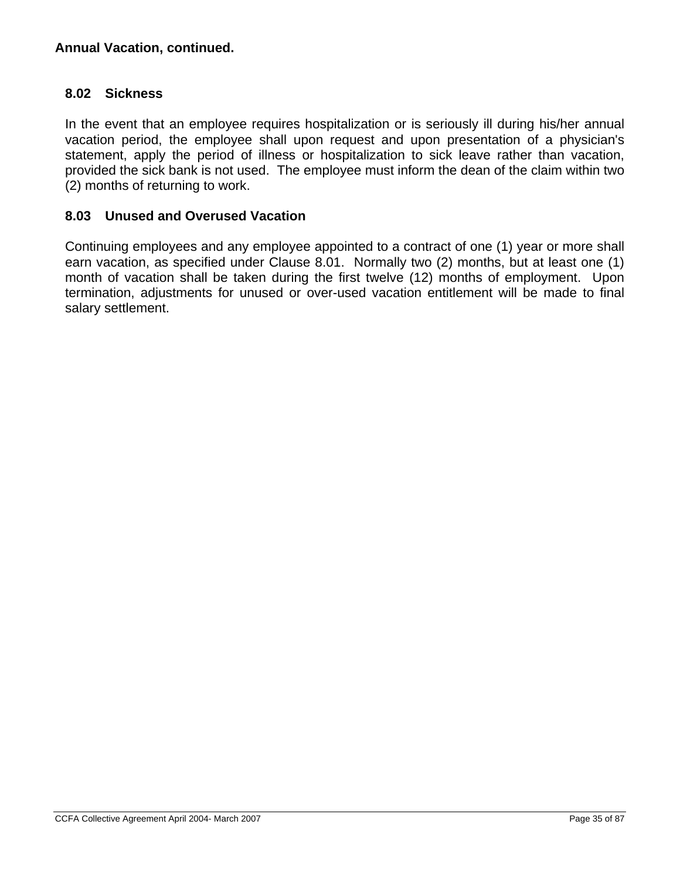## **8.02 Sickness**

In the event that an employee requires hospitalization or is seriously ill during his/her annual vacation period, the employee shall upon request and upon presentation of a physician's statement, apply the period of illness or hospitalization to sick leave rather than vacation, provided the sick bank is not used. The employee must inform the dean of the claim within two (2) months of returning to work.

## **8.03 Unused and Overused Vacation**

Continuing employees and any employee appointed to a contract of one (1) year or more shall earn vacation, as specified under Clause 8.01. Normally two (2) months, but at least one (1) month of vacation shall be taken during the first twelve (12) months of employment. Upon termination, adjustments for unused or over-used vacation entitlement will be made to final salary settlement.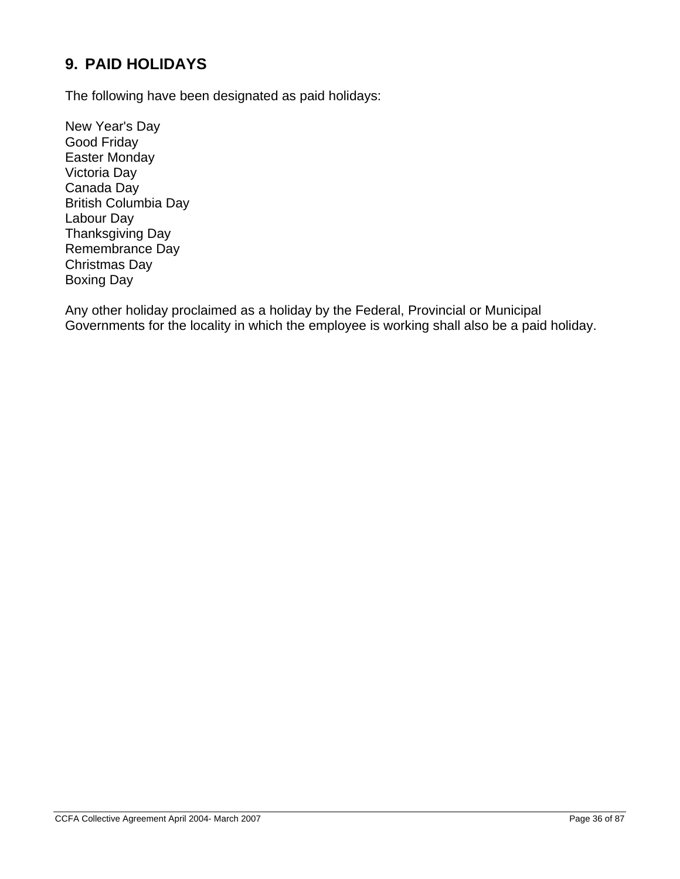# **9. PAID HOLIDAYS**

The following have been designated as paid holidays:

New Year's Day Good Friday Easter Monday Victoria Day Canada Day British Columbia Day Labour Day Thanksgiving Day Remembrance Day Christmas Day Boxing Day

Any other holiday proclaimed as a holiday by the Federal, Provincial or Municipal Governments for the locality in which the employee is working shall also be a paid holiday.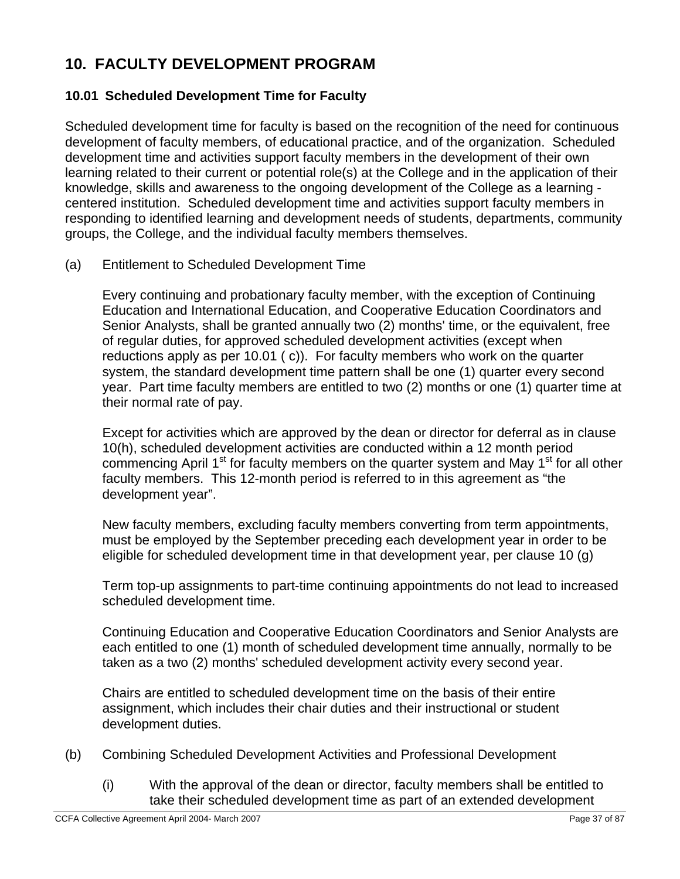# **10. FACULTY DEVELOPMENT PROGRAM**

## **10.01 Scheduled Development Time for Faculty**

Scheduled development time for faculty is based on the recognition of the need for continuous development of faculty members, of educational practice, and of the organization. Scheduled development time and activities support faculty members in the development of their own learning related to their current or potential role(s) at the College and in the application of their knowledge, skills and awareness to the ongoing development of the College as a learning centered institution. Scheduled development time and activities support faculty members in responding to identified learning and development needs of students, departments, community groups, the College, and the individual faculty members themselves.

(a) Entitlement to Scheduled Development Time

Every continuing and probationary faculty member, with the exception of Continuing Education and International Education, and Cooperative Education Coordinators and Senior Analysts, shall be granted annually two (2) months' time, or the equivalent, free of regular duties, for approved scheduled development activities (except when reductions apply as per 10.01 ( c)). For faculty members who work on the quarter system, the standard development time pattern shall be one (1) quarter every second year. Part time faculty members are entitled to two (2) months or one (1) quarter time at their normal rate of pay.

Except for activities which are approved by the dean or director for deferral as in clause 10(h), scheduled development activities are conducted within a 12 month period commencing April 1<sup>st</sup> for faculty members on the quarter system and May 1<sup>st</sup> for all other faculty members. This 12-month period is referred to in this agreement as "the development year".

New faculty members, excluding faculty members converting from term appointments, must be employed by the September preceding each development year in order to be eligible for scheduled development time in that development year, per clause 10 (g)

Term top-up assignments to part-time continuing appointments do not lead to increased scheduled development time.

Continuing Education and Cooperative Education Coordinators and Senior Analysts are each entitled to one (1) month of scheduled development time annually, normally to be taken as a two (2) months' scheduled development activity every second year.

Chairs are entitled to scheduled development time on the basis of their entire assignment, which includes their chair duties and their instructional or student development duties.

- (b) Combining Scheduled Development Activities and Professional Development
	- (i) With the approval of the dean or director, faculty members shall be entitled to take their scheduled development time as part of an extended development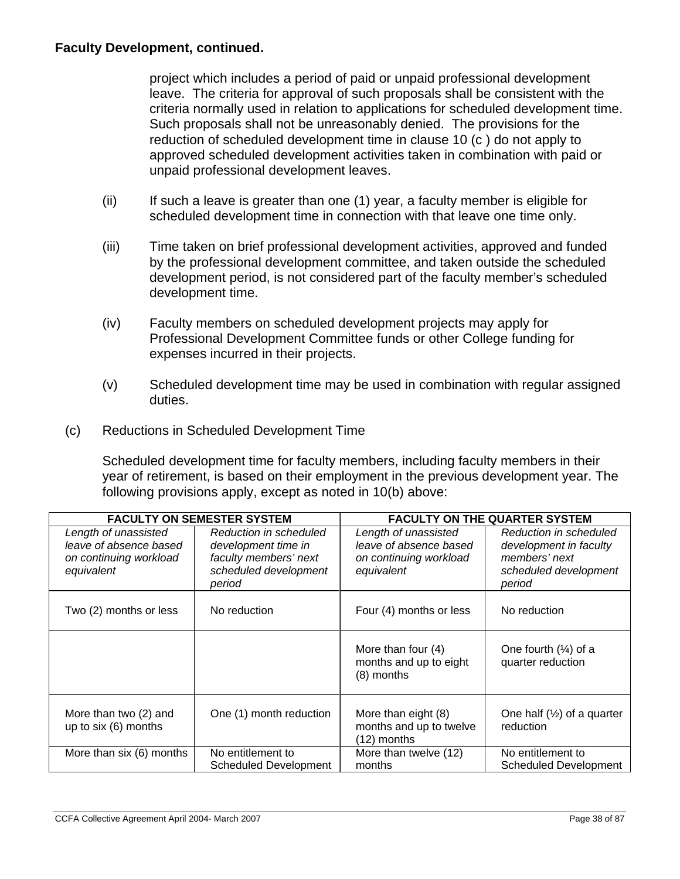project which includes a period of paid or unpaid professional development leave. The criteria for approval of such proposals shall be consistent with the criteria normally used in relation to applications for scheduled development time. Such proposals shall not be unreasonably denied. The provisions for the reduction of scheduled development time in clause 10 (c ) do not apply to approved scheduled development activities taken in combination with paid or unpaid professional development leaves.

- (ii) If such a leave is greater than one (1) year, a faculty member is eligible for scheduled development time in connection with that leave one time only.
- (iii) Time taken on brief professional development activities, approved and funded by the professional development committee, and taken outside the scheduled development period, is not considered part of the faculty member's scheduled development time.
- (iv) Faculty members on scheduled development projects may apply for Professional Development Committee funds or other College funding for expenses incurred in their projects.
- (v) Scheduled development time may be used in combination with regular assigned duties.
- (c) Reductions in Scheduled Development Time

Scheduled development time for faculty members, including faculty members in their year of retirement, is based on their employment in the previous development year. The following provisions apply, except as noted in 10(b) above:

| <b>FACULTY ON SEMESTER SYSTEM</b>                                                      |                                                                                                           | <b>FACULTY ON THE QUARTER SYSTEM</b>                                                   |                                                                                                      |
|----------------------------------------------------------------------------------------|-----------------------------------------------------------------------------------------------------------|----------------------------------------------------------------------------------------|------------------------------------------------------------------------------------------------------|
| Length of unassisted<br>leave of absence based<br>on continuing workload<br>equivalent | Reduction in scheduled<br>development time in<br>faculty members' next<br>scheduled development<br>period | Length of unassisted<br>leave of absence based<br>on continuing workload<br>equivalent | Reduction in scheduled<br>development in faculty<br>members' next<br>scheduled development<br>period |
| Two (2) months or less                                                                 | No reduction                                                                                              | Four (4) months or less                                                                | No reduction                                                                                         |
|                                                                                        |                                                                                                           | More than four (4)<br>months and up to eight<br>$(8)$ months                           | One fourth $(\frac{1}{4})$ of a<br>quarter reduction                                                 |
| More than two (2) and<br>up to six (6) months                                          | One (1) month reduction                                                                                   | More than eight (8)<br>months and up to twelve<br>(12) months                          | One half $(\frac{1}{2})$ of a quarter<br>reduction                                                   |
| More than six (6) months                                                               | No entitlement to<br>Scheduled Development                                                                | More than twelve (12)<br>months                                                        | No entitlement to<br><b>Scheduled Development</b>                                                    |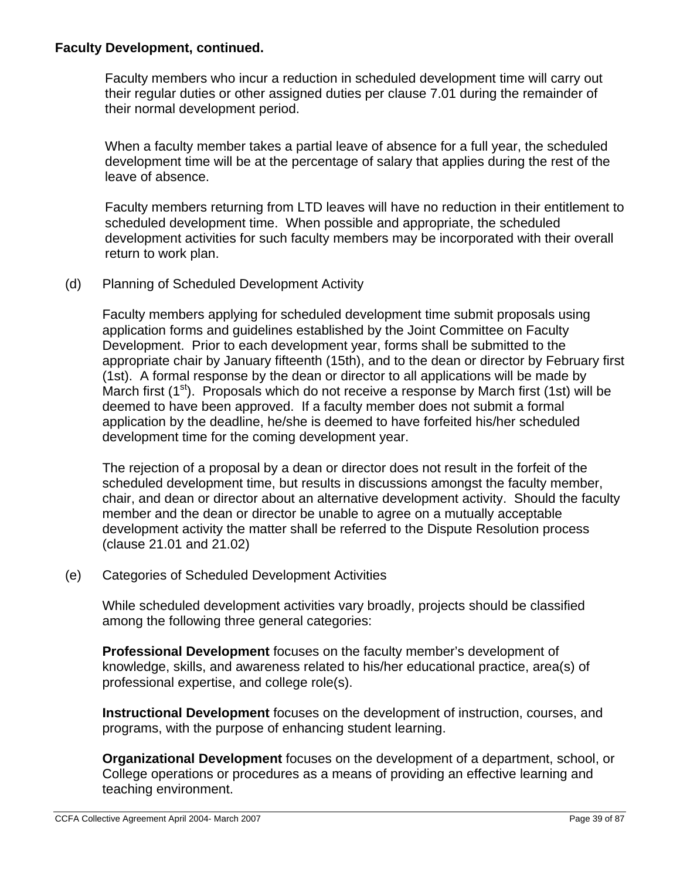Faculty members who incur a reduction in scheduled development time will carry out their regular duties or other assigned duties per clause 7.01 during the remainder of their normal development period.

When a faculty member takes a partial leave of absence for a full year, the scheduled development time will be at the percentage of salary that applies during the rest of the leave of absence.

Faculty members returning from LTD leaves will have no reduction in their entitlement to scheduled development time. When possible and appropriate, the scheduled development activities for such faculty members may be incorporated with their overall return to work plan.

(d) Planning of Scheduled Development Activity

Faculty members applying for scheduled development time submit proposals using application forms and guidelines established by the Joint Committee on Faculty Development. Prior to each development year, forms shall be submitted to the appropriate chair by January fifteenth (15th), and to the dean or director by February first (1st). A formal response by the dean or director to all applications will be made by March first  $(1^{st})$ . Proposals which do not receive a response by March first (1st) will be deemed to have been approved. If a faculty member does not submit a formal application by the deadline, he/she is deemed to have forfeited his/her scheduled development time for the coming development year.

The rejection of a proposal by a dean or director does not result in the forfeit of the scheduled development time, but results in discussions amongst the faculty member, chair, and dean or director about an alternative development activity. Should the faculty member and the dean or director be unable to agree on a mutually acceptable development activity the matter shall be referred to the Dispute Resolution process (clause 21.01 and 21.02)

(e) Categories of Scheduled Development Activities

While scheduled development activities vary broadly, projects should be classified among the following three general categories:

**Professional Development** focuses on the faculty member's development of knowledge, skills, and awareness related to his/her educational practice, area(s) of professional expertise, and college role(s).

**Instructional Development** focuses on the development of instruction, courses, and programs, with the purpose of enhancing student learning.

**Organizational Development** focuses on the development of a department, school, or College operations or procedures as a means of providing an effective learning and teaching environment.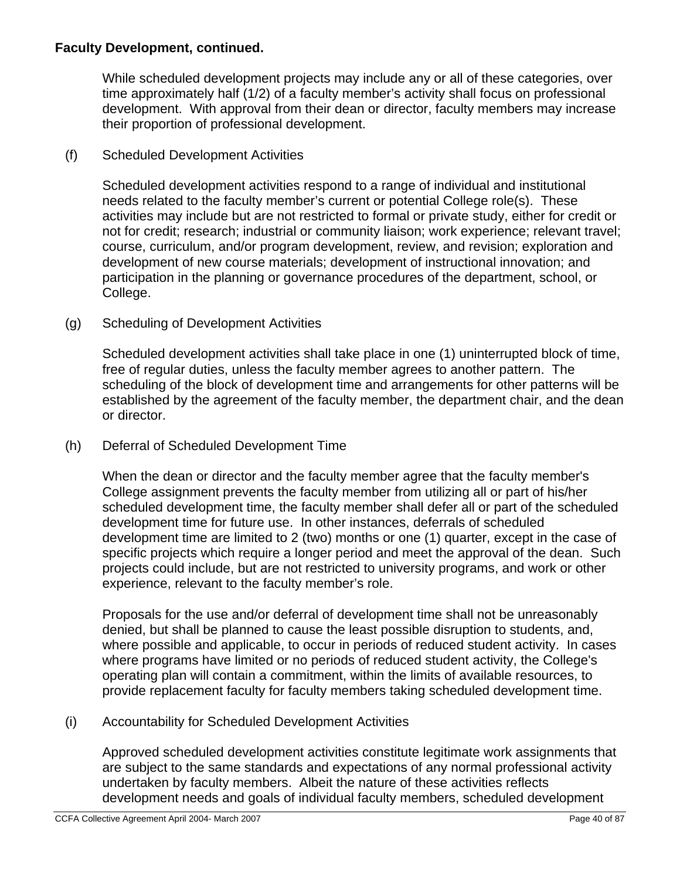While scheduled development projects may include any or all of these categories, over time approximately half (1/2) of a faculty member's activity shall focus on professional development. With approval from their dean or director, faculty members may increase their proportion of professional development.

## (f) Scheduled Development Activities

Scheduled development activities respond to a range of individual and institutional needs related to the faculty member's current or potential College role(s). These activities may include but are not restricted to formal or private study, either for credit or not for credit; research; industrial or community liaison; work experience; relevant travel; course, curriculum, and/or program development, review, and revision; exploration and development of new course materials; development of instructional innovation; and participation in the planning or governance procedures of the department, school, or College.

## (g) Scheduling of Development Activities

Scheduled development activities shall take place in one (1) uninterrupted block of time, free of regular duties, unless the faculty member agrees to another pattern. The scheduling of the block of development time and arrangements for other patterns will be established by the agreement of the faculty member, the department chair, and the dean or director.

### (h) Deferral of Scheduled Development Time

When the dean or director and the faculty member agree that the faculty member's College assignment prevents the faculty member from utilizing all or part of his/her scheduled development time, the faculty member shall defer all or part of the scheduled development time for future use. In other instances, deferrals of scheduled development time are limited to 2 (two) months or one (1) quarter, except in the case of specific projects which require a longer period and meet the approval of the dean. Such projects could include, but are not restricted to university programs, and work or other experience, relevant to the faculty member's role.

Proposals for the use and/or deferral of development time shall not be unreasonably denied, but shall be planned to cause the least possible disruption to students, and, where possible and applicable, to occur in periods of reduced student activity. In cases where programs have limited or no periods of reduced student activity, the College's operating plan will contain a commitment, within the limits of available resources, to provide replacement faculty for faculty members taking scheduled development time.

### (i) Accountability for Scheduled Development Activities

Approved scheduled development activities constitute legitimate work assignments that are subject to the same standards and expectations of any normal professional activity undertaken by faculty members. Albeit the nature of these activities reflects development needs and goals of individual faculty members, scheduled development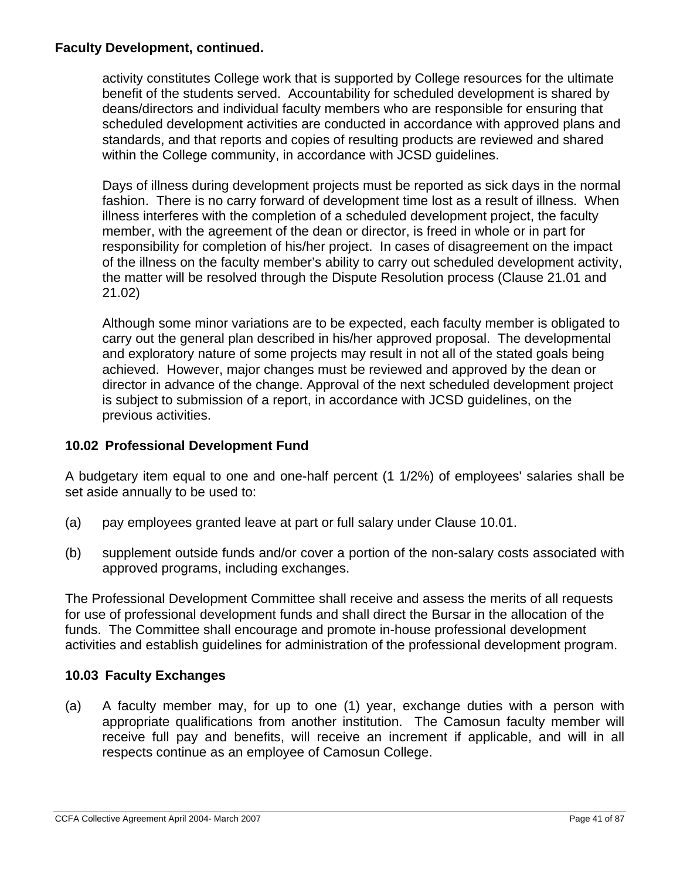activity constitutes College work that is supported by College resources for the ultimate benefit of the students served. Accountability for scheduled development is shared by deans/directors and individual faculty members who are responsible for ensuring that scheduled development activities are conducted in accordance with approved plans and standards, and that reports and copies of resulting products are reviewed and shared within the College community, in accordance with JCSD guidelines.

Days of illness during development projects must be reported as sick days in the normal fashion. There is no carry forward of development time lost as a result of illness. When illness interferes with the completion of a scheduled development project, the faculty member, with the agreement of the dean or director, is freed in whole or in part for responsibility for completion of his/her project. In cases of disagreement on the impact of the illness on the faculty member's ability to carry out scheduled development activity, the matter will be resolved through the Dispute Resolution process (Clause 21.01 and 21.02)

Although some minor variations are to be expected, each faculty member is obligated to carry out the general plan described in his/her approved proposal. The developmental and exploratory nature of some projects may result in not all of the stated goals being achieved. However, major changes must be reviewed and approved by the dean or director in advance of the change. Approval of the next scheduled development project is subject to submission of a report, in accordance with JCSD guidelines, on the previous activities.

## **10.02 Professional Development Fund**

A budgetary item equal to one and one-half percent (1 1/2%) of employees' salaries shall be set aside annually to be used to:

- (a) pay employees granted leave at part or full salary under Clause 10.01.
- (b) supplement outside funds and/or cover a portion of the non-salary costs associated with approved programs, including exchanges.

The Professional Development Committee shall receive and assess the merits of all requests for use of professional development funds and shall direct the Bursar in the allocation of the funds. The Committee shall encourage and promote in-house professional development activities and establish guidelines for administration of the professional development program.

## **10.03 Faculty Exchanges**

(a) A faculty member may, for up to one (1) year, exchange duties with a person with appropriate qualifications from another institution. The Camosun faculty member will receive full pay and benefits, will receive an increment if applicable, and will in all respects continue as an employee of Camosun College.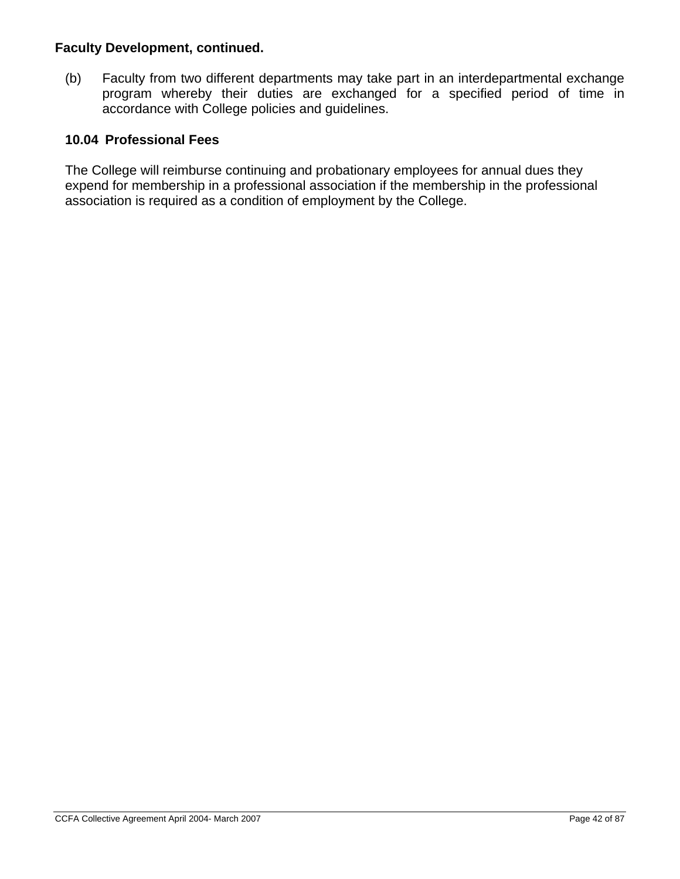(b) Faculty from two different departments may take part in an interdepartmental exchange program whereby their duties are exchanged for a specified period of time in accordance with College policies and guidelines.

## **10.04 Professional Fees**

The College will reimburse continuing and probationary employees for annual dues they expend for membership in a professional association if the membership in the professional association is required as a condition of employment by the College.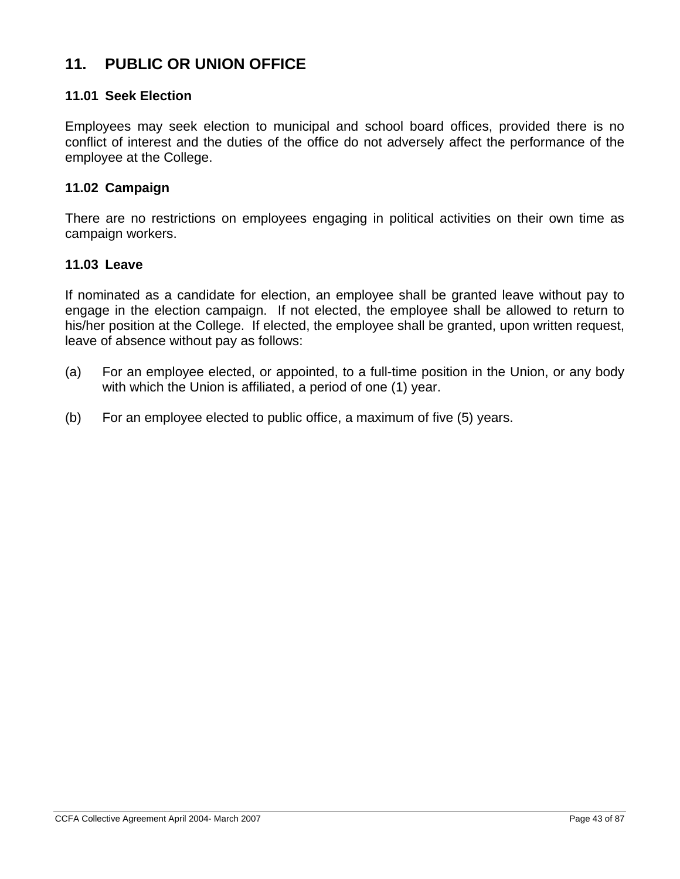# **11. PUBLIC OR UNION OFFICE**

### **11.01 Seek Election**

Employees may seek election to municipal and school board offices, provided there is no conflict of interest and the duties of the office do not adversely affect the performance of the employee at the College.

#### **11.02 Campaign**

There are no restrictions on employees engaging in political activities on their own time as campaign workers.

#### **11.03 Leave**

If nominated as a candidate for election, an employee shall be granted leave without pay to engage in the election campaign. If not elected, the employee shall be allowed to return to his/her position at the College. If elected, the employee shall be granted, upon written request, leave of absence without pay as follows:

- (a) For an employee elected, or appointed, to a full-time position in the Union, or any body with which the Union is affiliated, a period of one (1) year.
- (b) For an employee elected to public office, a maximum of five (5) years.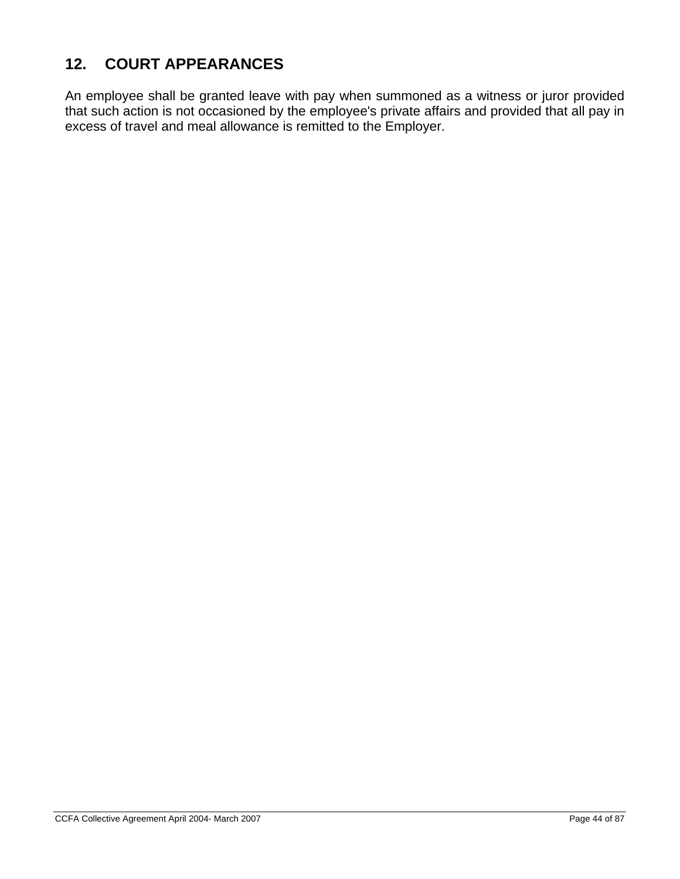# **12. COURT APPEARANCES**

An employee shall be granted leave with pay when summoned as a witness or juror provided that such action is not occasioned by the employee's private affairs and provided that all pay in excess of travel and meal allowance is remitted to the Employer.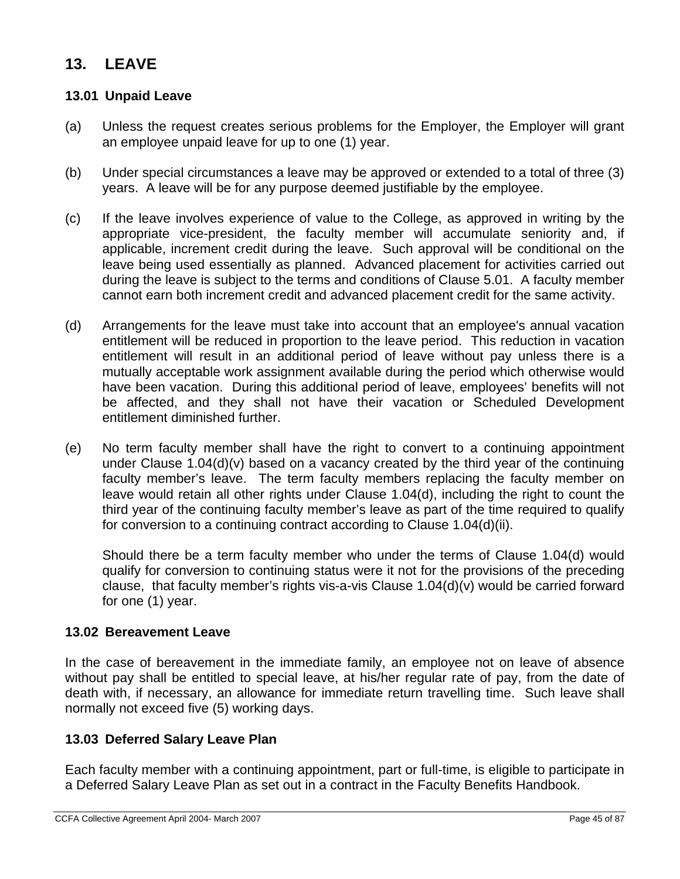# **13. LEAVE**

### **13.01 Unpaid Leave**

- (a) Unless the request creates serious problems for the Employer, the Employer will grant an employee unpaid leave for up to one (1) year.
- (b) Under special circumstances a leave may be approved or extended to a total of three (3) years. A leave will be for any purpose deemed justifiable by the employee.
- (c) If the leave involves experience of value to the College, as approved in writing by the appropriate vice-president, the faculty member will accumulate seniority and, if applicable, increment credit during the leave. Such approval will be conditional on the leave being used essentially as planned. Advanced placement for activities carried out during the leave is subject to the terms and conditions of Clause 5.01. A faculty member cannot earn both increment credit and advanced placement credit for the same activity.
- (d) Arrangements for the leave must take into account that an employee's annual vacation entitlement will be reduced in proportion to the leave period. This reduction in vacation entitlement will result in an additional period of leave without pay unless there is a mutually acceptable work assignment available during the period which otherwise would have been vacation. During this additional period of leave, employees' benefits will not be affected, and they shall not have their vacation or Scheduled Development entitlement diminished further.
- (e) No term faculty member shall have the right to convert to a continuing appointment under Clause 1.04(d)(v) based on a vacancy created by the third year of the continuing faculty member's leave. The term faculty members replacing the faculty member on leave would retain all other rights under Clause 1.04(d), including the right to count the third year of the continuing faculty member's leave as part of the time required to qualify for conversion to a continuing contract according to Clause 1.04(d)(ii).

Should there be a term faculty member who under the terms of Clause 1.04(d) would qualify for conversion to continuing status were it not for the provisions of the preceding clause, that faculty member's rights vis-a-vis Clause 1.04(d)(v) would be carried forward for one (1) year.

### **13.02 Bereavement Leave**

In the case of bereavement in the immediate family, an employee not on leave of absence without pay shall be entitled to special leave, at his/her regular rate of pay, from the date of death with, if necessary, an allowance for immediate return travelling time. Such leave shall normally not exceed five (5) working days.

### **13.03 Deferred Salary Leave Plan**

Each faculty member with a continuing appointment, part or full-time, is eligible to participate in a Deferred Salary Leave Plan as set out in a contract in the Faculty Benefits Handbook.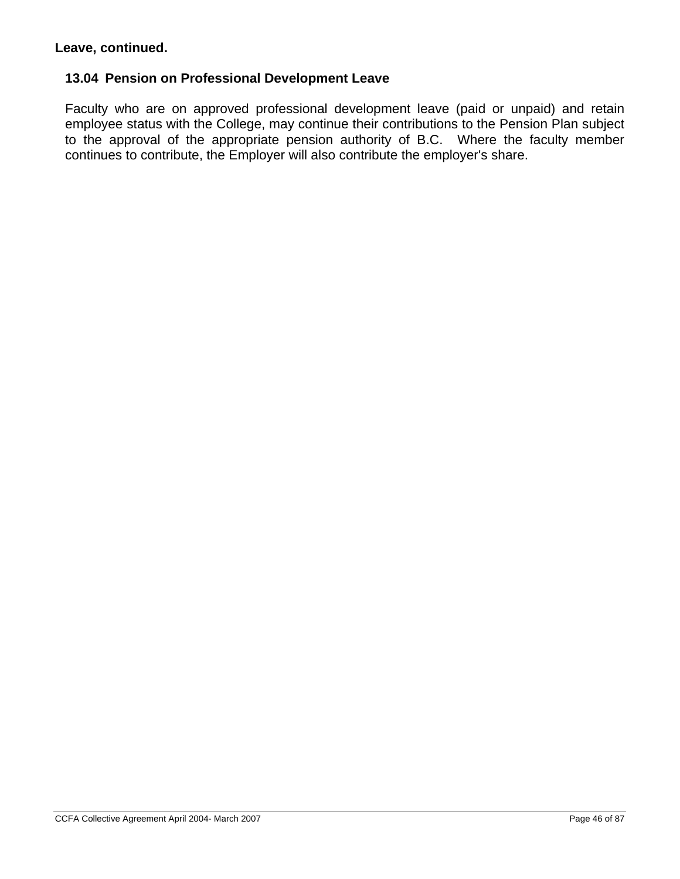### **Leave, continued.**

#### **13.04 Pension on Professional Development Leave**

Faculty who are on approved professional development leave (paid or unpaid) and retain employee status with the College, may continue their contributions to the Pension Plan subject to the approval of the appropriate pension authority of B.C. Where the faculty member continues to contribute, the Employer will also contribute the employer's share.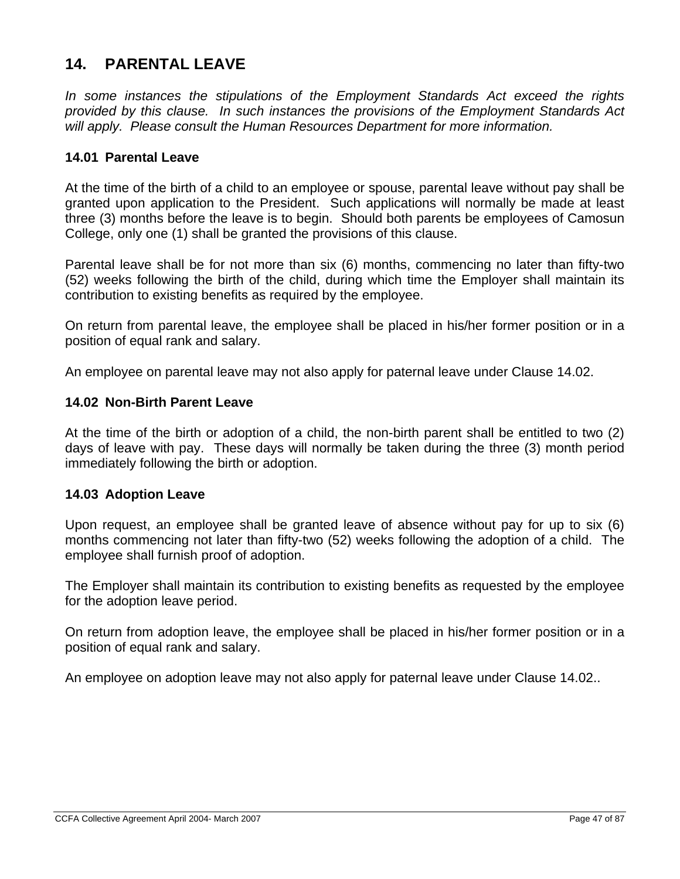# **14. PARENTAL LEAVE**

*In some instances the stipulations of the Employment Standards Act exceed the rights provided by this clause. In such instances the provisions of the Employment Standards Act will apply. Please consult the Human Resources Department for more information.* 

### **14.01 Parental Leave**

At the time of the birth of a child to an employee or spouse, parental leave without pay shall be granted upon application to the President. Such applications will normally be made at least three (3) months before the leave is to begin. Should both parents be employees of Camosun College, only one (1) shall be granted the provisions of this clause.

Parental leave shall be for not more than six (6) months, commencing no later than fifty-two (52) weeks following the birth of the child, during which time the Employer shall maintain its contribution to existing benefits as required by the employee.

On return from parental leave, the employee shall be placed in his/her former position or in a position of equal rank and salary.

An employee on parental leave may not also apply for paternal leave under Clause 14.02.

#### **14.02 Non-Birth Parent Leave**

At the time of the birth or adoption of a child, the non-birth parent shall be entitled to two (2) days of leave with pay. These days will normally be taken during the three (3) month period immediately following the birth or adoption.

#### **14.03 Adoption Leave**

Upon request, an employee shall be granted leave of absence without pay for up to six (6) months commencing not later than fifty-two (52) weeks following the adoption of a child. The employee shall furnish proof of adoption.

The Employer shall maintain its contribution to existing benefits as requested by the employee for the adoption leave period.

On return from adoption leave, the employee shall be placed in his/her former position or in a position of equal rank and salary.

An employee on adoption leave may not also apply for paternal leave under Clause 14.02..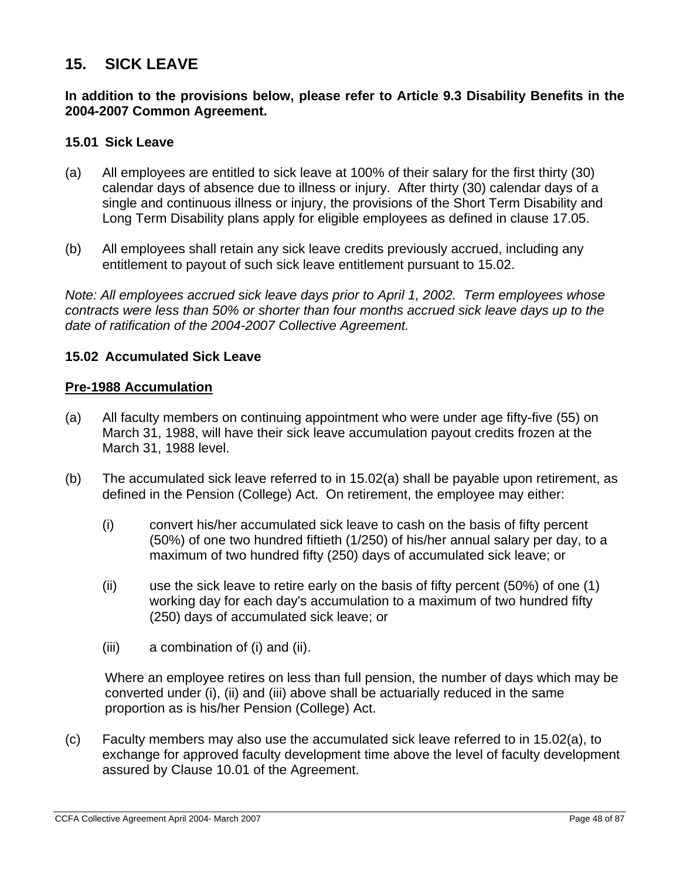## **15. SICK LEAVE**

#### **In addition to the provisions below, please refer to Article 9.3 Disability Benefits in the 2004-2007 Common Agreement.**

#### **15.01 Sick Leave**

- (a) All employees are entitled to sick leave at 100% of their salary for the first thirty (30) calendar days of absence due to illness or injury. After thirty (30) calendar days of a single and continuous illness or injury, the provisions of the Short Term Disability and Long Term Disability plans apply for eligible employees as defined in clause 17.05.
- (b) All employees shall retain any sick leave credits previously accrued, including any entitlement to payout of such sick leave entitlement pursuant to 15.02.

*Note: All employees accrued sick leave days prior to April 1, 2002. Term employees whose contracts were less than 50% or shorter than four months accrued sick leave days up to the date of ratification of the 2004-2007 Collective Agreement.* 

#### **15.02 Accumulated Sick Leave**

#### **Pre-1988 Accumulation**

- (a) All faculty members on continuing appointment who were under age fifty-five (55) on March 31, 1988, will have their sick leave accumulation payout credits frozen at the March 31, 1988 level.
- (b) The accumulated sick leave referred to in 15.02(a) shall be payable upon retirement, as defined in the Pension (College) Act.On retirement, the employee may either:
	- (i) convert his/her accumulated sick leave to cash on the basis of fifty percent (50%) of one two hundred fiftieth (1/250) of his/her annual salary per day, to a maximum of two hundred fifty (250) days of accumulated sick leave; or
	- (ii) use the sick leave to retire early on the basis of fifty percent (50%) of one (1) working day for each day's accumulation to a maximum of two hundred fifty (250) days of accumulated sick leave; or
	- (iii) a combination of (i) and (ii).

Where an employee retires on less than full pension, the number of days which may be converted under (i), (ii) and (iii) above shall be actuarially reduced in the same proportion as is his/her Pension (College) Act.

(c) Faculty members may also use the accumulated sick leave referred to in 15.02(a), to exchange for approved faculty development time above the level of faculty development assured by Clause 10.01 of the Agreement.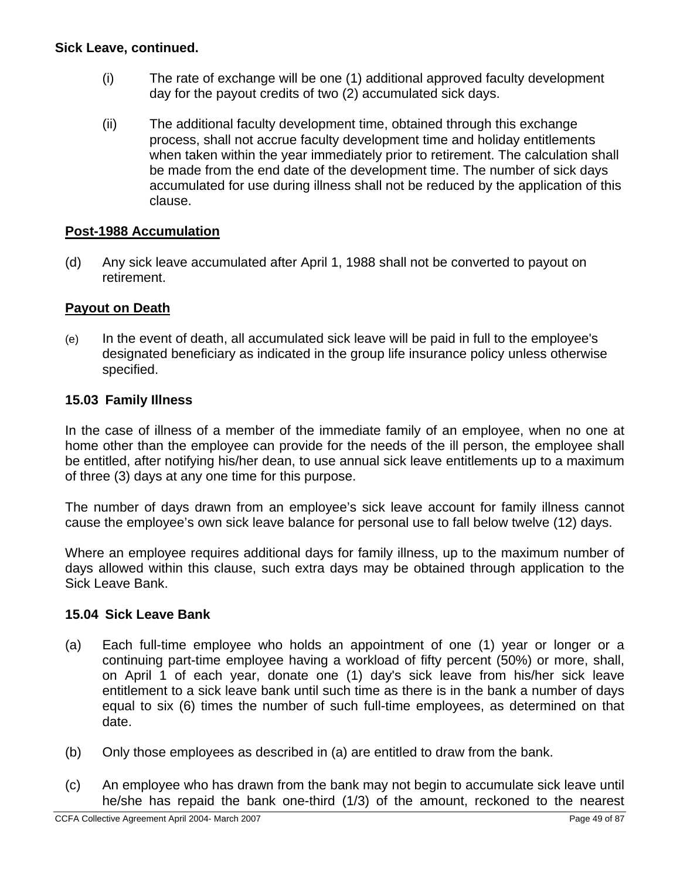### **Sick Leave, continued.**

- (i) The rate of exchange will be one (1) additional approved faculty development day for the payout credits of two (2) accumulated sick days.
- (ii) The additional faculty development time, obtained through this exchange process, shall not accrue faculty development time and holiday entitlements when taken within the year immediately prior to retirement. The calculation shall be made from the end date of the development time. The number of sick days accumulated for use during illness shall not be reduced by the application of this clause.

### **Post-1988 Accumulation**

(d) Any sick leave accumulated after April 1, 1988 shall not be converted to payout on retirement.

#### **Payout on Death**

(e) In the event of death, all accumulated sick leave will be paid in full to the employee's designated beneficiary as indicated in the group life insurance policy unless otherwise specified.

#### **15.03 Family Illness**

In the case of illness of a member of the immediate family of an employee, when no one at home other than the employee can provide for the needs of the ill person, the employee shall be entitled, after notifying his/her dean, to use annual sick leave entitlements up to a maximum of three (3) days at any one time for this purpose.

The number of days drawn from an employee's sick leave account for family illness cannot cause the employee's own sick leave balance for personal use to fall below twelve (12) days.

Where an employee requires additional days for family illness, up to the maximum number of days allowed within this clause, such extra days may be obtained through application to the Sick Leave Bank.

#### **15.04 Sick Leave Bank**

- (a) Each full-time employee who holds an appointment of one (1) year or longer or a continuing part-time employee having a workload of fifty percent (50%) or more, shall, on April 1 of each year, donate one (1) day's sick leave from his/her sick leave entitlement to a sick leave bank until such time as there is in the bank a number of days equal to six (6) times the number of such full-time employees, as determined on that date.
- (b) Only those employees as described in (a) are entitled to draw from the bank.
- (c) An employee who has drawn from the bank may not begin to accumulate sick leave until he/she has repaid the bank one-third (1/3) of the amount, reckoned to the nearest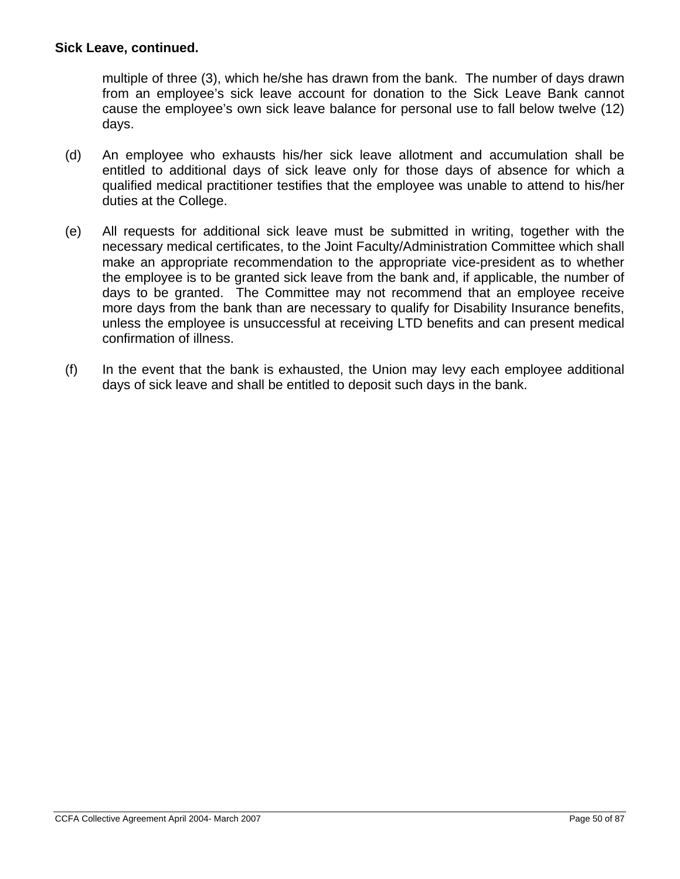#### **Sick Leave, continued.**

multiple of three (3), which he/she has drawn from the bank. The number of days drawn from an employee's sick leave account for donation to the Sick Leave Bank cannot cause the employee's own sick leave balance for personal use to fall below twelve (12) days.

- (d) An employee who exhausts his/her sick leave allotment and accumulation shall be entitled to additional days of sick leave only for those days of absence for which a qualified medical practitioner testifies that the employee was unable to attend to his/her duties at the College.
- (e) All requests for additional sick leave must be submitted in writing, together with the necessary medical certificates, to the Joint Faculty/Administration Committee which shall make an appropriate recommendation to the appropriate vice-president as to whether the employee is to be granted sick leave from the bank and, if applicable, the number of days to be granted. The Committee may not recommend that an employee receive more days from the bank than are necessary to qualify for Disability Insurance benefits, unless the employee is unsuccessful at receiving LTD benefits and can present medical confirmation of illness.
- (f) In the event that the bank is exhausted, the Union may levy each employee additional days of sick leave and shall be entitled to deposit such days in the bank.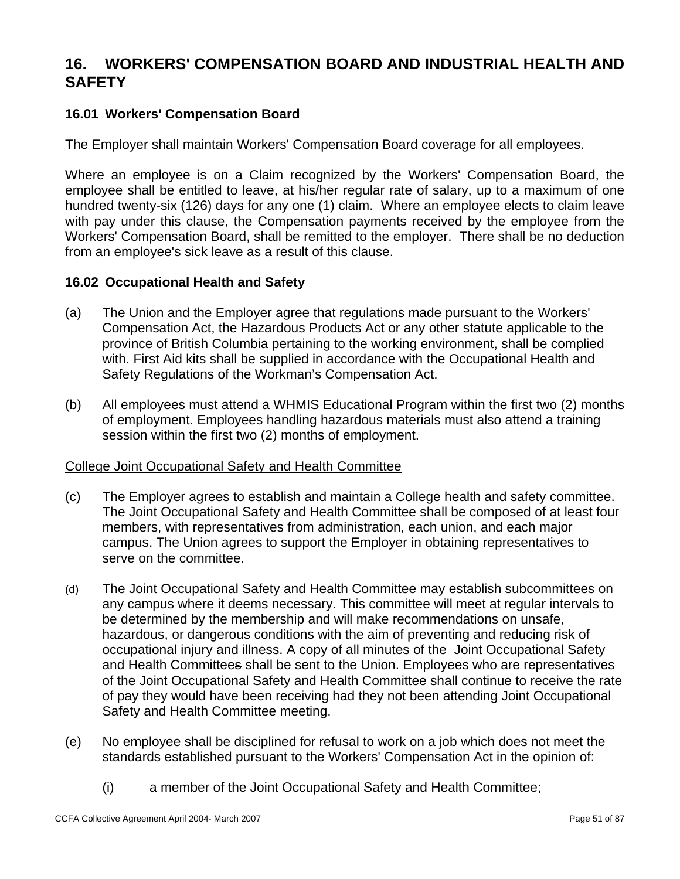## **16. WORKERS' COMPENSATION BOARD AND INDUSTRIAL HEALTH AND SAFETY**

## **16.01 Workers' Compensation Board**

The Employer shall maintain Workers' Compensation Board coverage for all employees.

Where an employee is on a Claim recognized by the Workers' Compensation Board, the employee shall be entitled to leave, at his/her regular rate of salary, up to a maximum of one hundred twenty-six (126) days for any one (1) claim. Where an employee elects to claim leave with pay under this clause, the Compensation payments received by the employee from the Workers' Compensation Board, shall be remitted to the employer. There shall be no deduction from an employee's sick leave as a result of this clause.

#### **16.02 Occupational Health and Safety**

- (a) The Union and the Employer agree that regulations made pursuant to the Workers' Compensation Act, the Hazardous Products Act or any other statute applicable to the province of British Columbia pertaining to the working environment, shall be complied with. First Aid kits shall be supplied in accordance with the Occupational Health and Safety Regulations of the Workman's Compensation Act.
- (b) All employees must attend a WHMIS Educational Program within the first two (2) months of employment. Employees handling hazardous materials must also attend a training session within the first two (2) months of employment.

#### College Joint Occupational Safety and Health Committee

- (c) The Employer agrees to establish and maintain a College health and safety committee. The Joint Occupational Safety and Health Committee shall be composed of at least four members, with representatives from administration, each union, and each major campus. The Union agrees to support the Employer in obtaining representatives to serve on the committee.
- (d) The Joint Occupational Safety and Health Committee may establish subcommittees on any campus where it deems necessary. This committee will meet at regular intervals to be determined by the membership and will make recommendations on unsafe, hazardous, or dangerous conditions with the aim of preventing and reducing risk of occupational injury and illness. A copy of all minutes of the Joint Occupational Safety and Health Committees shall be sent to the Union. Employees who are representatives of the Joint Occupational Safety and Health Committee shall continue to receive the rate of pay they would have been receiving had they not been attending Joint Occupational Safety and Health Committee meeting.
- (e) No employee shall be disciplined for refusal to work on a job which does not meet the standards established pursuant to the Workers' Compensation Act in the opinion of:
	- (i) a member of the Joint Occupational Safety and Health Committee;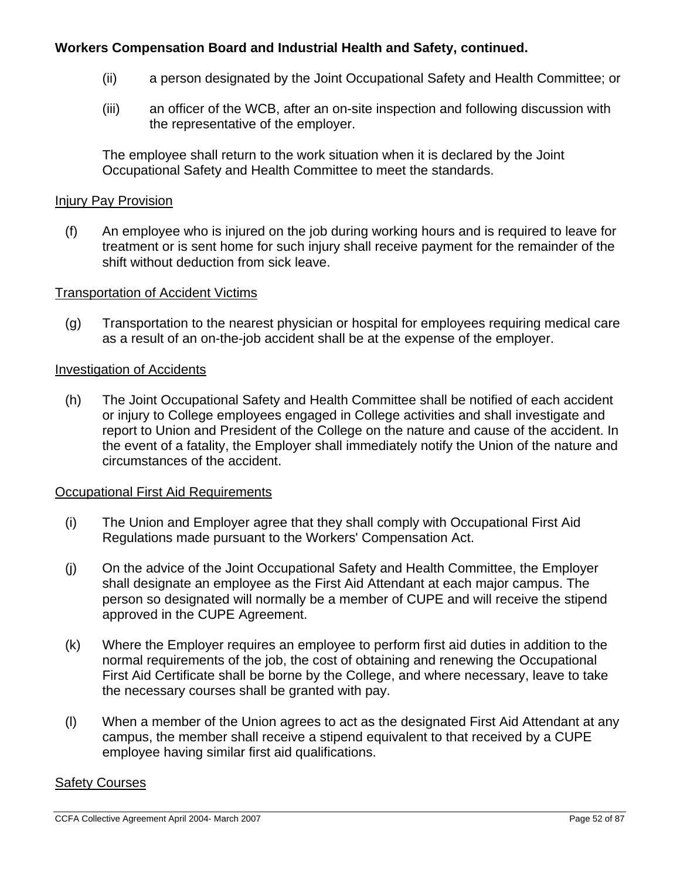## **Workers Compensation Board and Industrial Health and Safety, continued.**

- (ii) a person designated by the Joint Occupational Safety and Health Committee; or
- (iii) an officer of the WCB, after an on-site inspection and following discussion with the representative of the employer.

The employee shall return to the work situation when it is declared by the Joint Occupational Safety and Health Committee to meet the standards.

#### Injury Pay Provision

(f) An employee who is injured on the job during working hours and is required to leave for treatment or is sent home for such injury shall receive payment for the remainder of the shift without deduction from sick leave.

#### Transportation of Accident Victims

(g) Transportation to the nearest physician or hospital for employees requiring medical care as a result of an on-the-job accident shall be at the expense of the employer.

#### Investigation of Accidents

(h) The Joint Occupational Safety and Health Committee shall be notified of each accident or injury to College employees engaged in College activities and shall investigate and report to Union and President of the College on the nature and cause of the accident. In the event of a fatality, the Employer shall immediately notify the Union of the nature and circumstances of the accident.

### Occupational First Aid Requirements

- (i) The Union and Employer agree that they shall comply with Occupational First Aid Regulations made pursuant to the Workers' Compensation Act.
- (j) On the advice of the Joint Occupational Safety and Health Committee, the Employer shall designate an employee as the First Aid Attendant at each major campus. The person so designated will normally be a member of CUPE and will receive the stipend approved in the CUPE Agreement.
- (k) Where the Employer requires an employee to perform first aid duties in addition to the normal requirements of the job, the cost of obtaining and renewing the Occupational First Aid Certificate shall be borne by the College, and where necessary, leave to take the necessary courses shall be granted with pay.
- (l) When a member of the Union agrees to act as the designated First Aid Attendant at any campus, the member shall receive a stipend equivalent to that received by a CUPE employee having similar first aid qualifications.

#### Safety Courses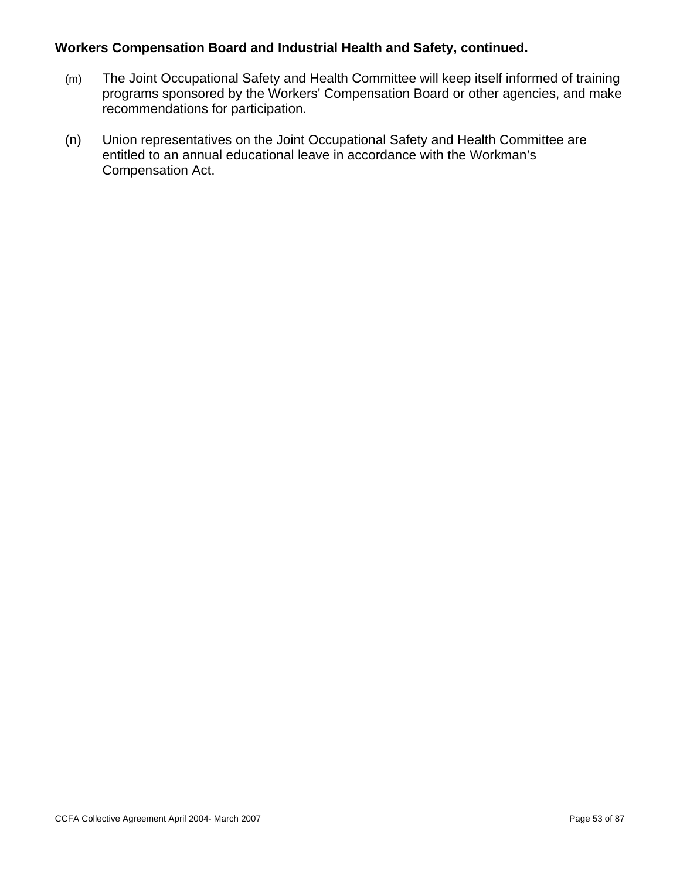## **Workers Compensation Board and Industrial Health and Safety, continued.**

- (m) The Joint Occupational Safety and Health Committee will keep itself informed of training programs sponsored by the Workers' Compensation Board or other agencies, and make recommendations for participation.
- (n) Union representatives on the Joint Occupational Safety and Health Committee are entitled to an annual educational leave in accordance with the Workman's Compensation Act.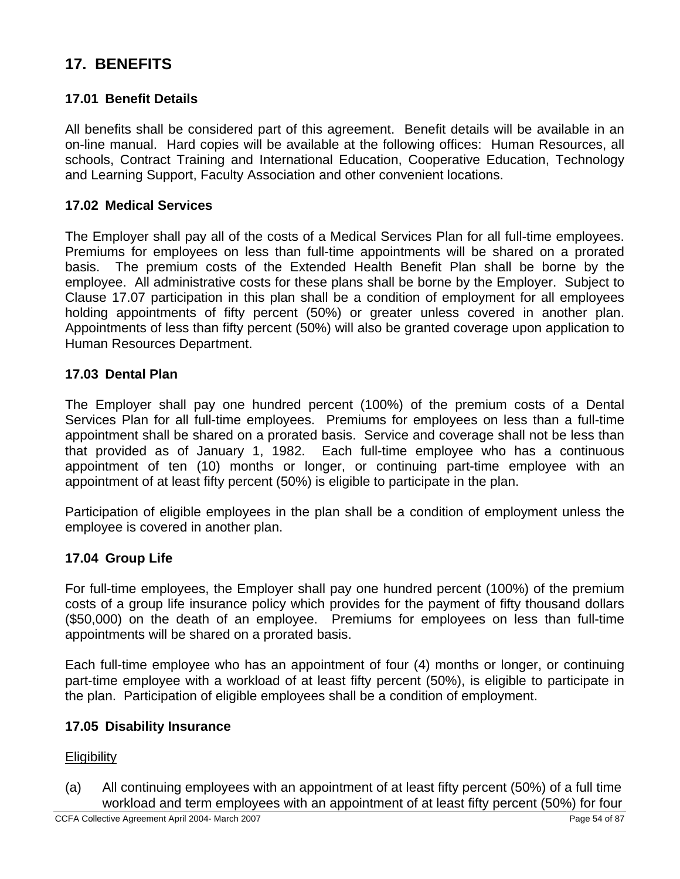# **17. BENEFITS**

## **17.01 Benefit Details**

All benefits shall be considered part of this agreement. Benefit details will be available in an on-line manual. Hard copies will be available at the following offices: Human Resources, all schools, Contract Training and International Education, Cooperative Education, Technology and Learning Support, Faculty Association and other convenient locations.

### **17.02 Medical Services**

The Employer shall pay all of the costs of a Medical Services Plan for all full-time employees. Premiums for employees on less than full-time appointments will be shared on a prorated basis. The premium costs of the Extended Health Benefit Plan shall be borne by the employee. All administrative costs for these plans shall be borne by the Employer. Subject to Clause 17.07 participation in this plan shall be a condition of employment for all employees holding appointments of fifty percent (50%) or greater unless covered in another plan. Appointments of less than fifty percent (50%) will also be granted coverage upon application to Human Resources Department.

#### **17.03 Dental Plan**

The Employer shall pay one hundred percent (100%) of the premium costs of a Dental Services Plan for all full-time employees. Premiums for employees on less than a full-time appointment shall be shared on a prorated basis. Service and coverage shall not be less than that provided as of January 1, 1982. Each full-time employee who has a continuous appointment of ten (10) months or longer, or continuing part-time employee with an appointment of at least fifty percent (50%) is eligible to participate in the plan.

Participation of eligible employees in the plan shall be a condition of employment unless the employee is covered in another plan.

### **17.04 Group Life**

For full-time employees, the Employer shall pay one hundred percent (100%) of the premium costs of a group life insurance policy which provides for the payment of fifty thousand dollars (\$50,000) on the death of an employee. Premiums for employees on less than full-time appointments will be shared on a prorated basis.

Each full-time employee who has an appointment of four (4) months or longer, or continuing part-time employee with a workload of at least fifty percent (50%), is eligible to participate in the plan. Participation of eligible employees shall be a condition of employment.

#### **17.05 Disability Insurance**

**Eligibility** 

(a) All continuing employees with an appointment of at least fifty percent (50%) of a full time workload and term employees with an appointment of at least fifty percent (50%) for four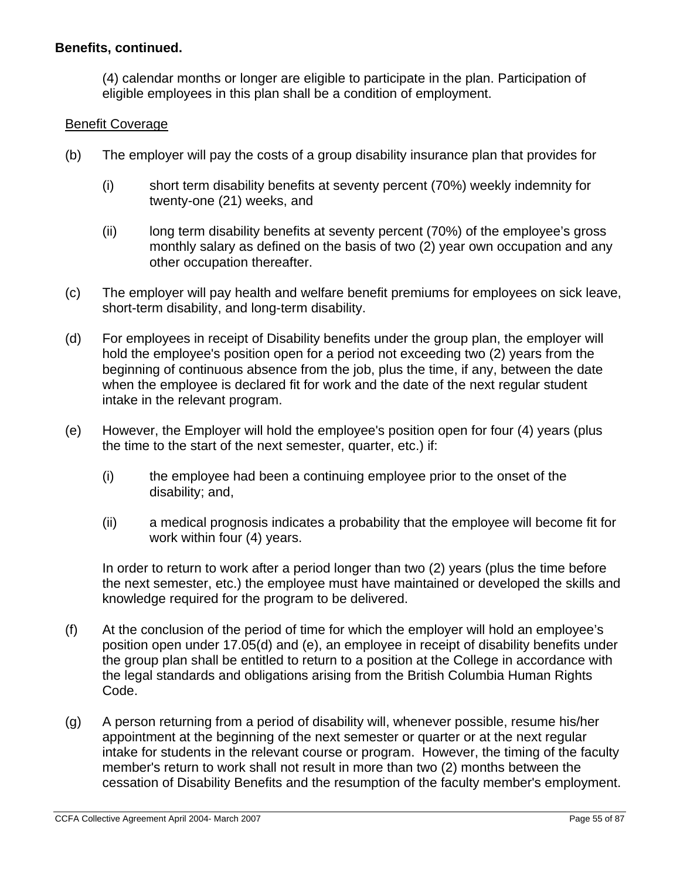## **Benefits, continued.**

(4) calendar months or longer are eligible to participate in the plan. Participation of eligible employees in this plan shall be a condition of employment.

### Benefit Coverage

- (b) The employer will pay the costs of a group disability insurance plan that provides for
	- (i) short term disability benefits at seventy percent (70%) weekly indemnity for twenty-one (21) weeks, and
	- (ii) long term disability benefits at seventy percent (70%) of the employee's gross monthly salary as defined on the basis of two (2) year own occupation and any other occupation thereafter.
- (c) The employer will pay health and welfare benefit premiums for employees on sick leave, short-term disability, and long-term disability.
- (d) For employees in receipt of Disability benefits under the group plan, the employer will hold the employee's position open for a period not exceeding two (2) years from the beginning of continuous absence from the job, plus the time, if any, between the date when the employee is declared fit for work and the date of the next regular student intake in the relevant program.
- (e) However, the Employer will hold the employee's position open for four (4) years (plus the time to the start of the next semester, quarter, etc.) if:
	- (i) the employee had been a continuing employee prior to the onset of the disability; and,
	- (ii) a medical prognosis indicates a probability that the employee will become fit for work within four (4) years.

In order to return to work after a period longer than two (2) years (plus the time before the next semester, etc.) the employee must have maintained or developed the skills and knowledge required for the program to be delivered.

- (f) At the conclusion of the period of time for which the employer will hold an employee's position open under 17.05(d) and (e), an employee in receipt of disability benefits under the group plan shall be entitled to return to a position at the College in accordance with the legal standards and obligations arising from the British Columbia Human Rights Code.
- (g) A person returning from a period of disability will, whenever possible, resume his/her appointment at the beginning of the next semester or quarter or at the next regular intake for students in the relevant course or program. However, the timing of the faculty member's return to work shall not result in more than two (2) months between the cessation of Disability Benefits and the resumption of the faculty member's employment.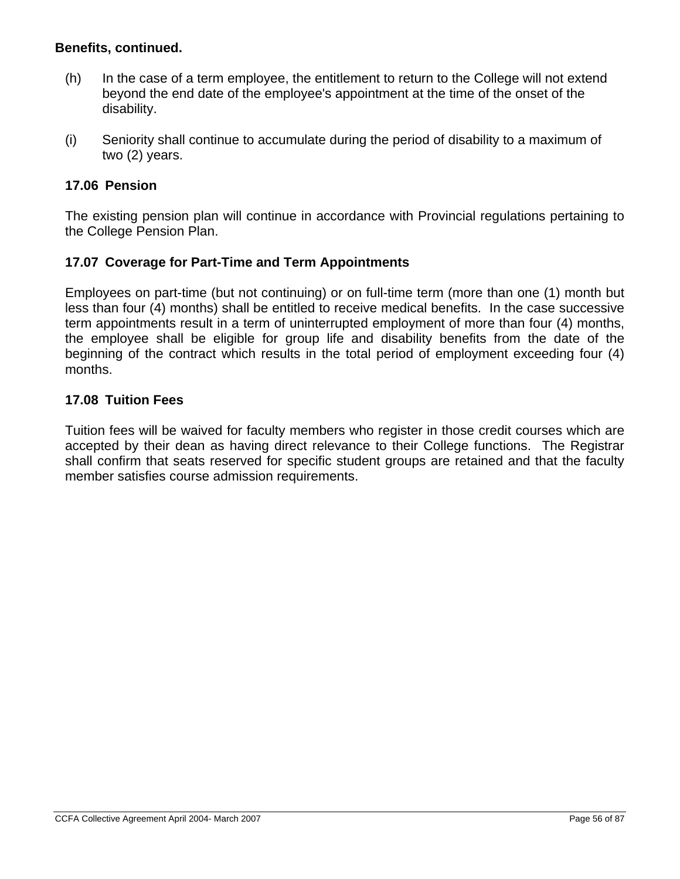### **Benefits, continued.**

- (h) In the case of a term employee, the entitlement to return to the College will not extend beyond the end date of the employee's appointment at the time of the onset of the disability.
- (i) Seniority shall continue to accumulate during the period of disability to a maximum of two (2) years.

### **17.06 Pension**

The existing pension plan will continue in accordance with Provincial regulations pertaining to the College Pension Plan.

#### **17.07 Coverage for Part-Time and Term Appointments**

Employees on part-time (but not continuing) or on full-time term (more than one (1) month but less than four (4) months) shall be entitled to receive medical benefits. In the case successive term appointments result in a term of uninterrupted employment of more than four (4) months, the employee shall be eligible for group life and disability benefits from the date of the beginning of the contract which results in the total period of employment exceeding four (4) months.

#### **17.08 Tuition Fees**

Tuition fees will be waived for faculty members who register in those credit courses which are accepted by their dean as having direct relevance to their College functions. The Registrar shall confirm that seats reserved for specific student groups are retained and that the faculty member satisfies course admission requirements.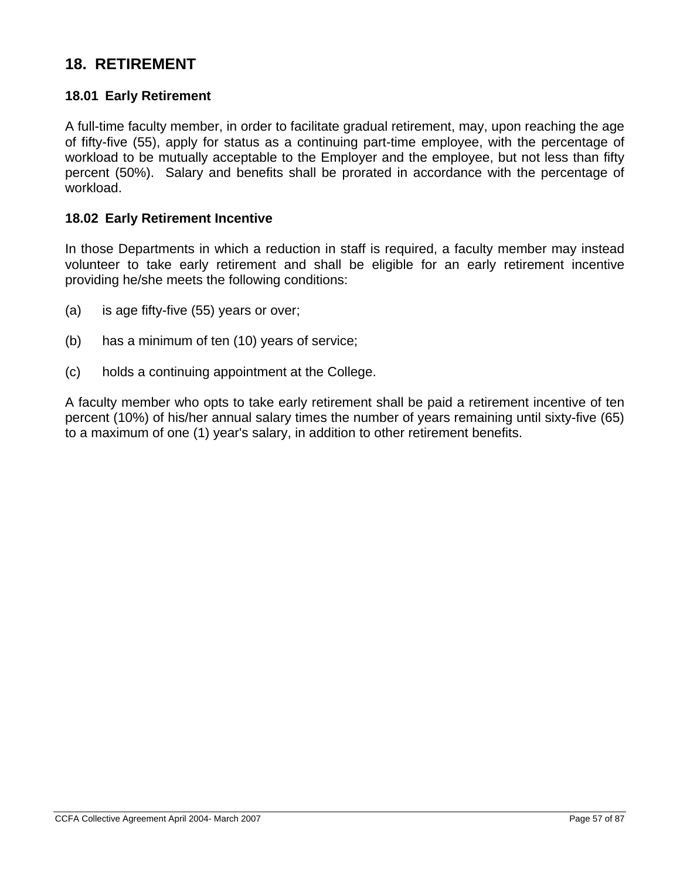## **18. RETIREMENT**

### **18.01 Early Retirement**

A full-time faculty member, in order to facilitate gradual retirement, may, upon reaching the age of fifty-five (55), apply for status as a continuing part-time employee, with the percentage of workload to be mutually acceptable to the Employer and the employee, but not less than fifty percent (50%). Salary and benefits shall be prorated in accordance with the percentage of workload.

#### **18.02 Early Retirement Incentive**

In those Departments in which a reduction in staff is required, a faculty member may instead volunteer to take early retirement and shall be eligible for an early retirement incentive providing he/she meets the following conditions:

- (a) is age fifty-five (55) years or over;
- (b) has a minimum of ten (10) years of service;
- (c) holds a continuing appointment at the College.

A faculty member who opts to take early retirement shall be paid a retirement incentive of ten percent (10%) of his/her annual salary times the number of years remaining until sixty-five (65) to a maximum of one (1) year's salary, in addition to other retirement benefits.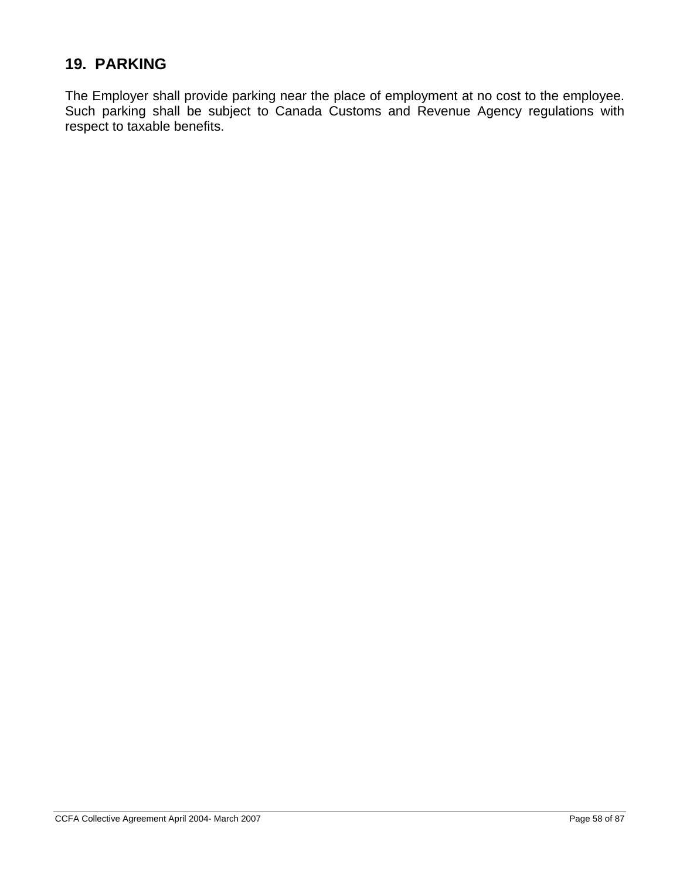# **19. PARKING**

The Employer shall provide parking near the place of employment at no cost to the employee. Such parking shall be subject to Canada Customs and Revenue Agency regulations with respect to taxable benefits.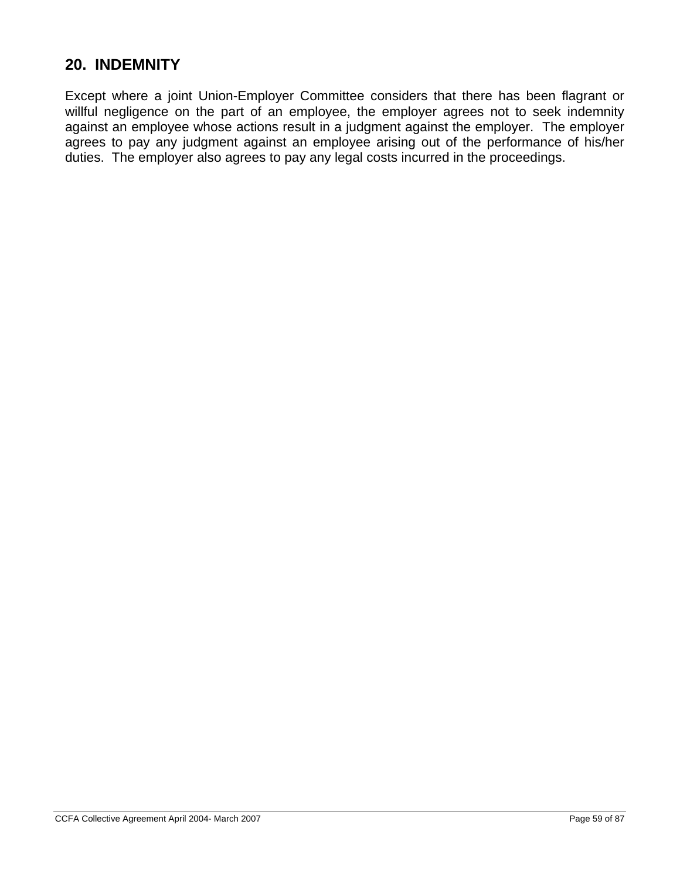## **20. INDEMNITY**

Except where a joint Union-Employer Committee considers that there has been flagrant or willful negligence on the part of an employee, the employer agrees not to seek indemnity against an employee whose actions result in a judgment against the employer. The employer agrees to pay any judgment against an employee arising out of the performance of his/her duties. The employer also agrees to pay any legal costs incurred in the proceedings.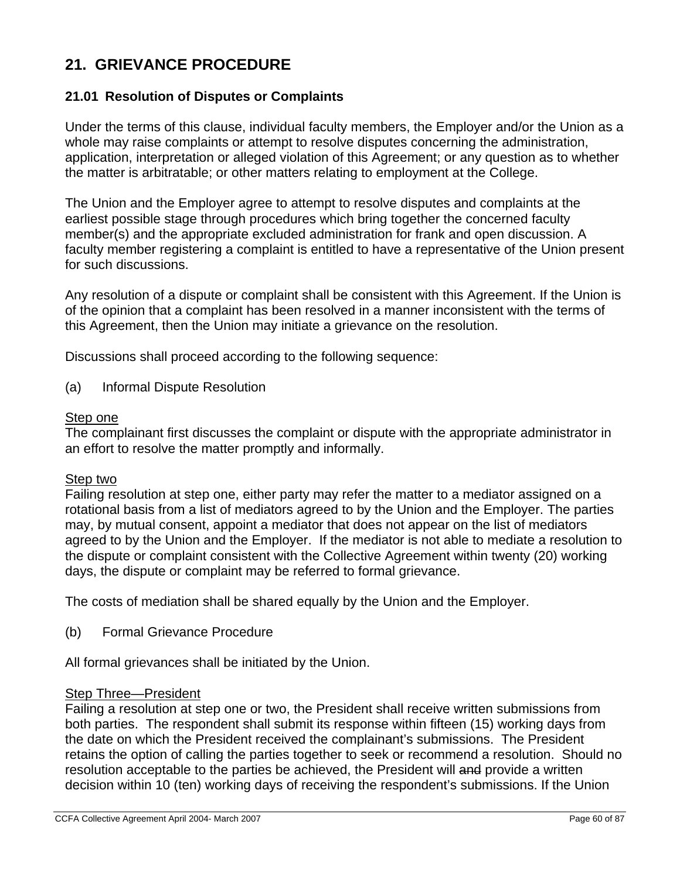# **21. GRIEVANCE PROCEDURE**

## **21.01 Resolution of Disputes or Complaints**

Under the terms of this clause, individual faculty members, the Employer and/or the Union as a whole may raise complaints or attempt to resolve disputes concerning the administration, application, interpretation or alleged violation of this Agreement; or any question as to whether the matter is arbitratable; or other matters relating to employment at the College.

The Union and the Employer agree to attempt to resolve disputes and complaints at the earliest possible stage through procedures which bring together the concerned faculty member(s) and the appropriate excluded administration for frank and open discussion. A faculty member registering a complaint is entitled to have a representative of the Union present for such discussions.

Any resolution of a dispute or complaint shall be consistent with this Agreement. If the Union is of the opinion that a complaint has been resolved in a manner inconsistent with the terms of this Agreement, then the Union may initiate a grievance on the resolution.

Discussions shall proceed according to the following sequence:

(a) Informal Dispute Resolution

#### Step one

The complainant first discusses the complaint or dispute with the appropriate administrator in an effort to resolve the matter promptly and informally.

#### Step two

Failing resolution at step one, either party may refer the matter to a mediator assigned on a rotational basis from a list of mediators agreed to by the Union and the Employer. The parties may, by mutual consent, appoint a mediator that does not appear on the list of mediators agreed to by the Union and the Employer. If the mediator is not able to mediate a resolution to the dispute or complaint consistent with the Collective Agreement within twenty (20) working days, the dispute or complaint may be referred to formal grievance.

The costs of mediation shall be shared equally by the Union and the Employer.

(b) Formal Grievance Procedure

All formal grievances shall be initiated by the Union.

#### Step Three—President

Failing a resolution at step one or two, the President shall receive written submissions from both parties. The respondent shall submit its response within fifteen (15) working days from the date on which the President received the complainant's submissions. The President retains the option of calling the parties together to seek or recommend a resolution. Should no resolution acceptable to the parties be achieved, the President will and provide a written decision within 10 (ten) working days of receiving the respondent's submissions. If the Union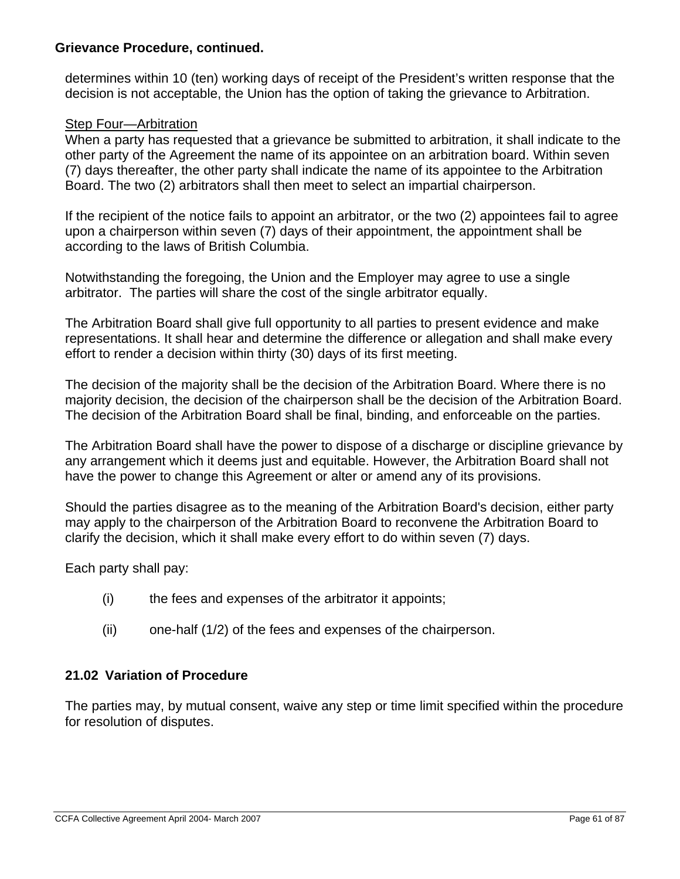### **Grievance Procedure, continued.**

determines within 10 (ten) working days of receipt of the President's written response that the decision is not acceptable, the Union has the option of taking the grievance to Arbitration.

## Step Four—Arbitration

When a party has requested that a grievance be submitted to arbitration, it shall indicate to the other party of the Agreement the name of its appointee on an arbitration board. Within seven (7) days thereafter, the other party shall indicate the name of its appointee to the Arbitration Board. The two (2) arbitrators shall then meet to select an impartial chairperson.

If the recipient of the notice fails to appoint an arbitrator, or the two (2) appointees fail to agree upon a chairperson within seven (7) days of their appointment, the appointment shall be according to the laws of British Columbia.

Notwithstanding the foregoing, the Union and the Employer may agree to use a single arbitrator. The parties will share the cost of the single arbitrator equally.

The Arbitration Board shall give full opportunity to all parties to present evidence and make representations. It shall hear and determine the difference or allegation and shall make every effort to render a decision within thirty (30) days of its first meeting.

The decision of the majority shall be the decision of the Arbitration Board. Where there is no majority decision, the decision of the chairperson shall be the decision of the Arbitration Board. The decision of the Arbitration Board shall be final, binding, and enforceable on the parties.

The Arbitration Board shall have the power to dispose of a discharge or discipline grievance by any arrangement which it deems just and equitable. However, the Arbitration Board shall not have the power to change this Agreement or alter or amend any of its provisions.

Should the parties disagree as to the meaning of the Arbitration Board's decision, either party may apply to the chairperson of the Arbitration Board to reconvene the Arbitration Board to clarify the decision, which it shall make every effort to do within seven (7) days.

Each party shall pay:

- (i) the fees and expenses of the arbitrator it appoints;
- (ii) one-half (1/2) of the fees and expenses of the chairperson.

### **21.02 Variation of Procedure**

The parties may, by mutual consent, waive any step or time limit specified within the procedure for resolution of disputes.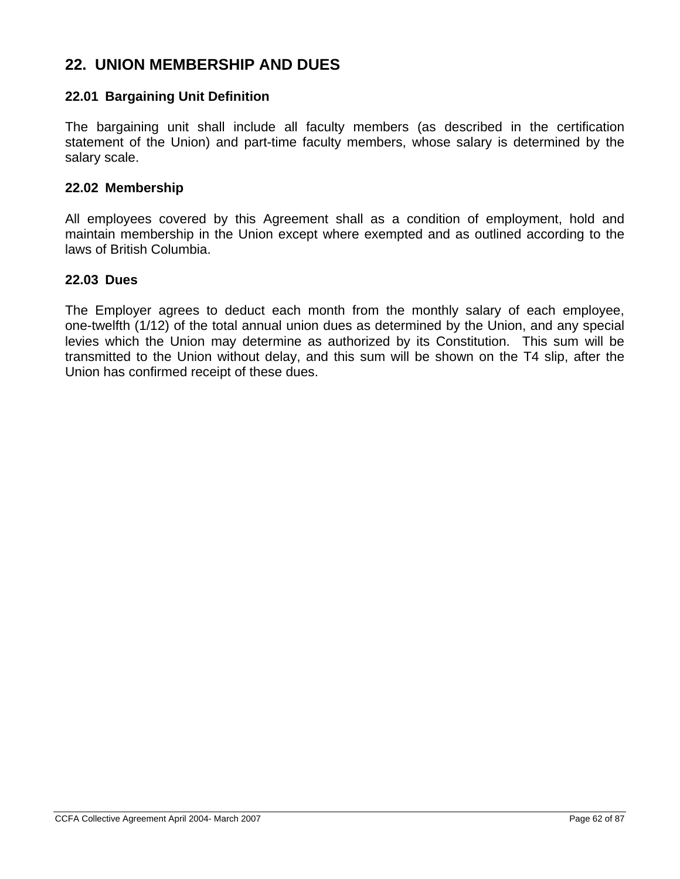## **22. UNION MEMBERSHIP AND DUES**

### **22.01 Bargaining Unit Definition**

The bargaining unit shall include all faculty members (as described in the certification statement of the Union) and part-time faculty members, whose salary is determined by the salary scale.

#### **22.02 Membership**

All employees covered by this Agreement shall as a condition of employment, hold and maintain membership in the Union except where exempted and as outlined according to the laws of British Columbia.

#### **22.03 Dues**

The Employer agrees to deduct each month from the monthly salary of each employee, one-twelfth (1/12) of the total annual union dues as determined by the Union, and any special levies which the Union may determine as authorized by its Constitution. This sum will be transmitted to the Union without delay, and this sum will be shown on the T4 slip, after the Union has confirmed receipt of these dues.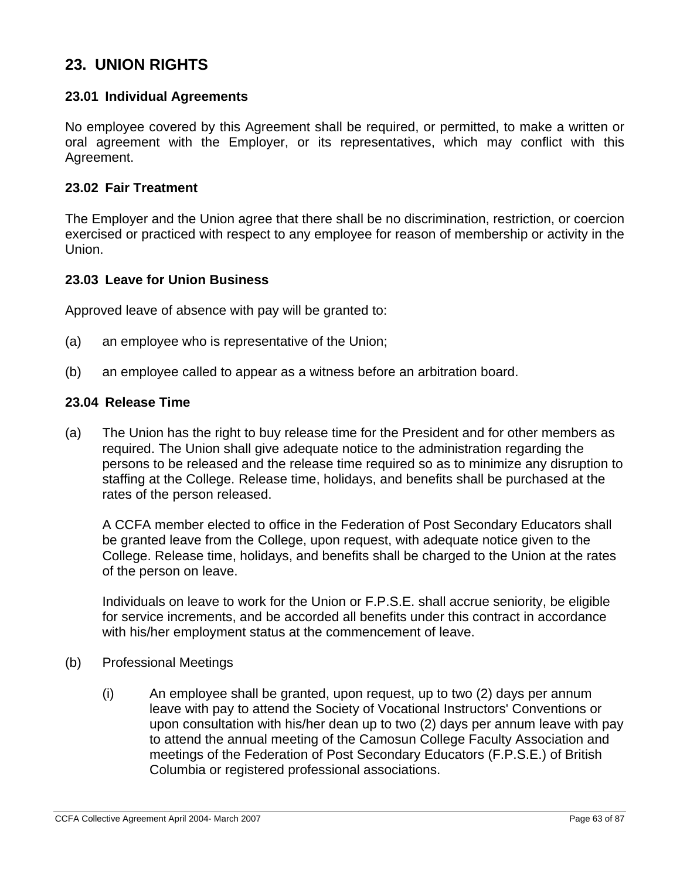# **23. UNION RIGHTS**

## **23.01 Individual Agreements**

No employee covered by this Agreement shall be required, or permitted, to make a written or oral agreement with the Employer, or its representatives, which may conflict with this Agreement.

#### **23.02 Fair Treatment**

The Employer and the Union agree that there shall be no discrimination, restriction, or coercion exercised or practiced with respect to any employee for reason of membership or activity in the Union.

#### **23.03 Leave for Union Business**

Approved leave of absence with pay will be granted to:

- (a) an employee who is representative of the Union;
- (b) an employee called to appear as a witness before an arbitration board.

#### **23.04 Release Time**

(a) The Union has the right to buy release time for the President and for other members as required. The Union shall give adequate notice to the administration regarding the persons to be released and the release time required so as to minimize any disruption to staffing at the College. Release time, holidays, and benefits shall be purchased at the rates of the person released.

A CCFA member elected to office in the Federation of Post Secondary Educators shall be granted leave from the College, upon request, with adequate notice given to the College. Release time, holidays, and benefits shall be charged to the Union at the rates of the person on leave.

Individuals on leave to work for the Union or F.P.S.E. shall accrue seniority, be eligible for service increments, and be accorded all benefits under this contract in accordance with his/her employment status at the commencement of leave.

- (b) Professional Meetings
	- (i) An employee shall be granted, upon request, up to two (2) days per annum leave with pay to attend the Society of Vocational Instructors' Conventions or upon consultation with his/her dean up to two (2) days per annum leave with pay to attend the annual meeting of the Camosun College Faculty Association and meetings of the Federation of Post Secondary Educators (F.P.S.E.) of British Columbia or registered professional associations.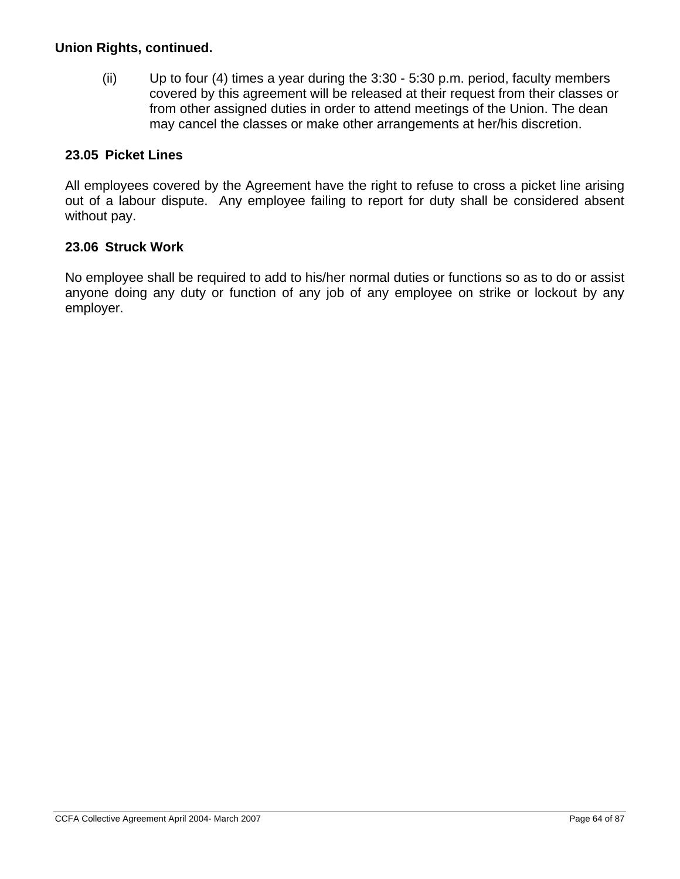## **Union Rights, continued.**

(ii) Up to four (4) times a year during the 3:30 - 5:30 p.m. period, faculty members covered by this agreement will be released at their request from their classes or from other assigned duties in order to attend meetings of the Union. The dean may cancel the classes or make other arrangements at her/his discretion.

## **23.05 Picket Lines**

All employees covered by the Agreement have the right to refuse to cross a picket line arising out of a labour dispute. Any employee failing to report for duty shall be considered absent without pay.

## **23.06 Struck Work**

No employee shall be required to add to his/her normal duties or functions so as to do or assist anyone doing any duty or function of any job of any employee on strike or lockout by any employer.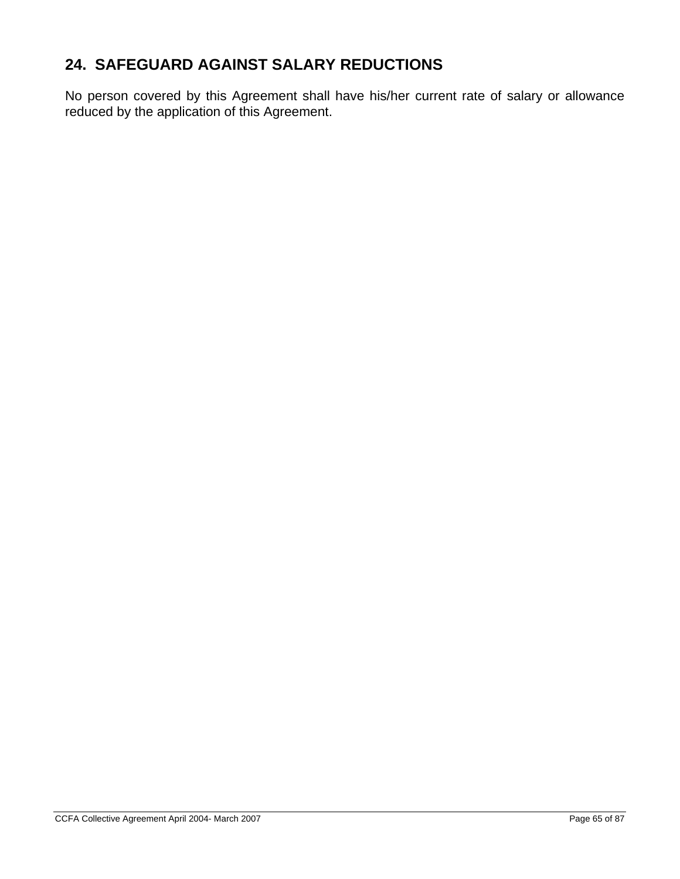# **24. SAFEGUARD AGAINST SALARY REDUCTIONS**

No person covered by this Agreement shall have his/her current rate of salary or allowance reduced by the application of this Agreement.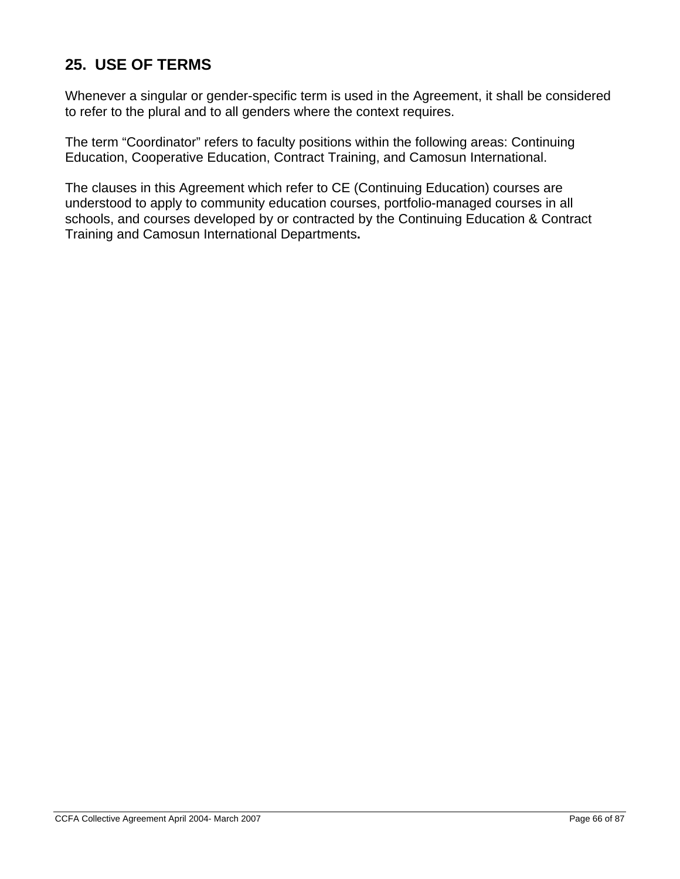# **25. USE OF TERMS**

Whenever a singular or gender-specific term is used in the Agreement, it shall be considered to refer to the plural and to all genders where the context requires.

The term "Coordinator" refers to faculty positions within the following areas: Continuing Education, Cooperative Education, Contract Training, and Camosun International.

The clauses in this Agreement which refer to CE (Continuing Education) courses are understood to apply to community education courses, portfolio-managed courses in all schools, and courses developed by or contracted by the Continuing Education & Contract Training and Camosun International Departments**.**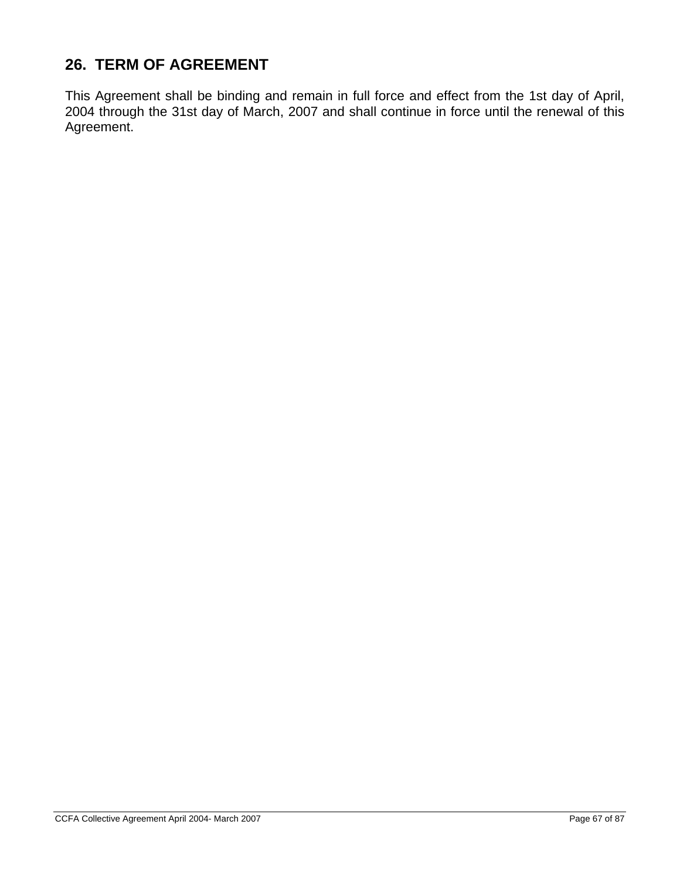# **26. TERM OF AGREEMENT**

This Agreement shall be binding and remain in full force and effect from the 1st day of April, 2004 through the 31st day of March, 2007 and shall continue in force until the renewal of this Agreement.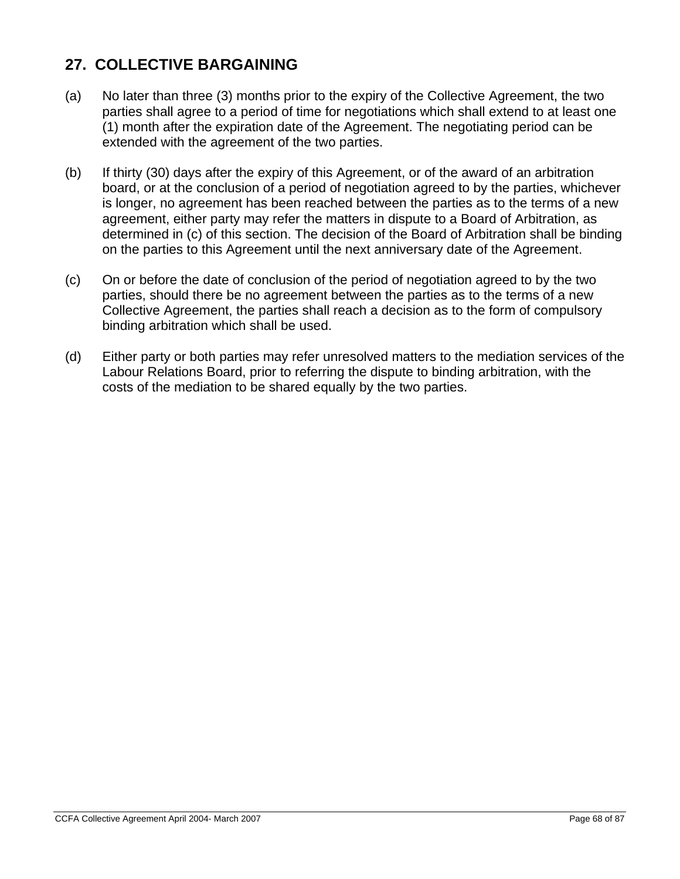# **27. COLLECTIVE BARGAINING**

- (a) No later than three (3) months prior to the expiry of the Collective Agreement, the two parties shall agree to a period of time for negotiations which shall extend to at least one (1) month after the expiration date of the Agreement. The negotiating period can be extended with the agreement of the two parties.
- (b) If thirty (30) days after the expiry of this Agreement, or of the award of an arbitration board, or at the conclusion of a period of negotiation agreed to by the parties, whichever is longer, no agreement has been reached between the parties as to the terms of a new agreement, either party may refer the matters in dispute to a Board of Arbitration, as determined in (c) of this section. The decision of the Board of Arbitration shall be binding on the parties to this Agreement until the next anniversary date of the Agreement.
- (c) On or before the date of conclusion of the period of negotiation agreed to by the two parties, should there be no agreement between the parties as to the terms of a new Collective Agreement, the parties shall reach a decision as to the form of compulsory binding arbitration which shall be used.
- (d) Either party or both parties may refer unresolved matters to the mediation services of the Labour Relations Board, prior to referring the dispute to binding arbitration, with the costs of the mediation to be shared equally by the two parties.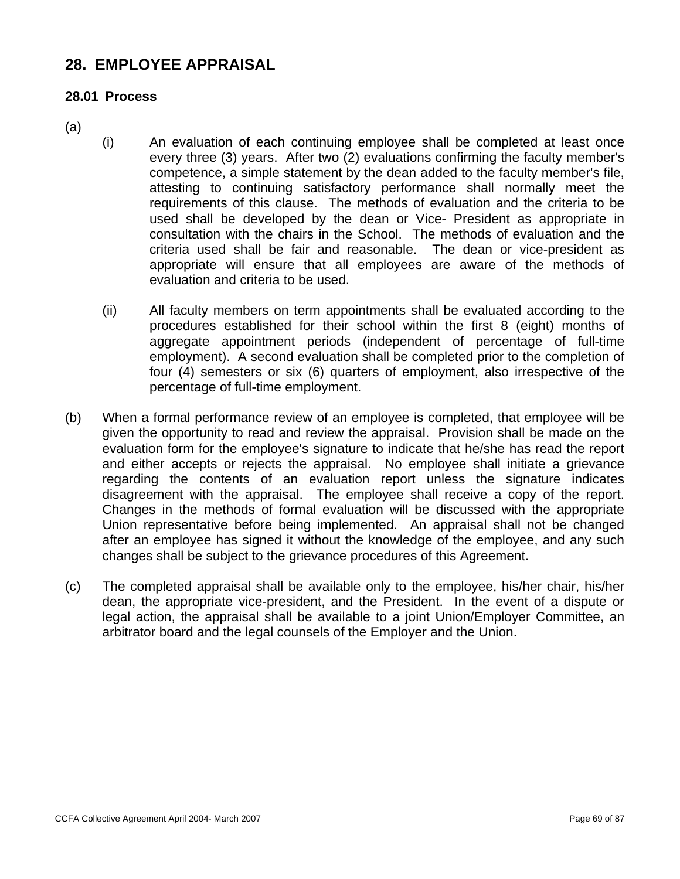## **28. EMPLOYEE APPRAISAL**

### **28.01 Process**

- (a)
- (i) An evaluation of each continuing employee shall be completed at least once every three (3) years. After two (2) evaluations confirming the faculty member's competence, a simple statement by the dean added to the faculty member's file, attesting to continuing satisfactory performance shall normally meet the requirements of this clause. The methods of evaluation and the criteria to be used shall be developed by the dean or Vice- President as appropriate in consultation with the chairs in the School. The methods of evaluation and the criteria used shall be fair and reasonable. The dean or vice-president as appropriate will ensure that all employees are aware of the methods of evaluation and criteria to be used.
	- (ii) All faculty members on term appointments shall be evaluated according to the procedures established for their school within the first 8 (eight) months of aggregate appointment periods (independent of percentage of full-time employment). A second evaluation shall be completed prior to the completion of four (4) semesters or six (6) quarters of employment, also irrespective of the percentage of full-time employment.
- (b) When a formal performance review of an employee is completed, that employee will be given the opportunity to read and review the appraisal. Provision shall be made on the evaluation form for the employee's signature to indicate that he/she has read the report and either accepts or rejects the appraisal. No employee shall initiate a grievance regarding the contents of an evaluation report unless the signature indicates disagreement with the appraisal. The employee shall receive a copy of the report. Changes in the methods of formal evaluation will be discussed with the appropriate Union representative before being implemented. An appraisal shall not be changed after an employee has signed it without the knowledge of the employee, and any such changes shall be subject to the grievance procedures of this Agreement.
- (c) The completed appraisal shall be available only to the employee, his/her chair, his/her dean, the appropriate vice-president, and the President. In the event of a dispute or legal action, the appraisal shall be available to a joint Union/Employer Committee, an arbitrator board and the legal counsels of the Employer and the Union.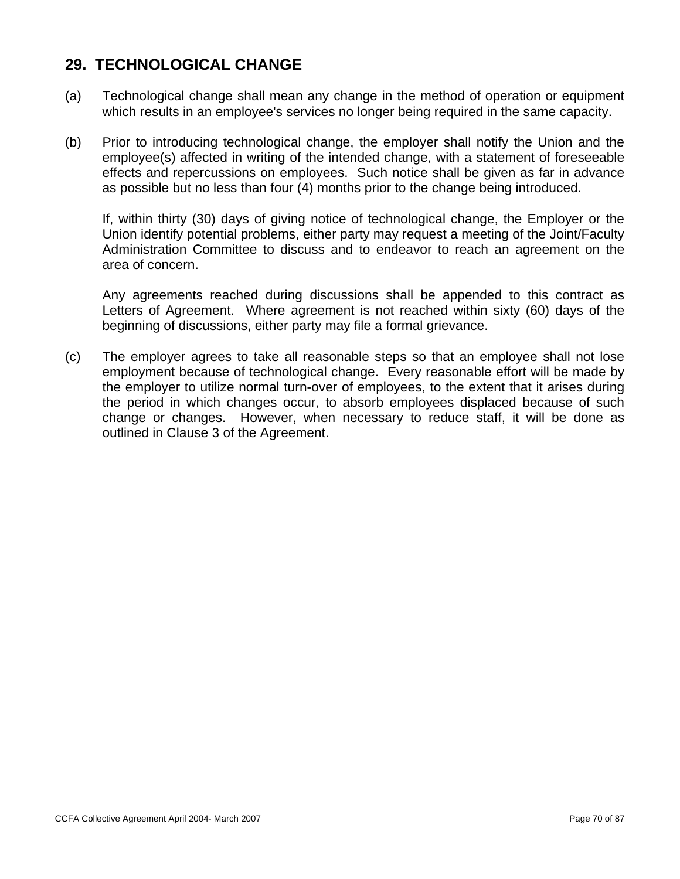## **29. TECHNOLOGICAL CHANGE**

- (a) Technological change shall mean any change in the method of operation or equipment which results in an employee's services no longer being required in the same capacity.
- (b) Prior to introducing technological change, the employer shall notify the Union and the employee(s) affected in writing of the intended change, with a statement of foreseeable effects and repercussions on employees. Such notice shall be given as far in advance as possible but no less than four (4) months prior to the change being introduced.

If, within thirty (30) days of giving notice of technological change, the Employer or the Union identify potential problems, either party may request a meeting of the Joint/Faculty Administration Committee to discuss and to endeavor to reach an agreement on the area of concern.

Any agreements reached during discussions shall be appended to this contract as Letters of Agreement. Where agreement is not reached within sixty (60) days of the beginning of discussions, either party may file a formal grievance.

(c) The employer agrees to take all reasonable steps so that an employee shall not lose employment because of technological change. Every reasonable effort will be made by the employer to utilize normal turn-over of employees, to the extent that it arises during the period in which changes occur, to absorb employees displaced because of such change or changes. However, when necessary to reduce staff, it will be done as outlined in Clause 3 of the Agreement.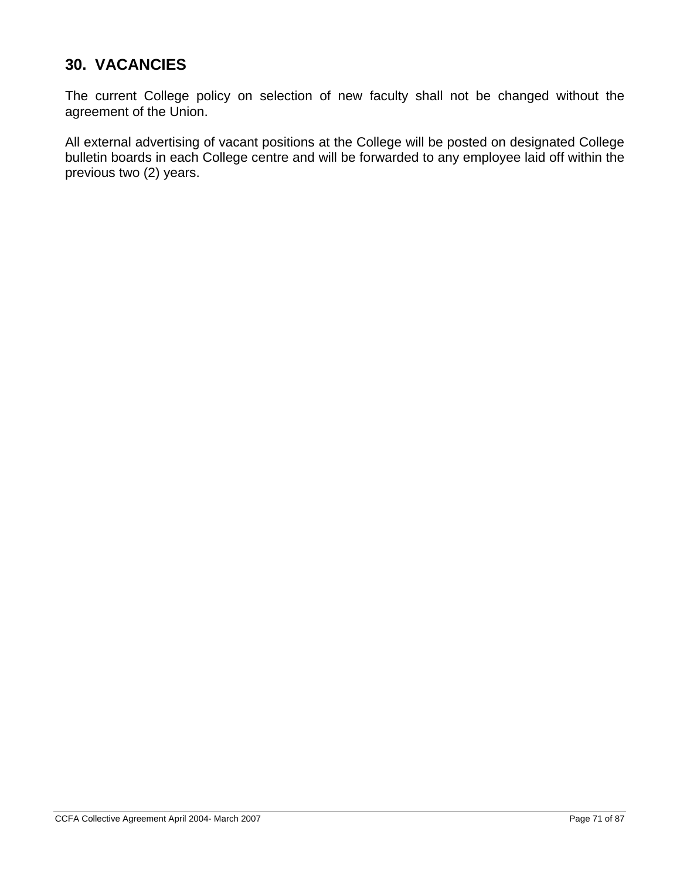# **30. VACANCIES**

The current College policy on selection of new faculty shall not be changed without the agreement of the Union.

All external advertising of vacant positions at the College will be posted on designated College bulletin boards in each College centre and will be forwarded to any employee laid off within the previous two (2) years.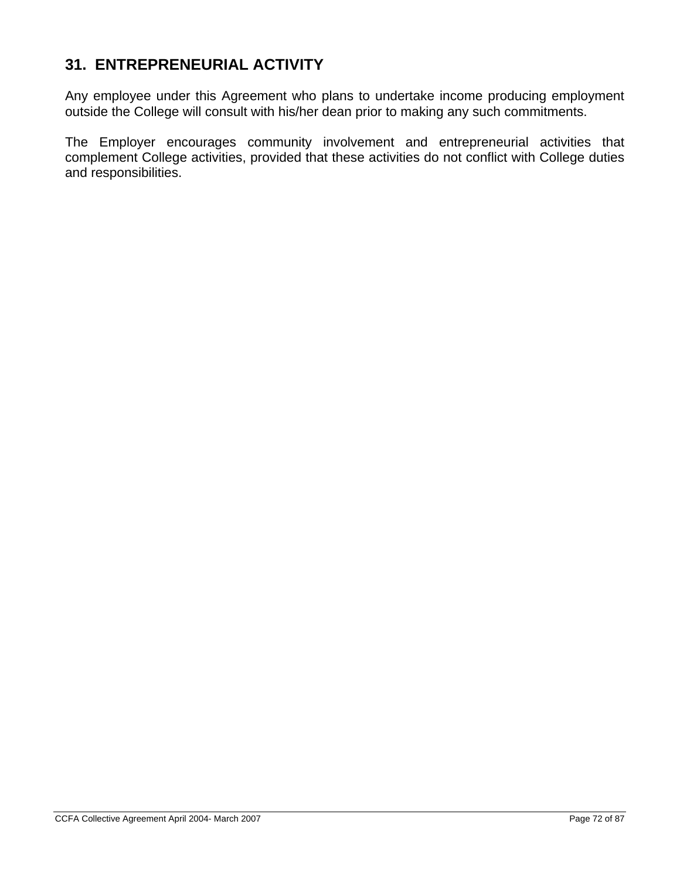# **31. ENTREPRENEURIAL ACTIVITY**

Any employee under this Agreement who plans to undertake income producing employment outside the College will consult with his/her dean prior to making any such commitments.

The Employer encourages community involvement and entrepreneurial activities that complement College activities, provided that these activities do not conflict with College duties and responsibilities.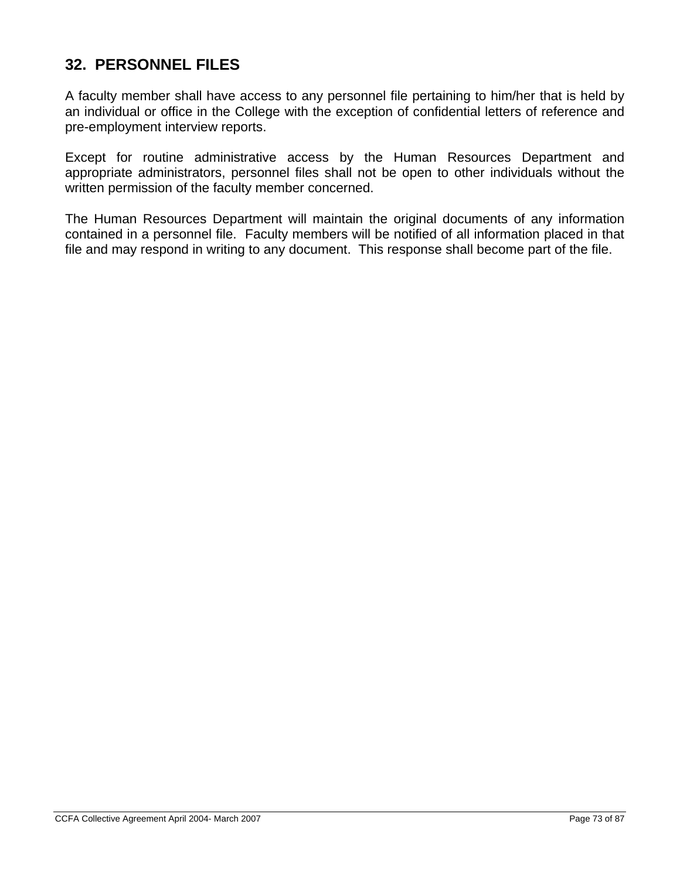## **32. PERSONNEL FILES**

A faculty member shall have access to any personnel file pertaining to him/her that is held by an individual or office in the College with the exception of confidential letters of reference and pre-employment interview reports.

Except for routine administrative access by the Human Resources Department and appropriate administrators, personnel files shall not be open to other individuals without the written permission of the faculty member concerned.

The Human Resources Department will maintain the original documents of any information contained in a personnel file. Faculty members will be notified of all information placed in that file and may respond in writing to any document. This response shall become part of the file.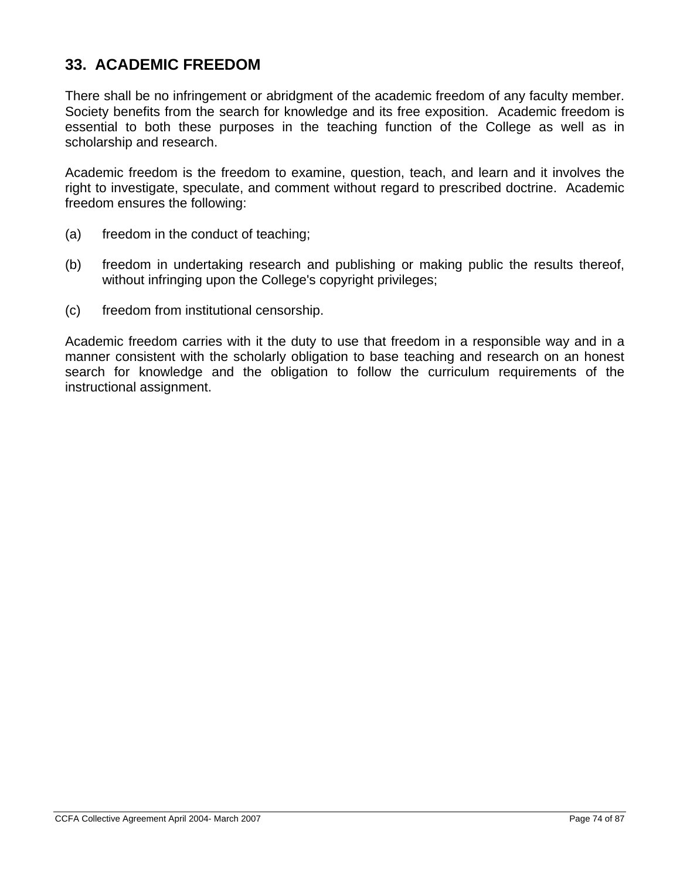## **33. ACADEMIC FREEDOM**

There shall be no infringement or abridgment of the academic freedom of any faculty member. Society benefits from the search for knowledge and its free exposition. Academic freedom is essential to both these purposes in the teaching function of the College as well as in scholarship and research.

Academic freedom is the freedom to examine, question, teach, and learn and it involves the right to investigate, speculate, and comment without regard to prescribed doctrine. Academic freedom ensures the following:

- (a) freedom in the conduct of teaching;
- (b) freedom in undertaking research and publishing or making public the results thereof, without infringing upon the College's copyright privileges;
- (c) freedom from institutional censorship.

Academic freedom carries with it the duty to use that freedom in a responsible way and in a manner consistent with the scholarly obligation to base teaching and research on an honest search for knowledge and the obligation to follow the curriculum requirements of the instructional assignment.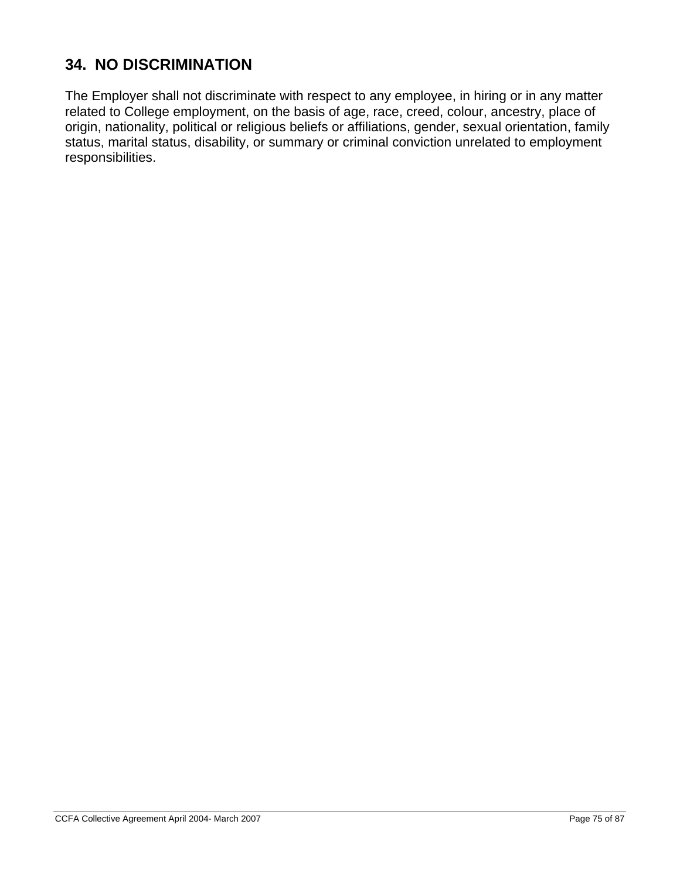# **34. NO DISCRIMINATION**

The Employer shall not discriminate with respect to any employee, in hiring or in any matter related to College employment, on the basis of age, race, creed, colour, ancestry, place of origin, nationality, political or religious beliefs or affiliations, gender, sexual orientation, family status, marital status, disability, or summary or criminal conviction unrelated to employment responsibilities.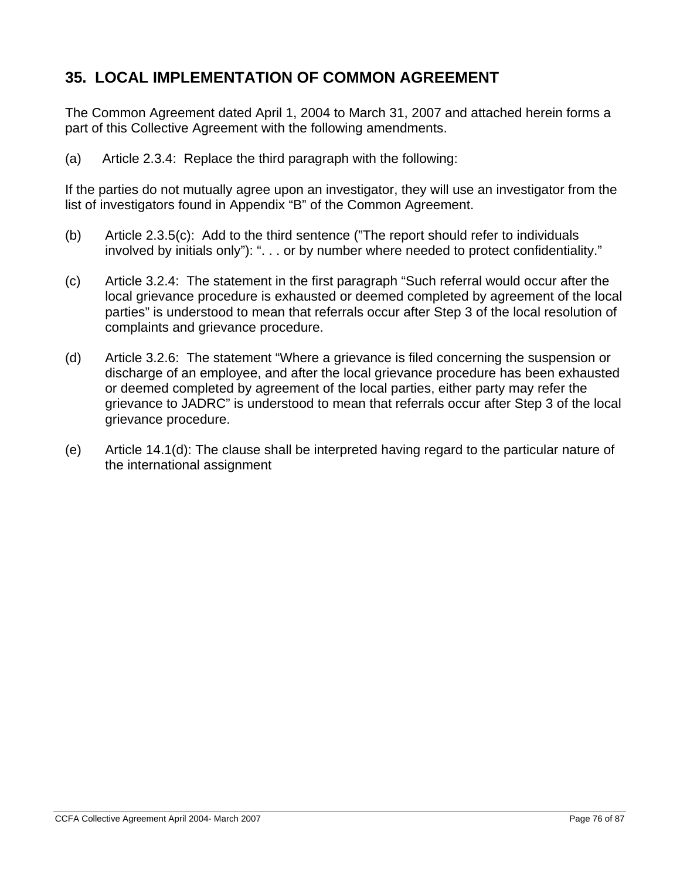# **35. LOCAL IMPLEMENTATION OF COMMON AGREEMENT**

The Common Agreement dated April 1, 2004 to March 31, 2007 and attached herein forms a part of this Collective Agreement with the following amendments.

(a) Article 2.3.4: Replace the third paragraph with the following:

If the parties do not mutually agree upon an investigator, they will use an investigator from the list of investigators found in Appendix "B" of the Common Agreement.

- (b) Article 2.3.5(c): Add to the third sentence ("The report should refer to individuals involved by initials only"): ". . . or by number where needed to protect confidentiality."
- (c) Article 3.2.4: The statement in the first paragraph "Such referral would occur after the local grievance procedure is exhausted or deemed completed by agreement of the local parties" is understood to mean that referrals occur after Step 3 of the local resolution of complaints and grievance procedure.
- (d) Article 3.2.6: The statement "Where a grievance is filed concerning the suspension or discharge of an employee, and after the local grievance procedure has been exhausted or deemed completed by agreement of the local parties, either party may refer the grievance to JADRC" is understood to mean that referrals occur after Step 3 of the local grievance procedure.
- (e) Article 14.1(d): The clause shall be interpreted having regard to the particular nature of the international assignment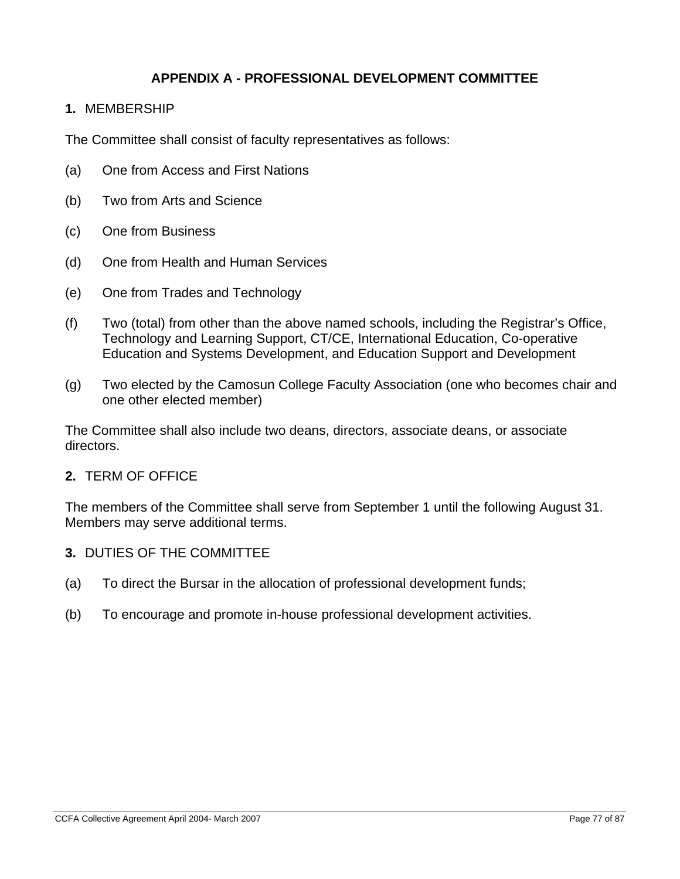### **APPENDIX A - PROFESSIONAL DEVELOPMENT COMMITTEE**

**1.** MEMBERSHIP

The Committee shall consist of faculty representatives as follows:

- (a) One from Access and First Nations
- (b) Two from Arts and Science
- (c) One from Business
- (d) One from Health and Human Services
- (e) One from Trades and Technology
- (f) Two (total) from other than the above named schools, including the Registrar's Office, Technology and Learning Support, CT/CE, International Education, Co-operative Education and Systems Development, and Education Support and Development
- (g) Two elected by the Camosun College Faculty Association (one who becomes chair and one other elected member)

The Committee shall also include two deans, directors, associate deans, or associate directors.

#### **2.** TERM OF OFFICE

The members of the Committee shall serve from September 1 until the following August 31. Members may serve additional terms.

- **3.** DUTIES OF THE COMMITTEE
- (a) To direct the Bursar in the allocation of professional development funds;
- (b) To encourage and promote in-house professional development activities.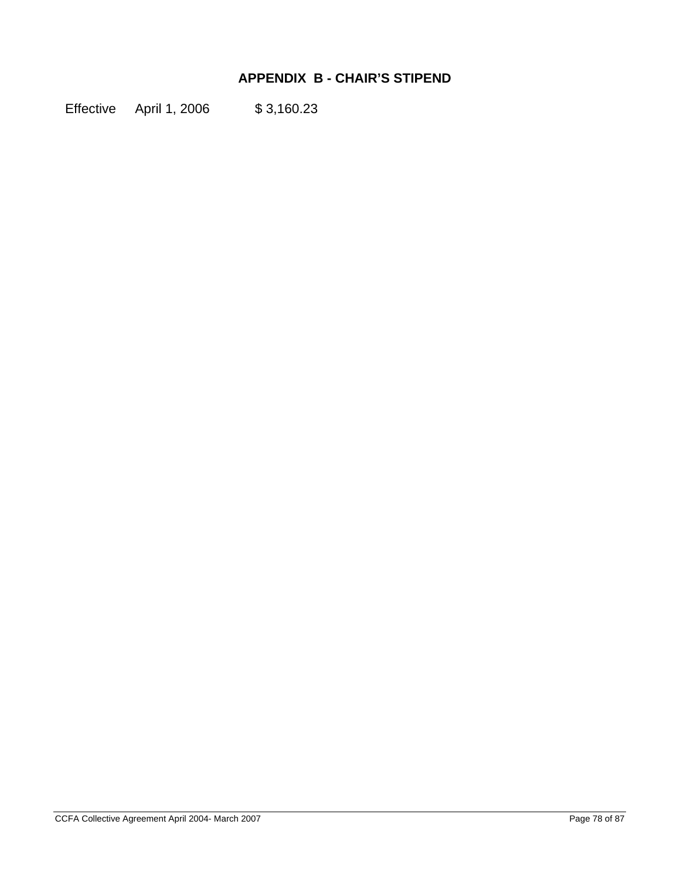## **APPENDIX B - CHAIR'S STIPEND**

Effective April 1, 2006 \$3,160.23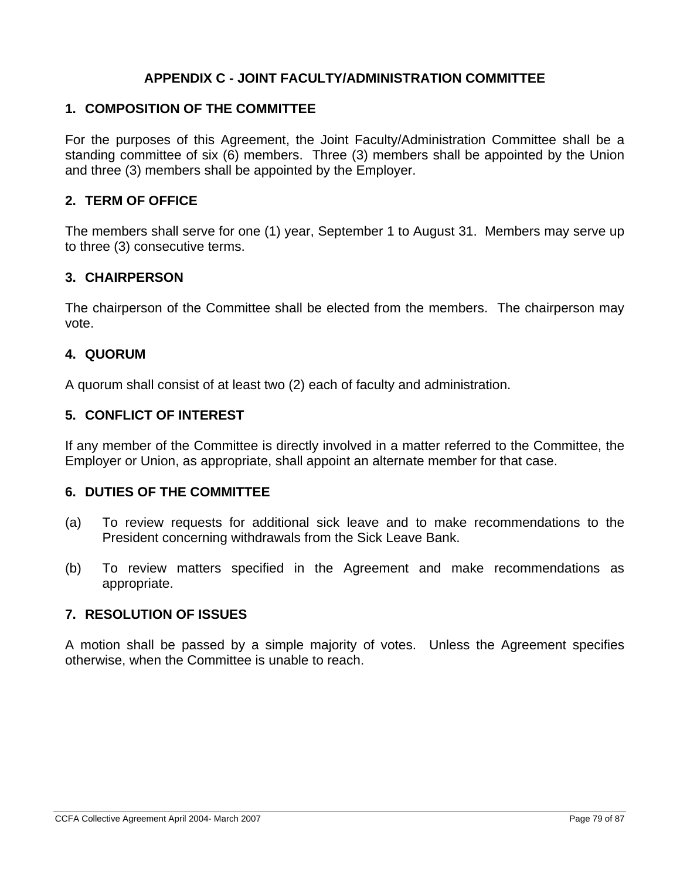### **APPENDIX C - JOINT FACULTY/ADMINISTRATION COMMITTEE**

#### **1. COMPOSITION OF THE COMMITTEE**

For the purposes of this Agreement, the Joint Faculty/Administration Committee shall be a standing committee of six (6) members. Three (3) members shall be appointed by the Union and three (3) members shall be appointed by the Employer.

### **2. TERM OF OFFICE**

The members shall serve for one (1) year, September 1 to August 31. Members may serve up to three (3) consecutive terms.

### **3. CHAIRPERSON**

The chairperson of the Committee shall be elected from the members. The chairperson may vote.

### **4. QUORUM**

A quorum shall consist of at least two (2) each of faculty and administration.

### **5. CONFLICT OF INTEREST**

If any member of the Committee is directly involved in a matter referred to the Committee, the Employer or Union, as appropriate, shall appoint an alternate member for that case.

### **6. DUTIES OF THE COMMITTEE**

- (a) To review requests for additional sick leave and to make recommendations to the President concerning withdrawals from the Sick Leave Bank.
- (b) To review matters specified in the Agreement and make recommendations as appropriate.

### **7. RESOLUTION OF ISSUES**

A motion shall be passed by a simple majority of votes. Unless the Agreement specifies otherwise, when the Committee is unable to reach.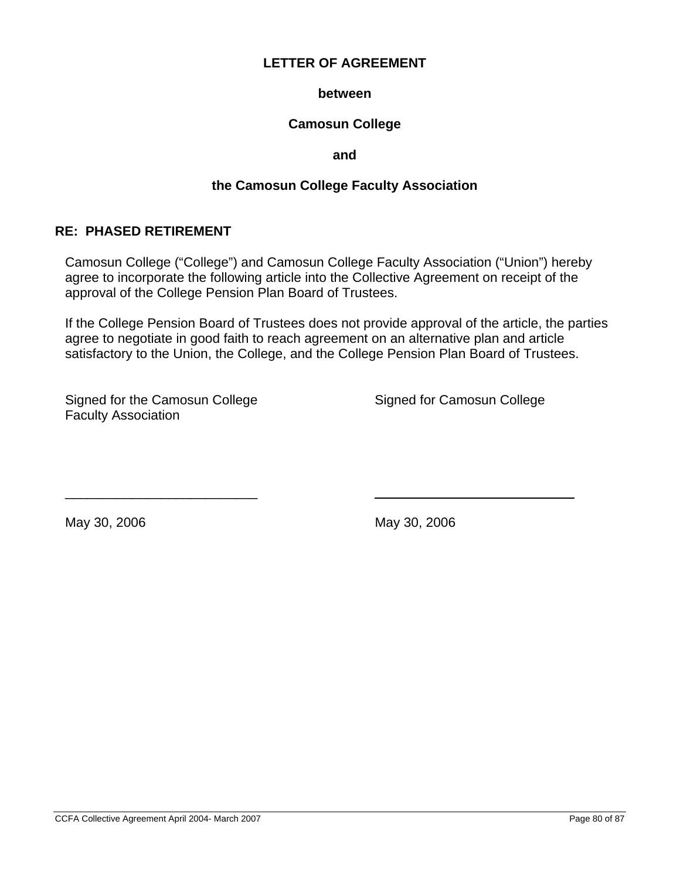#### **between**

### **Camosun College**

**and** 

### **the Camosun College Faculty Association**

#### **RE: PHASED RETIREMENT**

Camosun College ("College") and Camosun College Faculty Association ("Union") hereby agree to incorporate the following article into the Collective Agreement on receipt of the approval of the College Pension Plan Board of Trustees.

If the College Pension Board of Trustees does not provide approval of the article, the parties agree to negotiate in good faith to reach agreement on an alternative plan and article satisfactory to the Union, the College, and the College Pension Plan Board of Trustees.

Signed for the Camosun College Signed for Camosun College Faculty Association

\_\_\_\_\_\_\_\_\_\_\_\_\_\_\_\_\_\_\_\_\_\_\_\_\_\_

May 30, 2006 May 30, 2006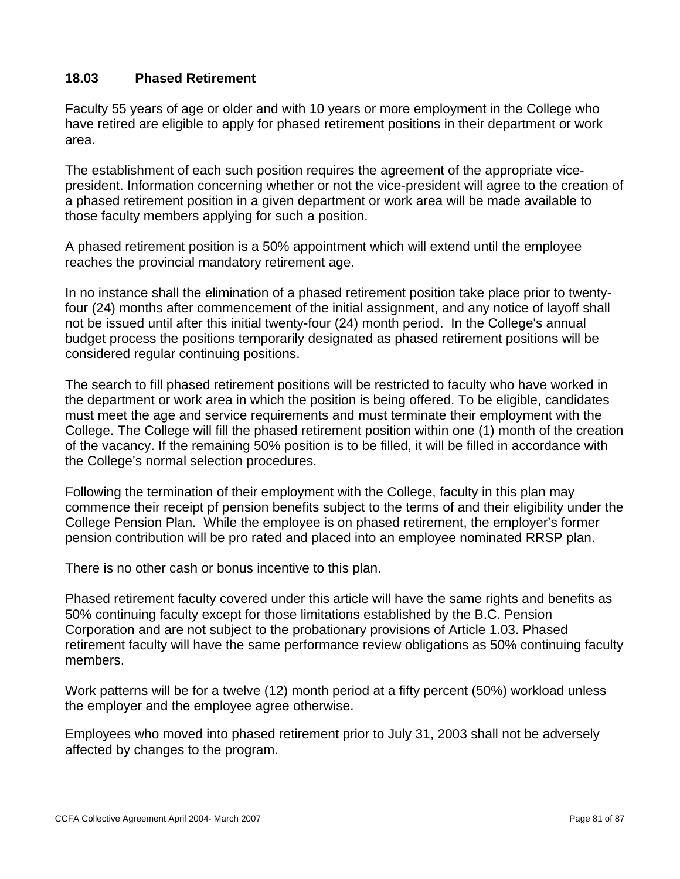### **18.03 Phased Retirement**

Faculty 55 years of age or older and with 10 years or more employment in the College who have retired are eligible to apply for phased retirement positions in their department or work area.

The establishment of each such position requires the agreement of the appropriate vicepresident. Information concerning whether or not the vice-president will agree to the creation of a phased retirement position in a given department or work area will be made available to those faculty members applying for such a position.

A phased retirement position is a 50% appointment which will extend until the employee reaches the provincial mandatory retirement age.

In no instance shall the elimination of a phased retirement position take place prior to twentyfour (24) months after commencement of the initial assignment, and any notice of layoff shall not be issued until after this initial twenty-four (24) month period. In the College's annual budget process the positions temporarily designated as phased retirement positions will be considered regular continuing positions.

The search to fill phased retirement positions will be restricted to faculty who have worked in the department or work area in which the position is being offered. To be eligible, candidates must meet the age and service requirements and must terminate their employment with the College. The College will fill the phased retirement position within one (1) month of the creation of the vacancy. If the remaining 50% position is to be filled, it will be filled in accordance with the College's normal selection procedures.

Following the termination of their employment with the College, faculty in this plan may commence their receipt pf pension benefits subject to the terms of and their eligibility under the College Pension Plan. While the employee is on phased retirement, the employer's former pension contribution will be pro rated and placed into an employee nominated RRSP plan.

There is no other cash or bonus incentive to this plan.

Phased retirement faculty covered under this article will have the same rights and benefits as 50% continuing faculty except for those limitations established by the B.C. Pension Corporation and are not subject to the probationary provisions of Article 1.03. Phased retirement faculty will have the same performance review obligations as 50% continuing faculty members.

Work patterns will be for a twelve (12) month period at a fifty percent (50%) workload unless the employer and the employee agree otherwise.

Employees who moved into phased retirement prior to July 31, 2003 shall not be adversely affected by changes to the program.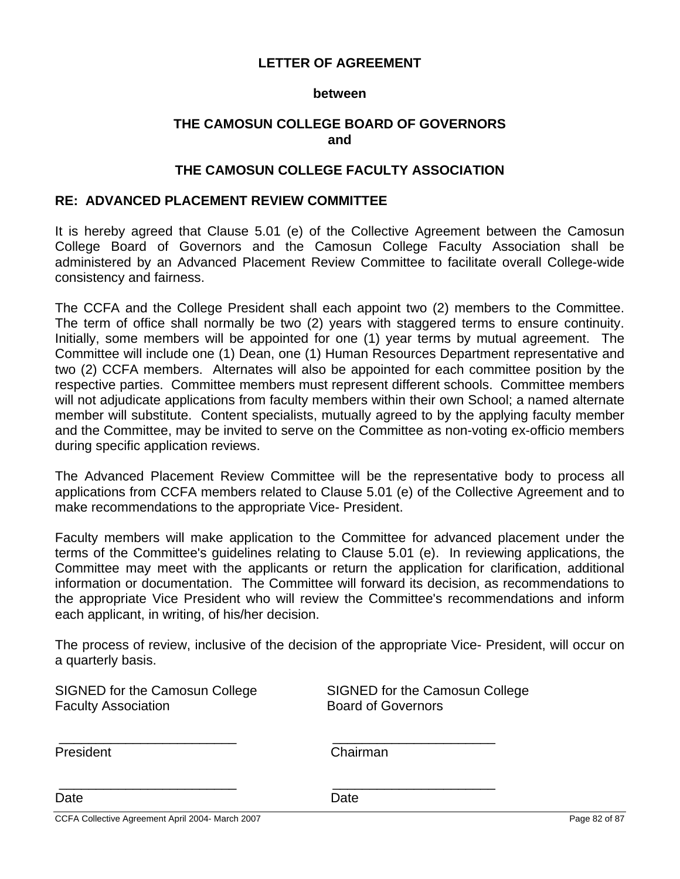#### **between**

### **THE CAMOSUN COLLEGE BOARD OF GOVERNORS and**

#### **THE CAMOSUN COLLEGE FACULTY ASSOCIATION**

#### **RE: ADVANCED PLACEMENT REVIEW COMMITTEE**

It is hereby agreed that Clause 5.01 (e) of the Collective Agreement between the Camosun College Board of Governors and the Camosun College Faculty Association shall be administered by an Advanced Placement Review Committee to facilitate overall College-wide consistency and fairness.

The CCFA and the College President shall each appoint two (2) members to the Committee. The term of office shall normally be two (2) years with staggered terms to ensure continuity. Initially, some members will be appointed for one (1) year terms by mutual agreement. The Committee will include one (1) Dean, one (1) Human Resources Department representative and two (2) CCFA members. Alternates will also be appointed for each committee position by the respective parties. Committee members must represent different schools. Committee members will not adjudicate applications from faculty members within their own School; a named alternate member will substitute. Content specialists, mutually agreed to by the applying faculty member and the Committee, may be invited to serve on the Committee as non-voting ex-officio members during specific application reviews.

The Advanced Placement Review Committee will be the representative body to process all applications from CCFA members related to Clause 5.01 (e) of the Collective Agreement and to make recommendations to the appropriate Vice- President.

Faculty members will make application to the Committee for advanced placement under the terms of the Committee's guidelines relating to Clause 5.01 (e). In reviewing applications, the Committee may meet with the applicants or return the application for clarification, additional information or documentation. The Committee will forward its decision, as recommendations to the appropriate Vice President who will review the Committee's recommendations and inform each applicant, in writing, of his/her decision.

The process of review, inclusive of the decision of the appropriate Vice- President, will occur on a quarterly basis.

| SIGNED for the Camosun College<br><b>Faculty Association</b> | SIGNED for the Camosun College<br><b>Board of Governors</b> |               |
|--------------------------------------------------------------|-------------------------------------------------------------|---------------|
| President                                                    | Chairman                                                    |               |
| Date                                                         | Date                                                        |               |
| CCFA Collective Agreement April 2004- March 2007             |                                                             | Page 82 of 87 |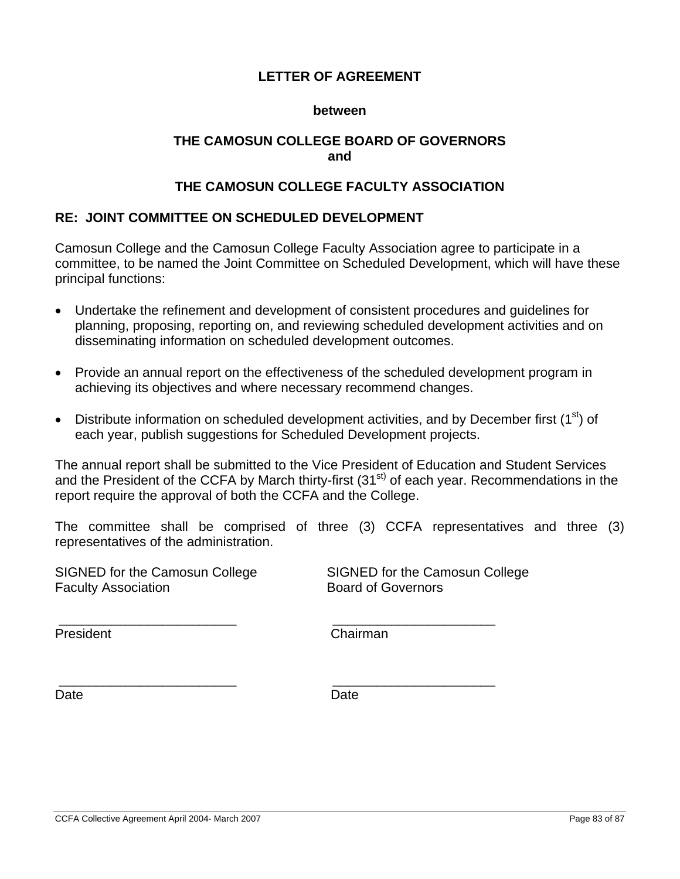#### **between**

### **THE CAMOSUN COLLEGE BOARD OF GOVERNORS and**

### **THE CAMOSUN COLLEGE FACULTY ASSOCIATION**

### **RE: JOINT COMMITTEE ON SCHEDULED DEVELOPMENT**

Camosun College and the Camosun College Faculty Association agree to participate in a committee, to be named the Joint Committee on Scheduled Development, which will have these principal functions:

- Undertake the refinement and development of consistent procedures and guidelines for planning, proposing, reporting on, and reviewing scheduled development activities and on disseminating information on scheduled development outcomes.
- Provide an annual report on the effectiveness of the scheduled development program in achieving its objectives and where necessary recommend changes.
- Distribute information on scheduled development activities, and by December first  $(1^{st})$  of each year, publish suggestions for Scheduled Development projects.

The annual report shall be submitted to the Vice President of Education and Student Services and the President of the CCFA by March thirty-first (31<sup>st)</sup> of each year. Recommendations in the report require the approval of both the CCFA and the College.

The committee shall be comprised of three (3) CCFA representatives and three (3) representatives of the administration.

\_\_\_\_\_\_\_\_\_\_\_\_\_\_\_\_\_\_\_\_\_\_\_\_ \_\_\_\_\_\_\_\_\_\_\_\_\_\_\_\_\_\_\_\_\_\_

SIGNED for the Camosun College SIGNED for the Camosun College Faculty Association **Board of Governors** 

President **Chairman** 

\_\_\_\_\_\_\_\_\_\_\_\_\_\_\_\_\_\_\_\_\_\_\_\_ \_\_\_\_\_\_\_\_\_\_\_\_\_\_\_\_\_\_\_\_\_\_

Date **Date Date Date Date**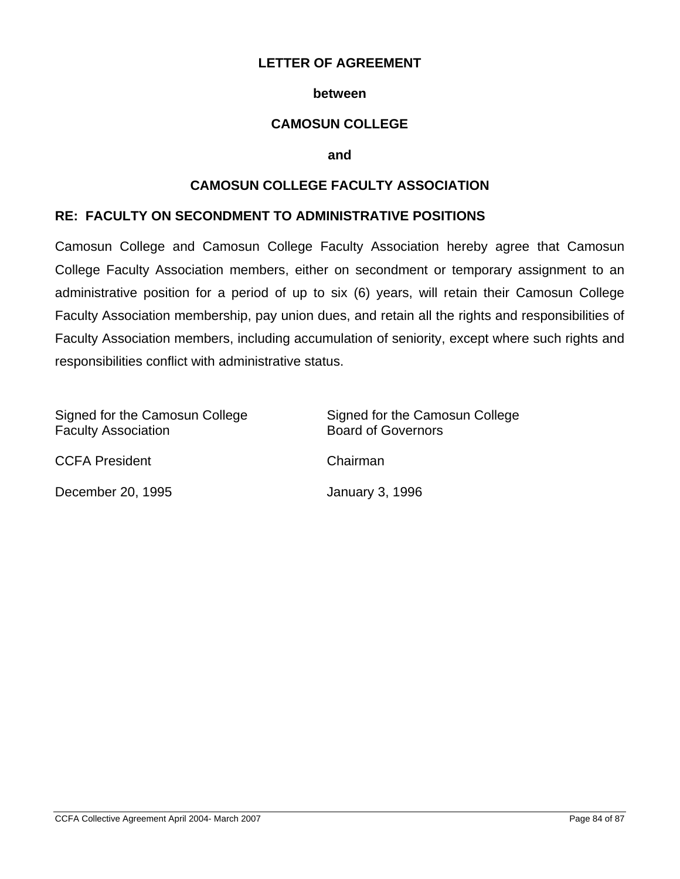#### **between**

### **CAMOSUN COLLEGE**

**and** 

### **CAMOSUN COLLEGE FACULTY ASSOCIATION**

#### **RE: FACULTY ON SECONDMENT TO ADMINISTRATIVE POSITIONS**

Camosun College and Camosun College Faculty Association hereby agree that Camosun College Faculty Association members, either on secondment or temporary assignment to an administrative position for a period of up to six (6) years, will retain their Camosun College Faculty Association membership, pay union dues, and retain all the rights and responsibilities of Faculty Association members, including accumulation of seniority, except where such rights and responsibilities conflict with administrative status.

| Signed for the Camosun College<br><b>Faculty Association</b> | Signed for the Camosun College<br><b>Board of Governors</b> |
|--------------------------------------------------------------|-------------------------------------------------------------|
| <b>CCFA President</b>                                        | Chairman                                                    |
| December 20, 1995                                            | <b>January 3, 1996</b>                                      |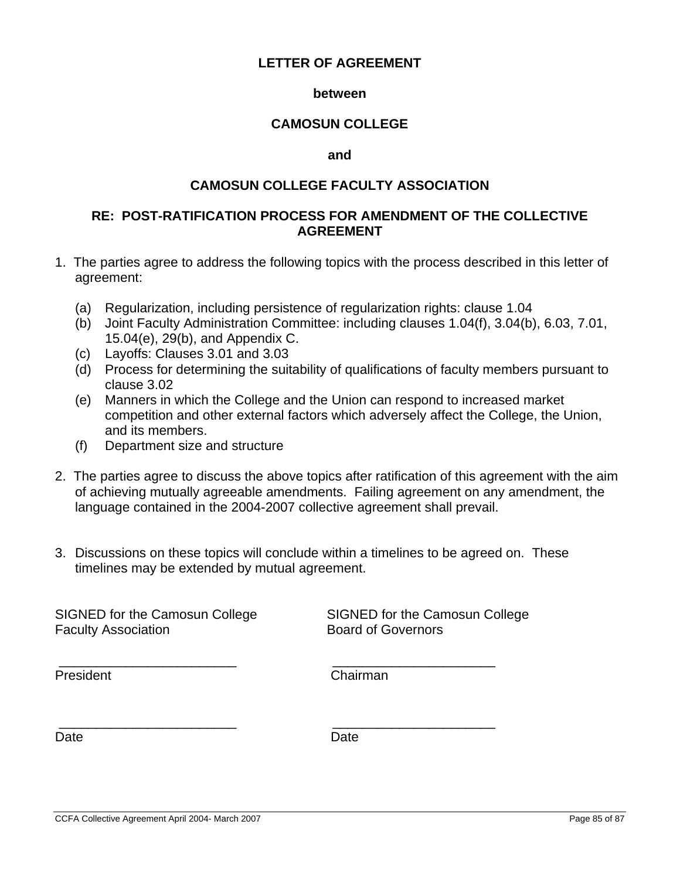#### **between**

#### **CAMOSUN COLLEGE**

#### **and**

#### **CAMOSUN COLLEGE FACULTY ASSOCIATION**

#### **RE: POST-RATIFICATION PROCESS FOR AMENDMENT OF THE COLLECTIVE AGREEMENT**

- 1. The parties agree to address the following topics with the process described in this letter of agreement:
	- (a) Regularization, including persistence of regularization rights: clause 1.04
	- (b) Joint Faculty Administration Committee: including clauses 1.04(f), 3.04(b), 6.03, 7.01, 15.04(e), 29(b), and Appendix C.
	- (c) Layoffs: Clauses 3.01 and 3.03
	- (d) Process for determining the suitability of qualifications of faculty members pursuant to clause 3.02
	- (e) Manners in which the College and the Union can respond to increased market competition and other external factors which adversely affect the College, the Union, and its members.
	- (f) Department size and structure
- 2. The parties agree to discuss the above topics after ratification of this agreement with the aim of achieving mutually agreeable amendments. Failing agreement on any amendment, the language contained in the 2004-2007 collective agreement shall prevail.
- 3. Discussions on these topics will conclude within a timelines to be agreed on. These timelines may be extended by mutual agreement.

\_\_\_\_\_\_\_\_\_\_\_\_\_\_\_\_\_\_\_\_\_\_\_\_ \_\_\_\_\_\_\_\_\_\_\_\_\_\_\_\_\_\_\_\_\_\_

\_\_\_\_\_\_\_\_\_\_\_\_\_\_\_\_\_\_\_\_\_\_\_\_ \_\_\_\_\_\_\_\_\_\_\_\_\_\_\_\_\_\_\_\_\_\_

SIGNED for the Camosun College SIGNED for the Camosun College Faculty Association **Board of Governors** 

President **Chairman** 

Date **Date Date Date Date**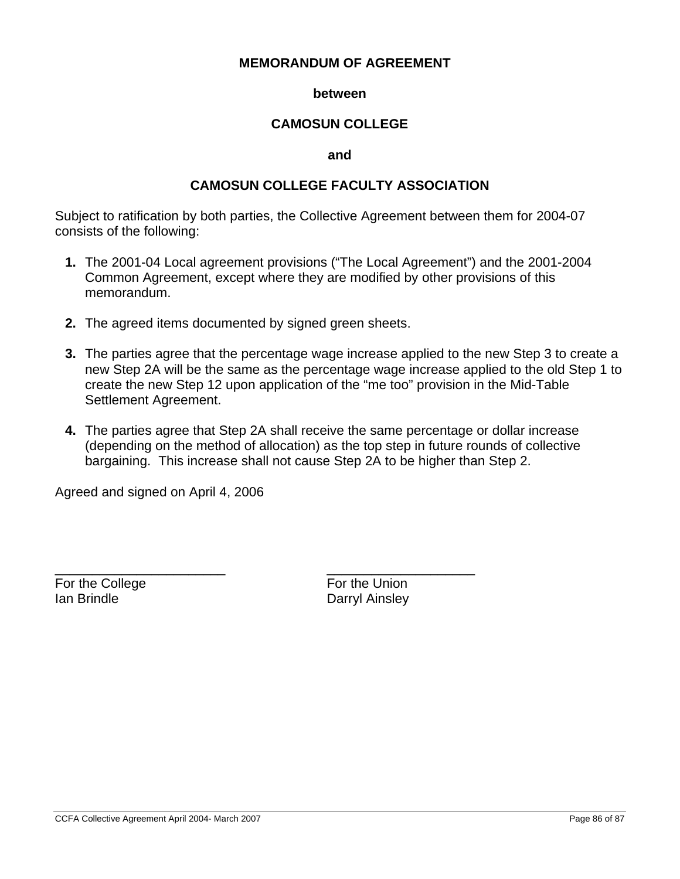#### **MEMORANDUM OF AGREEMENT**

#### **between**

### **CAMOSUN COLLEGE**

#### **and**

#### **CAMOSUN COLLEGE FACULTY ASSOCIATION**

Subject to ratification by both parties, the Collective Agreement between them for 2004-07 consists of the following:

- **1.** The 2001-04 Local agreement provisions ("The Local Agreement") and the 2001-2004 Common Agreement, except where they are modified by other provisions of this memorandum.
- **2.** The agreed items documented by signed green sheets.

\_\_\_\_\_\_\_\_\_\_\_\_\_\_\_\_\_\_\_\_\_\_\_ \_\_\_\_\_\_\_\_\_\_\_\_\_\_\_\_\_\_\_\_

- **3.** The parties agree that the percentage wage increase applied to the new Step 3 to create a new Step 2A will be the same as the percentage wage increase applied to the old Step 1 to create the new Step 12 upon application of the "me too" provision in the Mid-Table Settlement Agreement.
- **4.** The parties agree that Step 2A shall receive the same percentage or dollar increase (depending on the method of allocation) as the top step in future rounds of collective bargaining. This increase shall not cause Step 2A to be higher than Step 2.

Agreed and signed on April 4, 2006

For the College For the Union **Ian Brindle Community Community Community Community Darryl Ainsley**